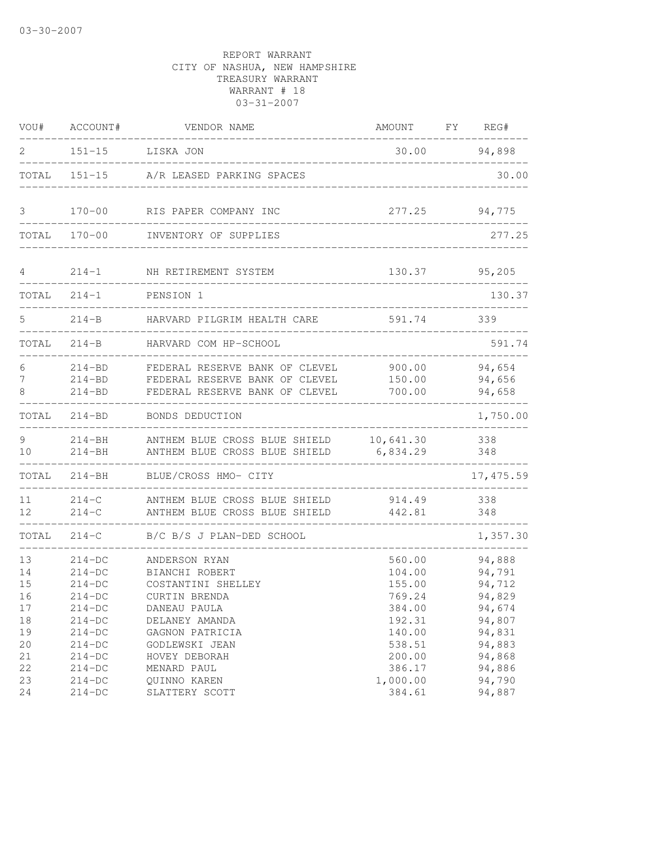| VOU#                       | ACCOUNT#                                                   | VENDOR NAME                                                                                        | AMOUNT                                         | FY | REG#                                           |
|----------------------------|------------------------------------------------------------|----------------------------------------------------------------------------------------------------|------------------------------------------------|----|------------------------------------------------|
| 2                          | $151 - 15$                                                 | LISKA JON                                                                                          | 30.00                                          |    | 94,898                                         |
| TOTAL                      |                                                            | 151-15 A/R LEASED PARKING SPACES                                                                   |                                                |    | 30.00                                          |
| 3                          | $170 - 00$                                                 | RIS PAPER COMPANY INC                                                                              | 277.25                                         |    | 94,775                                         |
| TOTAL                      | $170 - 00$                                                 | INVENTORY OF SUPPLIES                                                                              |                                                |    | 277.25                                         |
| 4                          | $214 - 1$                                                  | NH RETIREMENT SYSTEM                                                                               | 130.37                                         |    | 95,205                                         |
| TOTAL                      | $214 - 1$                                                  | PENSION 1                                                                                          | ________________                               |    | 130.37                                         |
| 5                          | 214-B                                                      | HARVARD PILGRIM HEALTH CARE                                                                        | 591.74                                         |    | 339                                            |
| TOTAL                      | $214 - B$                                                  | HARVARD COM HP-SCHOOL                                                                              |                                                |    | 591.74                                         |
| 6<br>7<br>8                | $214 - BD$<br>$214 - BD$<br>$214 - BD$                     | FEDERAL RESERVE BANK OF CLEVEL<br>FEDERAL RESERVE BANK OF CLEVEL<br>FEDERAL RESERVE BANK OF CLEVEL | 900.00<br>150.00<br>700.00                     |    | 94,654<br>94,656<br>94,658                     |
| TOTAL                      | $214 - BD$                                                 | BONDS DEDUCTION                                                                                    |                                                |    | 1,750.00                                       |
| 9<br>10                    | $214 - BH$<br>$214 - BH$                                   | ANTHEM BLUE CROSS BLUE SHIELD<br>ANTHEM BLUE CROSS BLUE SHIELD                                     | 10,641.30<br>6,834.29                          |    | 338<br>348                                     |
| TOTAL                      | $214 - BH$                                                 | BLUE/CROSS HMO- CITY                                                                               |                                                |    | 17, 475.59                                     |
| 11<br>12                   | $214-C$<br>$214-C$                                         | ANTHEM BLUE CROSS BLUE SHIELD<br>ANTHEM BLUE CROSS BLUE SHIELD                                     | 914.49<br>442.81                               |    | 338<br>348                                     |
| TOTAL                      | $214-C$                                                    | B/C B/S J PLAN-DED SCHOOL                                                                          |                                                |    | 1,357.30                                       |
| 13<br>14<br>15<br>16<br>17 | $214-DC$<br>$214-DC$<br>$214-DC$<br>$214 - DC$<br>$214-DC$ | ANDERSON RYAN<br>BIANCHI ROBERT<br>COSTANTINI SHELLEY<br>CURTIN BRENDA<br>DANEAU PAULA             | 560.00<br>104.00<br>155.00<br>769.24<br>384.00 |    | 94,888<br>94,791<br>94,712<br>94,829<br>94,674 |
| 18<br>19<br>20<br>21       | $214-DC$<br>$214-DC$<br>$214-DC$<br>$214-DC$               | DELANEY AMANDA<br>GAGNON PATRICIA<br>GODLEWSKI JEAN<br>HOVEY DEBORAH                               | 192.31<br>140.00<br>538.51<br>200.00           |    | 94,807<br>94,831<br>94,883<br>94,868           |
| 22<br>23<br>24             | $214-DC$<br>$214-DC$<br>$214-DC$                           | MENARD PAUL<br>QUINNO KAREN<br>SLATTERY SCOTT                                                      | 386.17<br>1,000.00<br>384.61                   |    | 94,886<br>94,790<br>94,887                     |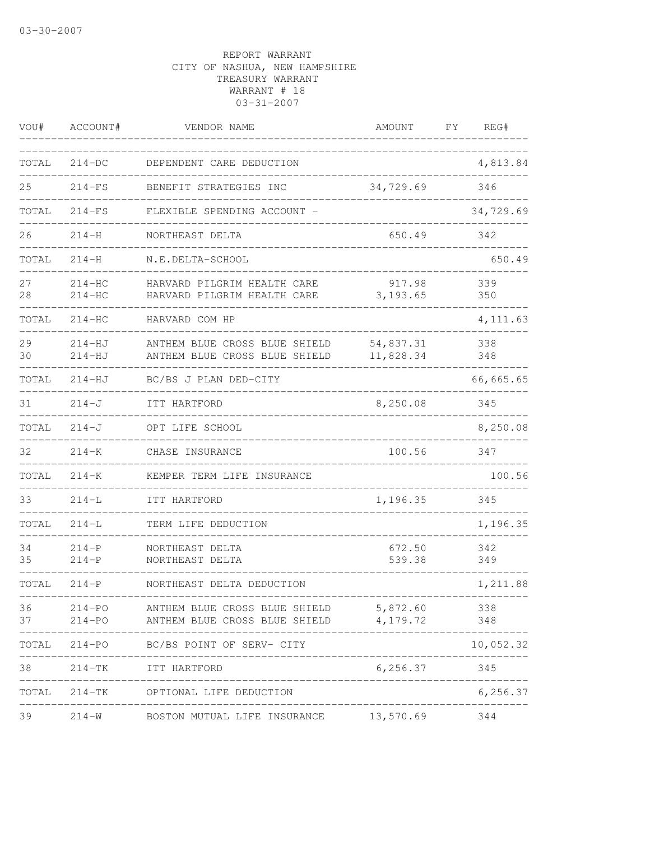| VOU#     | ACCOUNT#                 | VENDOR NAME                                                             | AMOUNT                 | FΥ<br>REG# |
|----------|--------------------------|-------------------------------------------------------------------------|------------------------|------------|
| TOTAL    | $214-DC$                 | DEPENDENT CARE DEDUCTION                                                |                        | 4,813.84   |
| 25       | $214-FS$                 | BENEFIT STRATEGIES INC                                                  | 34,729.69              | 346        |
| TOTAL    | $214-FS$                 | FLEXIBLE SPENDING ACCOUNT -                                             |                        | 34,729.69  |
| 26       | $214 - H$                | NORTHEAST DELTA                                                         | 650.49                 | 342        |
| TOTAL    | $214 - H$                | N.E.DELTA-SCHOOL                                                        |                        | 650.49     |
| 27<br>28 | $214 - HC$<br>$214-HC$   | HARVARD PILGRIM HEALTH CARE<br>HARVARD PILGRIM HEALTH CARE              | 917.98<br>3, 193.65    | 339<br>350 |
| TOTAL    | $214-HC$                 | HARVARD COM HP                                                          |                        | 4, 111.63  |
| 29<br>30 | $214 - HJ$<br>$214 - HJ$ | ANTHEM BLUE CROSS BLUE SHIELD<br>ANTHEM BLUE CROSS BLUE SHIELD          | 54,837.31<br>11,828.34 | 338<br>348 |
| TOTAL    | $214 - HJ$               | BC/BS J PLAN DED-CITY                                                   |                        | 66,665.65  |
| 31       | $214-J$                  | ITT HARTFORD                                                            | 8,250.08               | 345        |
| TOTAL    | $214-J$                  | OPT LIFE SCHOOL                                                         |                        | 8,250.08   |
| 32       | $214 - K$                | CHASE INSURANCE                                                         | 100.56                 | 347        |
| TOTAL    | $214 - K$                | KEMPER TERM LIFE INSURANCE                                              |                        | 100.56     |
| 33       | $214 - L$                | ITT HARTFORD                                                            | 1,196.35               | 345        |
| TOTAL    | $214 - L$                | TERM LIFE DEDUCTION                                                     |                        | 1,196.35   |
| 34<br>35 | $214-P$<br>$214-P$       | NORTHEAST DELTA<br>NORTHEAST DELTA                                      | 672.50<br>539.38       | 342<br>349 |
| TOTAL    | $214-P$                  | NORTHEAST DELTA DEDUCTION                                               |                        | 1,211.88   |
| 36<br>37 | $214 - PQ$<br>$214 - PO$ | ANTHEM BLUE CROSS BLUE SHIELD<br>ANTHEM BLUE CROSS BLUE SHIELD 4,179.72 | 5,872.60               | 338<br>348 |
|          |                          | TOTAL 214-PO BC/BS POINT OF SERV- CITY                                  |                        | 10,052.32  |
| 38       |                          | 214-TK ITT HARTFORD                                                     | 6, 256.37              | 345        |
| TOTAL    |                          | 214-TK OPTIONAL LIFE DEDUCTION                                          |                        | 6,256.37   |
| 39       |                          | 214-W BOSTON MUTUAL LIFE INSURANCE 13,570.69                            |                        | 344        |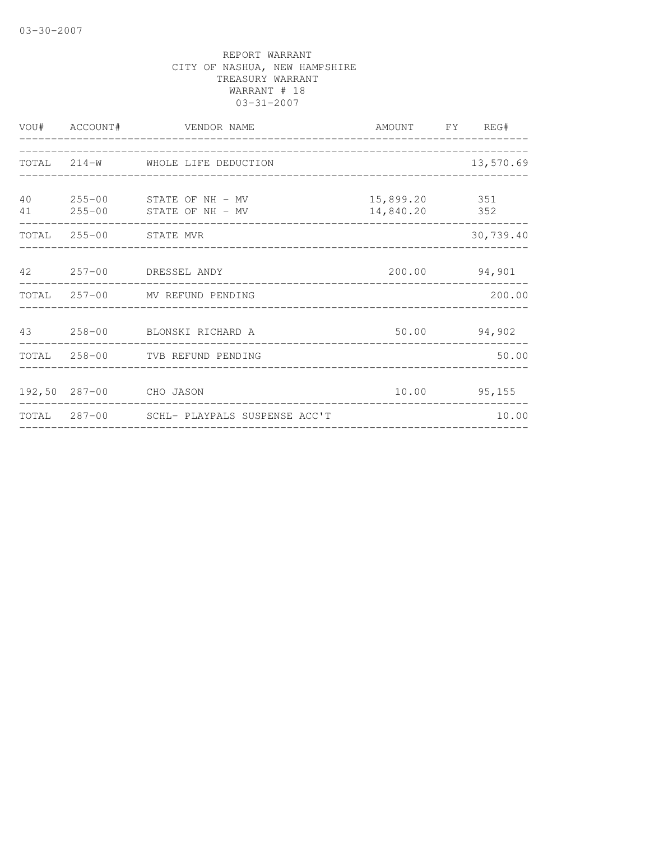|          | VOU# ACCOUNT# | VENDOR NAME                                        | AMOUNT FY REG#                 |               |
|----------|---------------|----------------------------------------------------|--------------------------------|---------------|
|          |               | TOTAL 214-W WHOLE LIFE DEDUCTION                   |                                | 13,570.69     |
| 40<br>41 |               | 255-00 STATE OF NH - MV<br>255-00 STATE OF NH - MV | 15,899.20 351<br>14,840.20 352 |               |
|          |               | TOTAL 255-00 STATE MVR                             |                                | 30,739.40     |
| 42       |               | 257-00 DRESSEL ANDY                                |                                | 200.00 94,901 |
|          |               | TOTAL 257-00 MV REFUND PENDING                     |                                | 200.00        |
|          |               | 43 258-00 BLONSKI RICHARD A                        |                                | 50.00 94,902  |
|          |               | TOTAL 258-00 TVB REFUND PENDING                    |                                | 50.00         |
|          |               | 192,50 287-00 CHO JASON                            |                                | 10.00 95,155  |
|          |               | TOTAL 287-00 SCHL- PLAYPALS SUSPENSE ACC'T         |                                | 10.00         |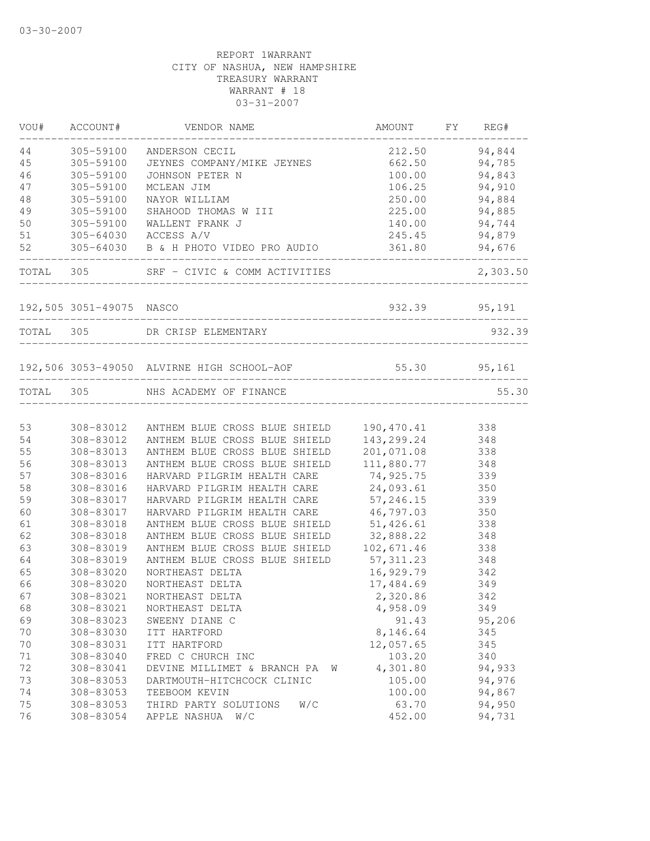|          | VOU# ACCOUNT#            | VENDOR NAME                                                    | AMOUNT FY       | REG#             |
|----------|--------------------------|----------------------------------------------------------------|-----------------|------------------|
| 44       | 305-59100                | ANDERSON CECIL                                                 | 212.50          | 94,844           |
| 45       | 305-59100                | JEYNES COMPANY/MIKE JEYNES                                     | 662.50          | 94,785           |
| 46       | 305-59100                | JOHNSON PETER N                                                | 100.00          | 94,843           |
| 47       | 305-59100                | MCLEAN JIM                                                     | 106.25          | 94,910           |
| 48       | 305-59100                | NAYOR WILLIAM                                                  | 250.00          | 94,884           |
| 49       | 305-59100                | SHAHOOD THOMAS W III                                           | 225.00          | 94,885           |
| 50       | 305-59100                | WALLENT FRANK J                                                | 140.00          | 94,744           |
| 51       |                          | 305-64030 ACCESS A/V                                           | 245.45          | 94,879           |
| 52       |                          | 305-64030 B & H PHOTO VIDEO PRO AUDIO                          | 361.80          | 94,676           |
|          |                          | TOTAL 305 SRF - CIVIC & COMM ACTIVITIES                        |                 | 2,303.50         |
|          | 192,505 3051-49075 NASCO |                                                                | 932.39 95,191   |                  |
|          |                          | TOTAL 305 DR CRISP ELEMENTARY                                  |                 | 932.39           |
|          |                          |                                                                |                 |                  |
|          |                          | 192,506 3053-49050 ALVIRNE HIGH SCHOOL-AOF 55.30 95,161        |                 |                  |
|          |                          | TOTAL 305 NHS ACADEMY OF FINANCE                               |                 | 55.30            |
| 53       | 308-83012                |                                                                | 190,470.41      |                  |
| 54       | 308-83012                | ANTHEM BLUE CROSS BLUE SHIELD<br>ANTHEM BLUE CROSS BLUE SHIELD | 143,299.24      | 338<br>348       |
| 55       | 308-83013                | ANTHEM BLUE CROSS BLUE SHIELD                                  | 201,071.08      | 338              |
| 56       | 308-83013                | ANTHEM BLUE CROSS BLUE SHIELD                                  | 111,880.77      | 348              |
| 57       | 308-83016                | HARVARD PILGRIM HEALTH CARE                                    | 74,925.75       | 339              |
| 58       | 308-83016                | HARVARD PILGRIM HEALTH CARE                                    | 24,093.61       | 350              |
| 59       | 308-83017                | HARVARD PILGRIM HEALTH CARE                                    | 57, 246.15      | 339              |
| 60       | 308-83017                | HARVARD PILGRIM HEALTH CARE                                    | 46,797.03       | 350              |
| 61       | 308-83018                | ANTHEM BLUE CROSS BLUE SHIELD                                  | 51,426.61       | 338              |
| 62       | 308-83018                | ANTHEM BLUE CROSS BLUE SHIELD                                  | 32,888.22       | 348              |
| 63       | 308-83019                | ANTHEM BLUE CROSS BLUE SHIELD                                  | 102,671.46      | 338              |
|          |                          |                                                                |                 |                  |
| 64       | 308-83019                | ANTHEM BLUE CROSS BLUE SHIELD                                  | 57, 311.23      | 348              |
| 65       | 308-83020                | NORTHEAST DELTA                                                | 16,929.79       | 342              |
| 66       | 308-83020                | NORTHEAST DELTA                                                | 17,484.69       | 349              |
| 67       | 308-83021                | NORTHEAST DELTA                                                | 2,320.86        | 342              |
| 68       | 308-83021                | NORTHEAST DELTA                                                | 4,958.09        | 349              |
| 69       | 308-83023                | SWEENY DIANE C                                                 | 91.43           | 95,206           |
| 70       | 308-83030                | ITT HARTFORD                                                   | 8,146.64        | 345              |
| 70       | 308-83031                | ITT HARTFORD                                                   | 12,057.65       | 345              |
| 71       | 308-83040                | FRED C CHURCH INC                                              | 103.20          | 340              |
| 72       | 308-83041                | DEVINE MILLIMET & BRANCH PA<br>W                               | 4,301.80        | 94,933           |
| 73       | 308-83053                | DARTMOUTH-HITCHCOCK CLINIC                                     | 105.00          | 94,976           |
| 74       | 308-83053                | TEEBOOM KEVIN                                                  | 100.00          | 94,867           |
| 75<br>76 | 308-83053<br>308-83054   | W/C<br>THIRD PARTY SOLUTIONS<br>APPLE NASHUA<br>W/C            | 63.70<br>452.00 | 94,950<br>94,731 |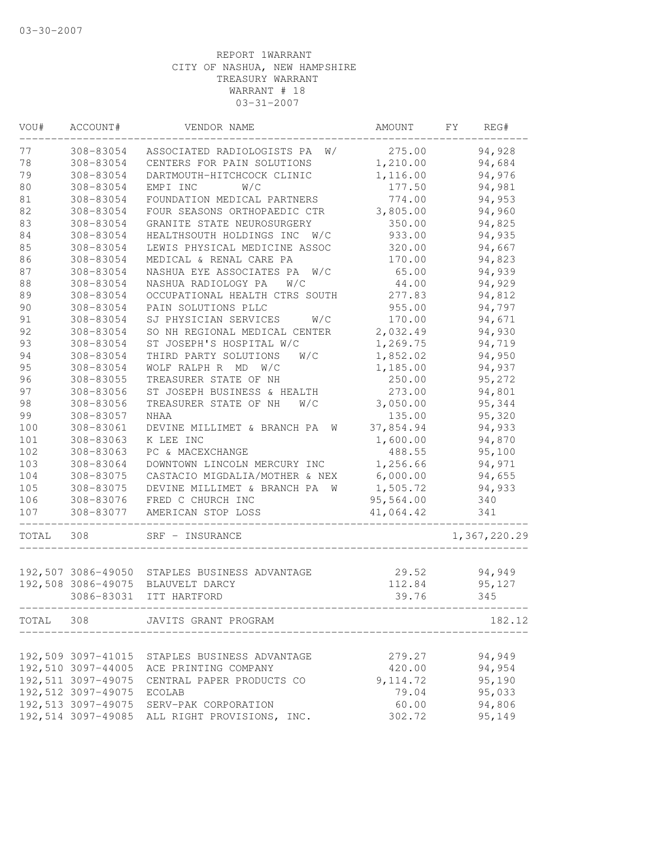| VOU#  | ACCOUNT#                  | VENDOR NAME                                   | AMOUNT    | FY.<br>REG#  |
|-------|---------------------------|-----------------------------------------------|-----------|--------------|
| 77    | 308-83054                 | ASSOCIATED RADIOLOGISTS PA<br>W/              | 275.00    | 94,928       |
| 78    | 308-83054                 | CENTERS FOR PAIN SOLUTIONS                    | 1,210.00  | 94,684       |
| 79    | 308-83054                 | DARTMOUTH-HITCHCOCK CLINIC                    | 1,116.00  | 94,976       |
| 80    | 308-83054                 | W/C<br>EMPI INC                               | 177.50    | 94,981       |
| 81    | 308-83054                 | FOUNDATION MEDICAL PARTNERS                   | 774.00    | 94,953       |
| 82    | 308-83054                 | FOUR SEASONS ORTHOPAEDIC CTR                  | 3,805.00  | 94,960       |
| 83    | 308-83054                 | GRANITE STATE NEUROSURGERY                    | 350.00    | 94,825       |
| 84    | 308-83054                 | HEALTHSOUTH HOLDINGS INC W/C                  | 933.00    | 94,935       |
| 85    | 308-83054                 | LEWIS PHYSICAL MEDICINE ASSOC                 | 320.00    | 94,667       |
| 86    | 308-83054                 | MEDICAL & RENAL CARE PA                       | 170.00    | 94,823       |
| 87    | 308-83054                 | NASHUA EYE ASSOCIATES PA<br>W/C               | 65.00     | 94,939       |
| 88    | 308-83054                 | NASHUA RADIOLOGY PA<br>W/C                    | 44.00     | 94,929       |
| 89    | 308-83054                 | OCCUPATIONAL HEALTH CTRS SOUTH                | 277.83    | 94,812       |
| 90    | 308-83054                 | PAIN SOLUTIONS PLLC                           | 955.00    | 94,797       |
| 91    | 308-83054                 | SJ PHYSICIAN SERVICES<br>W/C                  | 170.00    | 94,671       |
| 92    | 308-83054                 | SO NH REGIONAL MEDICAL CENTER                 | 2,032.49  | 94,930       |
| 93    | 308-83054                 | ST JOSEPH'S HOSPITAL W/C                      | 1,269.75  | 94,719       |
| 94    | 308-83054                 | THIRD PARTY SOLUTIONS<br>W/C                  | 1,852.02  | 94,950       |
| 95    | 308-83054                 | WOLF RALPH R MD<br>W/C                        | 1,185.00  | 94,937       |
| 96    | 308-83055                 | TREASURER STATE OF NH                         | 250.00    | 95,272       |
| 97    | 308-83056                 | ST JOSEPH BUSINESS & HEALTH                   | 273.00    | 94,801       |
| 98    | 308-83056                 | TREASURER STATE OF NH<br>W/C                  | 3,050.00  | 95,344       |
| 99    | 308-83057                 | NHAA                                          | 135.00    | 95,320       |
| 100   | 308-83061                 | DEVINE MILLIMET & BRANCH PA<br>W              | 37,854.94 | 94,933       |
| 101   | 308-83063                 | K LEE INC                                     | 1,600.00  | 94,870       |
| 102   | 308-83063                 | PC & MACEXCHANGE                              | 488.55    | 95,100       |
| 103   | 308-83064                 | DOWNTOWN LINCOLN MERCURY INC                  | 1,256.66  | 94,971       |
| 104   | 308-83075                 | CASTACIO MIGDALIA/MOTHER & NEX                | 6,000.00  | 94,655       |
| 105   | 308-83075                 | DEVINE MILLIMET & BRANCH PA<br>W              | 1,505.72  | 94,933       |
| 106   | 308-83076                 | FRED C CHURCH INC                             | 95,564.00 | 340          |
| 107   | 308-83077                 | AMERICAN STOP LOSS                            | 41,064.42 | 341          |
| TOTAL | 308                       | SRF - INSURANCE                               |           | 1,367,220.29 |
|       |                           |                                               |           |              |
|       |                           | 192,507 3086-49050 STAPLES BUSINESS ADVANTAGE | 29.52     | 94,949       |
|       | 192,508 3086-49075        | BLAUVELT DARCY                                | 112.84    | 95,127       |
|       | 3086-83031                | ITT HARTFORD                                  | 39.76     | 345          |
|       |                           | TOTAL 308 JAVITS GRANT PROGRAM                |           | 182.12       |
|       |                           |                                               |           |              |
|       |                           | 192,509 3097-41015 STAPLES BUSINESS ADVANTAGE | 279.27    | 94,949       |
|       |                           | 192,510 3097-44005 ACE PRINTING COMPANY       | 420.00    | 94,954       |
|       |                           | 192,511 3097-49075 CENTRAL PAPER PRODUCTS CO  | 9, 114.72 | 95,190       |
|       | 192,512 3097-49075 ECOLAB |                                               | 79.04     | 95,033       |
|       |                           | 192,513 3097-49075 SERV-PAK CORPORATION       | 60.00     | 94,806       |
|       |                           | 192,514 3097-49085 ALL RIGHT PROVISIONS, INC. | 302.72    | 95,149       |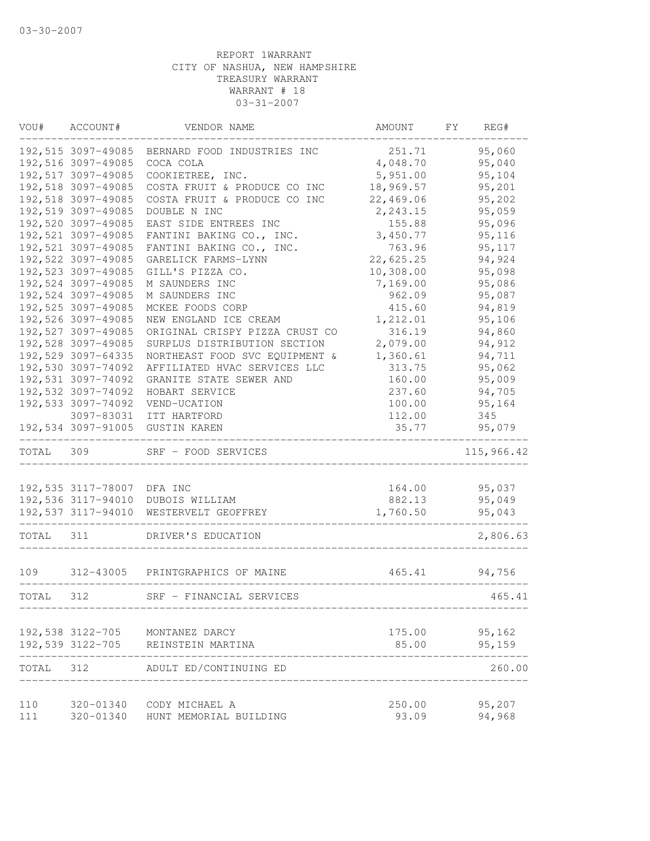| VOU#      | ACCOUNT#                   | VENDOR NAME                        | AMOUNT    | FY | REG#       |
|-----------|----------------------------|------------------------------------|-----------|----|------------|
|           | 192,515 3097-49085         | BERNARD FOOD INDUSTRIES INC        | 251.71    |    | 95,060     |
|           | 192,516 3097-49085         | COCA COLA                          | 4,048.70  |    | 95,040     |
|           | 192,517 3097-49085         | COOKIETREE, INC.                   | 5,951.00  |    | 95,104     |
|           | 192,518 3097-49085         | COSTA FRUIT & PRODUCE CO INC       | 18,969.57 |    | 95,201     |
|           | 192,518 3097-49085         | COSTA FRUIT & PRODUCE CO INC       | 22,469.06 |    | 95,202     |
|           | 192,519 3097-49085         | DOUBLE N INC                       | 2,243.15  |    | 95,059     |
|           | 192,520 3097-49085         | EAST SIDE ENTREES INC              | 155.88    |    | 95,096     |
|           | 192,521 3097-49085         | FANTINI BAKING CO., INC.           | 3,450.77  |    | 95,116     |
|           | 192,521 3097-49085         | FANTINI BAKING CO., INC.           | 763.96    |    | 95,117     |
|           | 192,522 3097-49085         | GARELICK FARMS-LYNN                | 22,625.25 |    | 94,924     |
|           | 192,523 3097-49085         | GILL'S PIZZA CO.                   | 10,308.00 |    | 95,098     |
|           | 192,524 3097-49085         | M SAUNDERS INC                     | 7,169.00  |    | 95,086     |
|           | 192,524 3097-49085         | M SAUNDERS INC                     | 962.09    |    | 95,087     |
|           | 192,525 3097-49085         | MCKEE FOODS CORP                   | 415.60    |    | 94,819     |
|           | 192,526 3097-49085         | NEW ENGLAND ICE CREAM              | 1,212.01  |    | 95,106     |
|           | 192,527 3097-49085         | ORIGINAL CRISPY PIZZA CRUST CO     | 316.19    |    | 94,860     |
|           | 192,528 3097-49085         | SURPLUS DISTRIBUTION SECTION       | 2,079.00  |    | 94,912     |
|           | 192,529 3097-64335         | NORTHEAST FOOD SVC EQUIPMENT &     | 1,360.61  |    | 94,711     |
|           | 192,530 3097-74092         | AFFILIATED HVAC SERVICES LLC       | 313.75    |    | 95,062     |
|           | 192,531 3097-74092         | GRANITE STATE SEWER AND            | 160.00    |    | 95,009     |
|           | 192,532 3097-74092         | HOBART SERVICE                     | 237.60    |    | 94,705     |
|           | 192,533 3097-74092         | VEND-UCATION                       | 100.00    |    | 95,164     |
|           | 3097-83031                 | ITT HARTFORD                       | 112.00    |    | 345        |
|           | 192,534 3097-91005         | <b>GUSTIN KAREN</b>                | 35.77     |    | 95,079     |
| TOTAL     | 309                        | SRF - FOOD SERVICES                |           |    | 115,966.42 |
|           |                            |                                    |           |    |            |
|           | 192,535 3117-78007 DFA INC |                                    | 164.00    |    | 95,037     |
|           | 192,536 3117-94010         | DUBOIS WILLIAM                     | 882.13    |    | 95,049     |
|           | 192,537 3117-94010         | WESTERVELT GEOFFREY                | 1,760.50  |    | 95,043     |
| TOTAL     | 311                        | DRIVER'S EDUCATION                 |           |    | 2,806.63   |
| 109       |                            | 312-43005 PRINTGRAPHICS OF MAINE   | 465.41    |    | 94,756     |
| TOTAL     | 312                        | SRF - FINANCIAL SERVICES           |           |    | 465.41     |
|           |                            |                                    |           |    |            |
|           |                            | 192,538 3122-705 MONTANEZ DARCY    | 175.00    |    | 95,162     |
|           |                            | 192,539 3122-705 REINSTEIN MARTINA | 85.00     |    | 95,159     |
| TOTAL 312 |                            | ADULT ED/CONTINUING ED             |           |    | 260.00     |
| 110       |                            | 320-01340 CODY MICHAEL A           | 250.00    |    | 95,207     |
| 111       |                            | 320-01340 HUNT MEMORIAL BUILDING   | 93.09     |    | 94,968     |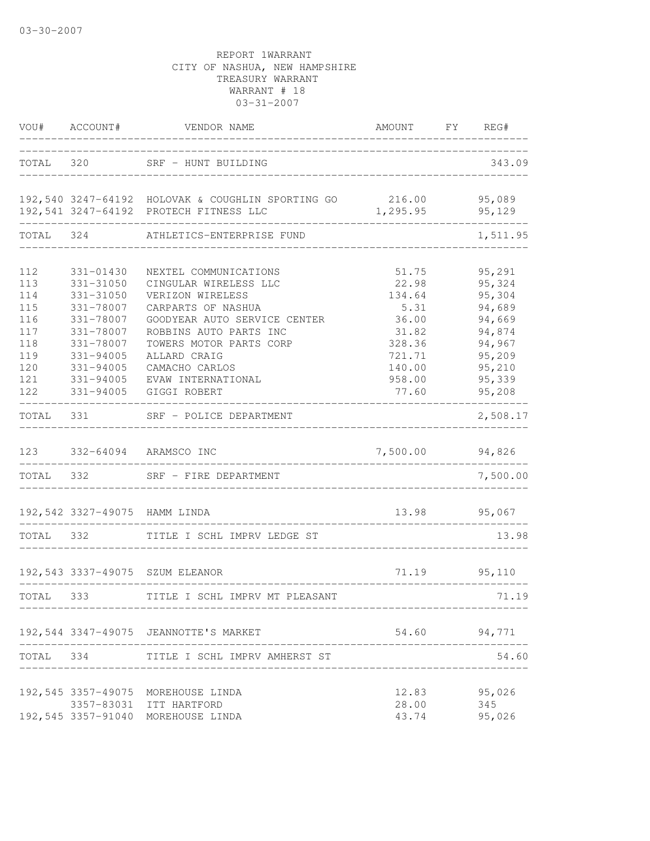|                                                             | VOU# ACCOUNT#                                                                                                     | VENDOR NAME<br>. _ _ _ _ _ _ _ _ _ _ _ _ _ _                                                                                                                                                                    | AMOUNT FY REG#                                                                   |                                                                                        |
|-------------------------------------------------------------|-------------------------------------------------------------------------------------------------------------------|-----------------------------------------------------------------------------------------------------------------------------------------------------------------------------------------------------------------|----------------------------------------------------------------------------------|----------------------------------------------------------------------------------------|
|                                                             |                                                                                                                   | TOTAL 320 SRF - HUNT BUILDING                                                                                                                                                                                   |                                                                                  | 343.09                                                                                 |
|                                                             |                                                                                                                   | 192,540 3247-64192 HOLOVAK & COUGHLIN SPORTING GO 216.00 95,089<br>192,541 3247-64192 PROTECH FITNESS LLC                                                                                                       | 1,295.95                                                                         | 95,129                                                                                 |
| TOTAL 324                                                   |                                                                                                                   | ATHLETICS-ENTERPRISE FUND                                                                                                                                                                                       |                                                                                  | 1,511.95                                                                               |
| 112<br>113<br>114<br>115<br>116<br>117<br>118<br>119<br>120 | 331-01430<br>331-31050<br>331-31050<br>331-78007<br>331-78007<br>331-78007<br>331-78007<br>331-94005<br>331-94005 | NEXTEL COMMUNICATIONS<br>CINGULAR WIRELESS LLC<br>VERIZON WIRELESS<br>CARPARTS OF NASHUA<br>GOODYEAR AUTO SERVICE CENTER<br>ROBBINS AUTO PARTS INC<br>TOWERS MOTOR PARTS CORP<br>ALLARD CRAIG<br>CAMACHO CARLOS | 51.75<br>22.98<br>134.64<br>5.31<br>36.00<br>31.82<br>328.36<br>721.71<br>140.00 | 95,291<br>95,324<br>95,304<br>94,689<br>94,669<br>94,874<br>94,967<br>95,209<br>95,210 |
| 121<br>122                                                  | 331-94005<br>331-94005                                                                                            | EVAW INTERNATIONAL<br>GIGGI ROBERT                                                                                                                                                                              | 958.00<br>77.60                                                                  | 95,339<br>95,208                                                                       |
| TOTAL                                                       | 331                                                                                                               | SRF - POLICE DEPARTMENT                                                                                                                                                                                         |                                                                                  | 2,508.17                                                                               |
| 123                                                         |                                                                                                                   | 332-64094 ARAMSCO INC                                                                                                                                                                                           | 7,500.00                                                                         | 94,826                                                                                 |
| TOTAL 332                                                   |                                                                                                                   | SRF - FIRE DEPARTMENT                                                                                                                                                                                           |                                                                                  | 7,500.00                                                                               |
|                                                             |                                                                                                                   | 192,542 3327-49075 HAMM LINDA                                                                                                                                                                                   | 13.98                                                                            | 95,067                                                                                 |
| TOTAL 332                                                   |                                                                                                                   | TITLE I SCHL IMPRV LEDGE ST                                                                                                                                                                                     |                                                                                  | 13.98                                                                                  |
|                                                             |                                                                                                                   | 192,543 3337-49075 SZUM ELEANOR                                                                                                                                                                                 | 71.19                                                                            | 95,110                                                                                 |
| TOTAL 333                                                   |                                                                                                                   | TITLE I SCHL IMPRV MT PLEASANT                                                                                                                                                                                  |                                                                                  | 71.19                                                                                  |
|                                                             |                                                                                                                   | 192,544 3347-49075 JEANNOTTE'S MARKET                                                                                                                                                                           |                                                                                  | 54.60 94,771                                                                           |
|                                                             |                                                                                                                   | TOTAL 334 TITLE I SCHL IMPRV AMHERST ST                                                                                                                                                                         |                                                                                  | 54.60                                                                                  |
|                                                             |                                                                                                                   | 192,545 3357-49075 MOREHOUSE LINDA<br>3357-83031 ITT HARTFORD<br>192,545 3357-91040 MOREHOUSE LINDA                                                                                                             | 12.83<br>28.00<br>43.74                                                          | 95,026<br>345<br>95,026                                                                |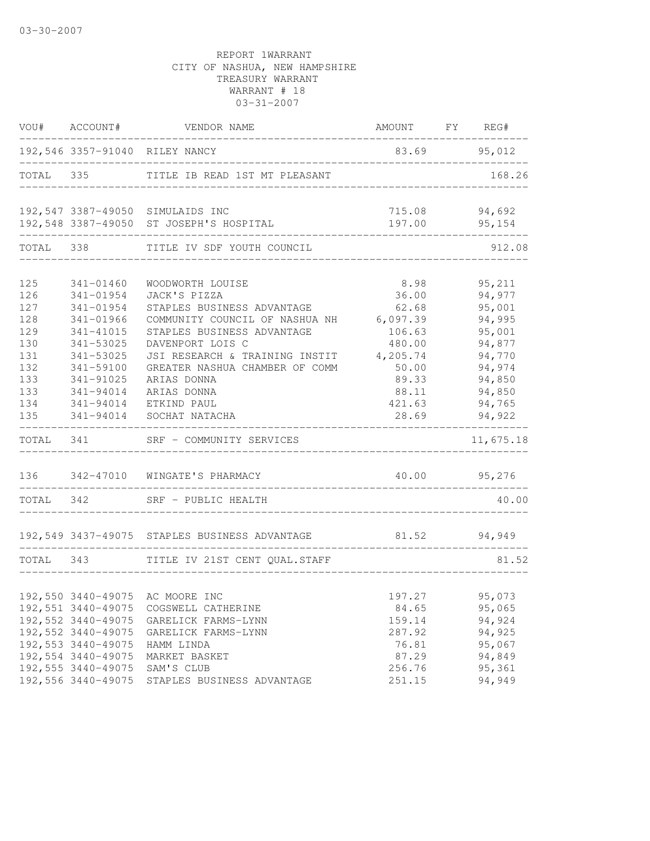|           |                    | VOU# ACCOUNT# VENDOR NAME                                          | AMOUNT FY REG#       |               |
|-----------|--------------------|--------------------------------------------------------------------|----------------------|---------------|
|           |                    | 192,546 3357-91040 RILEY NANCY<br>________________________________ | 83.69 95,012         |               |
|           |                    | TOTAL 335 TITLE IB READ 1ST MT PLEASANT                            |                      | 168.26        |
|           |                    | 192,547 3387-49050 SIMULAIDS INC                                   |                      | 715.08 94,692 |
|           |                    | 192,548 3387-49050 ST JOSEPH'S HOSPITAL                            | ____________________ | 197.00 95,154 |
|           |                    | TOTAL 338 TITLE IV SDF YOUTH COUNCIL                               |                      | 912.08        |
| 125       | 341-01460          | WOODWORTH LOUISE                                                   | 8.98                 | 95,211        |
| 126       | 341-01954          | JACK'S PIZZA                                                       | 36.00                | 94,977        |
| 127       | 341-01954          | STAPLES BUSINESS ADVANTAGE                                         | 62.68                | 95,001        |
| 128       | 341-01966          | COMMUNITY COUNCIL OF NASHUA NH 6,097.39                            |                      | 94,995        |
| 129       | 341-41015          | STAPLES BUSINESS ADVANTAGE                                         | 106.63               | 95,001        |
| 130       | 341-53025          | DAVENPORT LOIS C                                                   | 480.00               | 94,877        |
| 131       | 341-53025          | JSI RESEARCH & TRAINING INSTIT                                     | 4,205.74             | 94,770        |
| 132       | 341-59100          | GREATER NASHUA CHAMBER OF COMM                                     | 50.00                | 94,974        |
| 133       | 341-91025          | ARIAS DONNA                                                        | 89.33                | 94,850        |
| 133       | 341-94014          | ARIAS DONNA                                                        | 88.11                | 94,850        |
| 134       | 341-94014          | ETKIND PAUL                                                        |                      | 421.63 94,765 |
| 135       | 341-94014          | SOCHAT NATACHA                                                     | 28.69                | 94,922        |
| TOTAL 341 |                    | SRF - COMMUNITY SERVICES                                           |                      | 11,675.18     |
|           |                    | 136 342-47010 WINGATE'S PHARMACY                                   | 40.00 95,276         |               |
|           |                    | TOTAL 342 SRF - PUBLIC HEALTH                                      |                      | 40.00         |
|           |                    | 192,549 3437-49075 STAPLES BUSINESS ADVANTAGE                      | 81.52 94,949         |               |
| TOTAL 343 |                    | TITLE IV 21ST CENT QUAL.STAFF                                      |                      | 81.52         |
|           |                    |                                                                    |                      |               |
|           |                    | 192,550 3440-49075 AC MOORE INC                                    | 197.27               | 95,073        |
|           | 192,551 3440-49075 | COGSWELL CATHERINE                                                 | 84.65                | 95,065        |
|           | 192,552 3440-49075 | GARELICK FARMS-LYNN                                                | 159.14               | 94,924        |
|           | 192,552 3440-49075 | GARELICK FARMS-LYNN                                                | 287.92               | 94,925        |
|           | 192,553 3440-49075 | HAMM LINDA                                                         | 76.81                | 95,067        |
|           | 192,554 3440-49075 | MARKET BASKET                                                      | 87.29                | 94,849        |
|           | 192,555 3440-49075 | SAM'S CLUB                                                         | 256.76               | 95,361        |
|           | 192,556 3440-49075 | STAPLES BUSINESS ADVANTAGE                                         | 251.15               | 94,949        |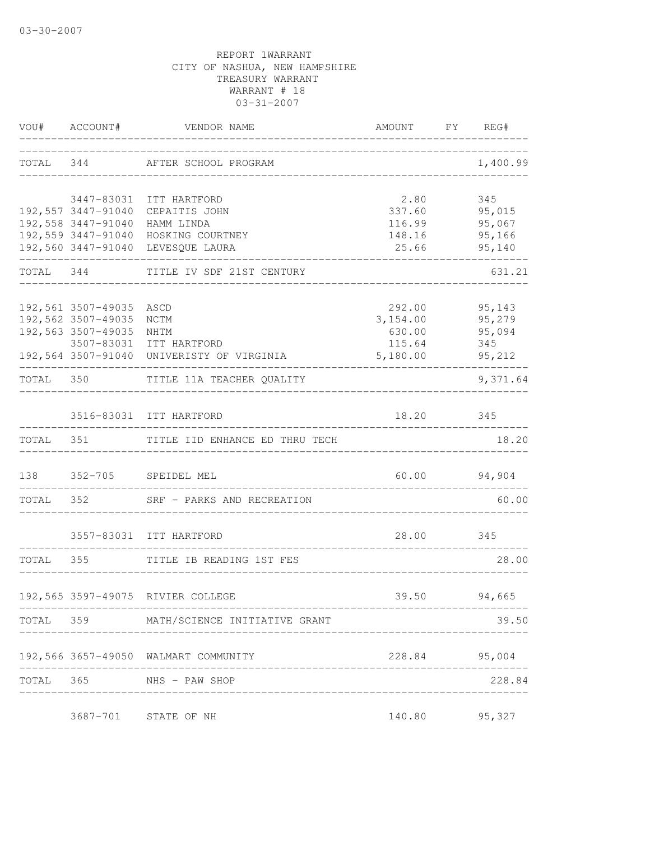|           |                                 | VOU# ACCOUNT# VENDOR NAME                                           | AMOUNT FY REG#                            |               |
|-----------|---------------------------------|---------------------------------------------------------------------|-------------------------------------------|---------------|
|           |                                 | TOTAL 344 AFTER SCHOOL PROGRAM                                      | _______________________________           | 1,400.99      |
|           |                                 | 3447-83031 ITT HARTFORD                                             | 2.80                                      | 345           |
|           |                                 | 192,557 3447-91040 CEPAITIS JOHN                                    |                                           | 337.60 95,015 |
|           |                                 | 192,558 3447-91040 HAMM LINDA                                       | 116.99                                    | 95,067        |
|           |                                 | 192,559 3447-91040 HOSKING COURTNEY                                 | 148.16                                    | 95,166        |
|           | _______________________________ | 192,560 3447-91040 LEVESQUE LAURA                                   | 25.66<br>________________________________ | 95,140        |
| TOTAL 344 |                                 | TITLE IV SDF 21ST CENTURY<br>______________________________________ | ____________________________________      | 631.21        |
|           | 192,561 3507-49035              | ASCD                                                                |                                           | 292.00 95,143 |
|           | 192,562 3507-49035              | NCTM                                                                | 3, 154.00 95, 279                         |               |
|           | 192,563 3507-49035              | NHTM                                                                | 630.00                                    | 95,094        |
|           |                                 | 3507-83031 ITT HARTFORD                                             | 115.64                                    | 345           |
|           |                                 | 192,564 3507-91040 UNIVERISTY OF VIRGINIA                           | 5,180.00                                  | 95,212        |
|           |                                 | TOTAL 350 TITLE 11A TEACHER QUALITY                                 |                                           | 9,371.64      |
|           |                                 | 3516-83031 ITT HARTFORD                                             | 18.20                                     | 345           |
|           |                                 | TOTAL 351 TITLE IID ENHANCE ED THRU TECH                            |                                           | 18.20         |
|           |                                 | 138 352-705 SPEIDEL MEL                                             | $60.00$ 94,904                            |               |
| TOTAL 352 |                                 | SRF - PARKS AND RECREATION                                          |                                           | 60.00         |
|           |                                 |                                                                     |                                           |               |
|           |                                 | 3557-83031 ITT HARTFORD                                             | 28.00 345                                 |               |
| TOTAL 355 |                                 | TITLE IB READING 1ST FES                                            | ----------------------------              | 28.00         |
|           |                                 | 192,565 3597-49075 RIVIER COLLEGE                                   |                                           | 39.50 94,665  |
|           |                                 | TOTAL 359 MATH/SCIENCE INITIATIVE GRANT                             |                                           | 39.50         |
|           |                                 |                                                                     |                                           |               |
|           |                                 | 192,566 3657-49050 WALMART COMMUNITY                                |                                           | 228.84 95,004 |
|           |                                 | TOTAL 365 NHS - PAW SHOP                                            |                                           | 228.84        |
|           |                                 | 3687-701 STATE OF NH                                                | 140.80                                    | 95,327        |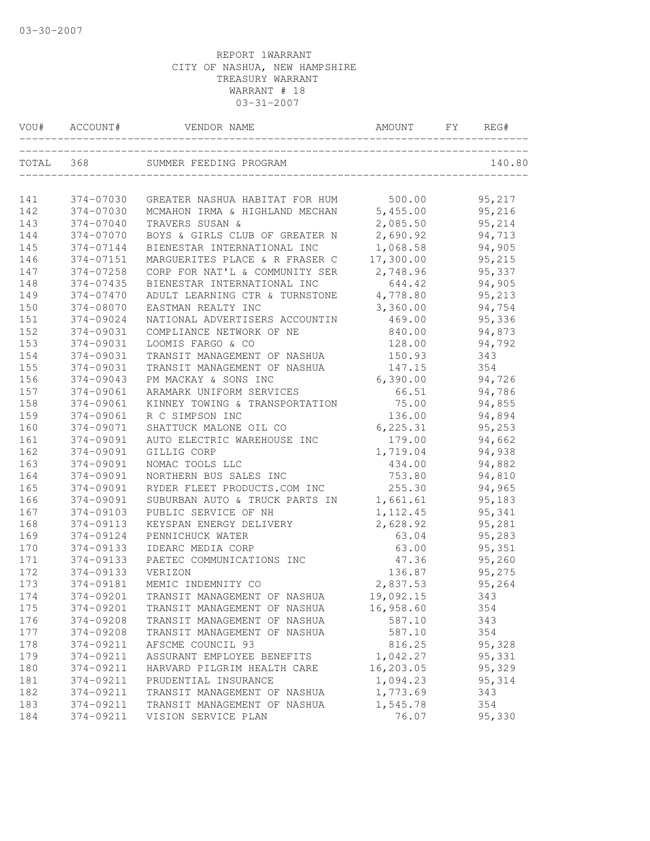| VOU#  | ACCOUNT#      | VENDOR NAME                    | <b>AMOUNT</b> | FY | REG#    |
|-------|---------------|--------------------------------|---------------|----|---------|
| TOTAL | 368           | SUMMER FEEDING PROGRAM         |               |    | 140.80  |
| 141   | 374-07030     | GREATER NASHUA HABITAT FOR HUM | 500.00        |    | 95,217  |
| 142   | 374-07030     | MCMAHON IRMA & HIGHLAND MECHAN | 5,455.00      |    | 95,216  |
| 143   | 374-07040     | TRAVERS SUSAN &                | 2,085.50      |    | 95,214  |
| 144   | 374-07070     | BOYS & GIRLS CLUB OF GREATER N | 2,690.92      |    | 94,713  |
| 145   | 374-07144     | BIENESTAR INTERNATIONAL INC    | 1,068.58      |    | 94,905  |
| 146   | 374-07151     | MARGUERITES PLACE & R FRASER C | 17,300.00     |    | 95,215  |
| 147   | 374-07258     | CORP FOR NAT'L & COMMUNITY SER | 2,748.96      |    | 95,337  |
| 148   | $374 - 07435$ | BIENESTAR INTERNATIONAL INC    | 644.42        |    | 94,905  |
| 149   | 374-07470     | ADULT LEARNING CTR & TURNSTONE | 4,778.80      |    | 95,213  |
| 150   | 374-08070     | EASTMAN REALTY INC             | 3,360.00      |    | 94,754  |
| 151   | 374-09024     | NATIONAL ADVERTISERS ACCOUNTIN | 469.00        |    | 95,336  |
| 152   | 374-09031     | COMPLIANCE NETWORK OF NE       | 840.00        |    | 94,873  |
| 153   | 374-09031     | LOOMIS FARGO & CO              | 128.00        |    | 94,792  |
| 154   | 374-09031     | TRANSIT MANAGEMENT OF NASHUA   | 150.93        |    | 343     |
| 155   | 374-09031     | TRANSIT MANAGEMENT OF NASHUA   | 147.15        |    | 354     |
| 156   | 374-09043     | PM MACKAY & SONS INC           | 6,390.00      |    | 94,726  |
| 157   | 374-09061     | ARAMARK UNIFORM SERVICES       | 66.51         |    | 94,786  |
| 158   | 374-09061     | KINNEY TOWING & TRANSPORTATION | 75.00         |    | 94,855  |
| 159   | 374-09061     | R C SIMPSON INC                | 136.00        |    | 94,894  |
| 160   | 374-09071     | SHATTUCK MALONE OIL CO         | 6, 225.31     |    | 95,253  |
| 161   | 374-09091     | AUTO ELECTRIC WAREHOUSE INC    | 179.00        |    | 94,662  |
| 162   | 374-09091     | GILLIG CORP                    | 1,719.04      |    | 94,938  |
| 163   | 374-09091     | NOMAC TOOLS LLC                | 434.00        |    | 94,882  |
| 164   | 374-09091     | NORTHERN BUS SALES INC         | 753.80        |    | 94,810  |
| 165   | 374-09091     | RYDER FLEET PRODUCTS.COM INC   | 255.30        |    | 94,965  |
| 166   | 374-09091     | SUBURBAN AUTO & TRUCK PARTS IN | 1,661.61      |    | 95,183  |
| 167   | 374-09103     | PUBLIC SERVICE OF NH           | 1, 112.45     |    | 95,341  |
| 168   | 374-09113     | KEYSPAN ENERGY DELIVERY        | 2,628.92      |    | 95,281  |
| 169   | 374-09124     | PENNICHUCK WATER               | 63.04         |    | 95,283  |
| 170   | 374-09133     | IDEARC MEDIA CORP              | 63.00         |    | 95,351  |
| 171   | 374-09133     | PAETEC COMMUNICATIONS INC      | 47.36         |    | 95,260  |
| 172   | 374-09133     | VERIZON                        | 136.87        |    | 95,275  |
| 173   | 374-09181     | MEMIC INDEMNITY CO             | 2,837.53      |    | 95,264  |
| 174   | 374-09201     | TRANSIT MANAGEMENT OF NASHUA   | 19,092.15     |    | 343     |
| 175   | 374-09201     | TRANSIT MANAGEMENT OF NASHUA   | 16,958.60     |    | 354     |
| 176   | 374-09208     | TRANSIT MANAGEMENT OF NASHUA   | 587.10        |    | 343     |
| 177   | 374-09208     | TRANSIT MANAGEMENT OF NASHUA   | 587.10        |    | 354     |
| 178   | 374-09211     | AFSCME COUNCIL 93              | 816.25        |    | 95,328  |
| 179   | 374-09211     | ASSURANT EMPLOYEE BENEFITS     | 1,042.27      |    | 95,331  |
| 180   | 374-09211     | HARVARD PILGRIM HEALTH CARE    | 16,203.05     |    | 95,329  |
| 181   | 374-09211     | PRUDENTIAL INSURANCE           | 1,094.23      |    | 95, 314 |
| 182   | 374-09211     | TRANSIT MANAGEMENT OF NASHUA   | 1,773.69      |    | 343     |
| 183   | 374-09211     | TRANSIT MANAGEMENT OF NASHUA   | 1,545.78      |    | 354     |
| 184   | 374-09211     | VISION SERVICE PLAN            | 76.07         |    | 95,330  |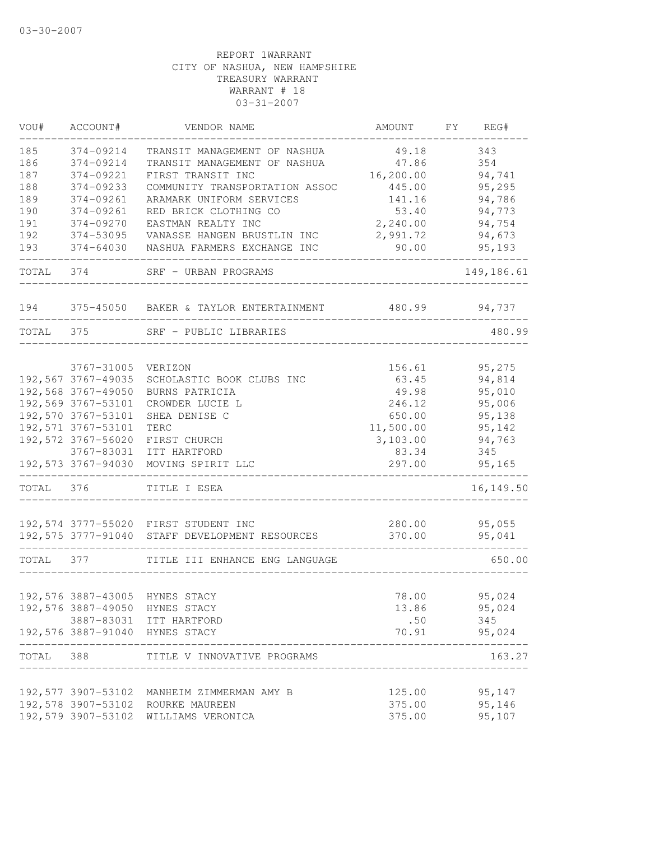| VOU#      | ACCOUNT#            | VENDOR NAME                                                         | AMOUNT           | FY | REG#             |
|-----------|---------------------|---------------------------------------------------------------------|------------------|----|------------------|
| 185       | 374-09214           | TRANSIT MANAGEMENT OF NASHUA                                        | 49.18            |    | 343              |
| 186       | 374-09214           | TRANSIT MANAGEMENT OF NASHUA                                        | 47.86            |    | 354              |
| 187       | 374-09221           | FIRST TRANSIT INC                                                   | 16,200.00        |    | 94,741           |
| 188       | 374-09233           | COMMUNITY TRANSPORTATION ASSOC                                      | 445.00           |    | 95,295           |
| 189       | 374-09261           | ARAMARK UNIFORM SERVICES                                            | 141.16           |    | 94,786           |
| 190       | 374-09261           | RED BRICK CLOTHING CO                                               | 53.40            |    | 94,773           |
| 191       | 374-09270           | EASTMAN REALTY INC                                                  | 2,240.00         |    | 94,754           |
| 192       | 374-53095           | VANASSE HANGEN BRUSTLIN INC                                         | 2,991.72         |    | 94,673           |
| 193       | 374-64030           | NASHUA FARMERS EXCHANGE INC                                         | 90.00            |    | 95,193           |
| TOTAL 374 |                     | SRF - URBAN PROGRAMS                                                |                  |    | 149,186.61       |
| 194       |                     | 375-45050 BAKER & TAYLOR ENTERTAINMENT                              | 480.99           |    | 94,737           |
| TOTAL     | 375                 | SRF - PUBLIC LIBRARIES                                              |                  |    | 480.99           |
|           |                     |                                                                     |                  |    |                  |
|           | 3767-31005          | VERIZON                                                             | 156.61           |    | 95,275           |
|           | 192,567 3767-49035  | SCHOLASTIC BOOK CLUBS INC                                           | 63.45            |    | 94,814           |
|           | 192,568 3767-49050  | BURNS PATRICIA                                                      | 49.98            |    | 95,010           |
|           | 192,569 3767-53101  | CROWDER LUCIE L                                                     | 246.12           |    | 95,006           |
|           | 192,570 3767-53101  | SHEA DENISE C                                                       | 650.00           |    | 95,138           |
|           | 192,571 3767-53101  | TERC                                                                | 11,500.00        |    | 95,142           |
|           | 192,572 3767-56020  | FIRST CHURCH                                                        | 3,103.00         |    | 94,763           |
|           |                     | 3767-83031 ITT HARTFORD                                             | 83.34            |    | 345              |
|           | 192,573 3767-94030  | MOVING SPIRIT LLC<br>____________________                           | 297.00           |    | 95,165           |
| TOTAL     | 376                 | TITLE I ESEA                                                        |                  |    | 16, 149.50       |
|           |                     |                                                                     |                  |    |                  |
|           | 192,575 3777-91040  | 192,574 3777-55020 FIRST STUDENT INC<br>STAFF DEVELOPMENT RESOURCES | 280.00<br>370.00 |    | 95,055<br>95,041 |
|           |                     |                                                                     |                  |    |                  |
| TOTAL     | 377                 | TITLE III ENHANCE ENG LANGUAGE                                      |                  |    | 650.00           |
|           |                     | 192,576 3887-43005 HYNES STACY                                      | 78.00            |    | 95,024           |
|           |                     | 192,576 3887-49050 HYNES STACY                                      | 13.86            |    | 95,024           |
|           |                     | 3887-83031 ITT HARTFORD                                             | .50              |    | 345              |
|           |                     | 192,576 3887-91040 HYNES STACY                                      | 70.91            |    | 95,024           |
| TOTAL 388 |                     | TITLE V INNOVATIVE PROGRAMS                                         |                  |    | 163.27           |
|           | ------------------- |                                                                     |                  |    |                  |
|           |                     | 192,577 3907-53102 MANHEIM ZIMMERMAN AMY B                          | 125.00           |    | 95,147           |
|           |                     | 192,578 3907-53102 ROURKE MAUREEN                                   | 375.00           |    | 95,146           |
|           |                     | 192,579 3907-53102 WILLIAMS VERONICA                                | 375.00           |    | 95,107           |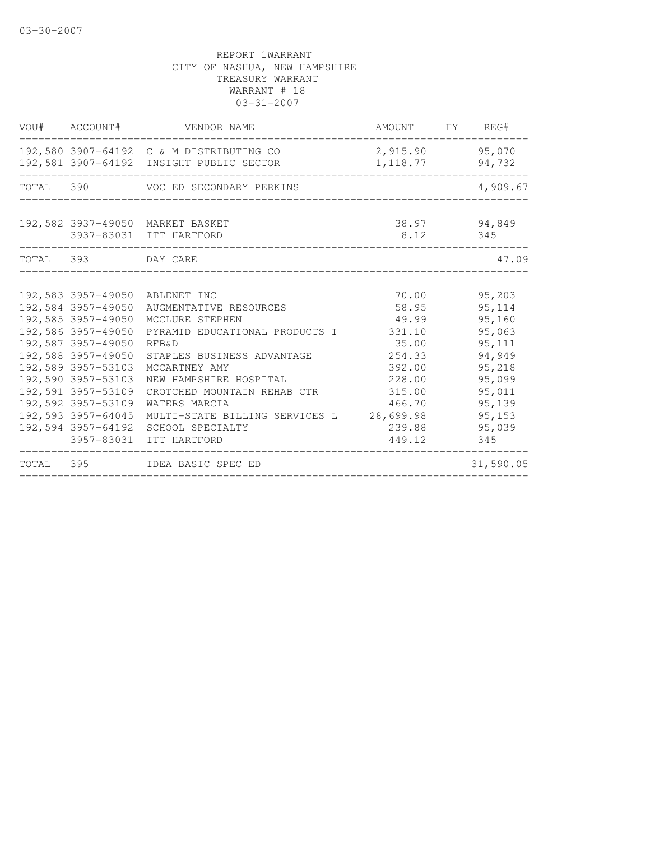| VOU# ACCOUNT#                                                                                                                                                                                                                                                | VENDOR NAME                                                                                                                                                                                                                                                                                                                                | AMOUNT FY REG#                                                                                                   |                                                                                                                                |
|--------------------------------------------------------------------------------------------------------------------------------------------------------------------------------------------------------------------------------------------------------------|--------------------------------------------------------------------------------------------------------------------------------------------------------------------------------------------------------------------------------------------------------------------------------------------------------------------------------------------|------------------------------------------------------------------------------------------------------------------|--------------------------------------------------------------------------------------------------------------------------------|
|                                                                                                                                                                                                                                                              | 192,580 3907-64192 C & M DISTRIBUTING CO<br>192,581 3907-64192 INSIGHT PUBLIC SECTOR                                                                                                                                                                                                                                                       | 2,915.90 95,070<br>1, 118.77                                                                                     | 94,732                                                                                                                         |
|                                                                                                                                                                                                                                                              | TOTAL 390 VOC ED SECONDARY PERKINS                                                                                                                                                                                                                                                                                                         |                                                                                                                  | 4,909.67                                                                                                                       |
|                                                                                                                                                                                                                                                              | 192,582 3937-49050 MARKET BASKET<br>3937-83031 ITT HARTFORD                                                                                                                                                                                                                                                                                | 8.12                                                                                                             | 38.97 94,849<br>345                                                                                                            |
| TOTAL 393 DAY CARE                                                                                                                                                                                                                                           |                                                                                                                                                                                                                                                                                                                                            |                                                                                                                  | 47.09                                                                                                                          |
| 192,584 3957-49050<br>192,585 3957-49050<br>192,586 3957-49050<br>192,587 3957-49050<br>192,588 3957-49050<br>192,589 3957-53103<br>192,590 3957-53103<br>192,591 3957-53109<br>192,592 3957-53109<br>192,593 3957-64045<br>192,594 3957-64192<br>3957-83031 | 192,583 3957-49050 ABLENET INC<br>AUGMENTATIVE RESOURCES<br>MCCLURE STEPHEN<br>PYRAMID EDUCATIONAL PRODUCTS I<br><b>RFB&amp;D</b><br>STAPLES BUSINESS ADVANTAGE<br>MCCARTNEY AMY<br>NEW HAMPSHIRE HOSPITAL<br>CROTCHED MOUNTAIN REHAB CTR<br>WATERS MARCIA<br>MULTI-STATE BILLING SERVICES L 28,699.98<br>SCHOOL SPECIALTY<br>ITT HARTFORD | 70.00<br>58.95<br>49.99<br>331.10<br>35.00<br>254.33<br>392.00<br>228.00<br>315.00<br>466.70<br>239.88<br>449.12 | 95,203<br>95, 114<br>95,160<br>95,063<br>95, 111<br>94,949<br>95,218<br>95,099<br>95,011<br>95,139<br>95, 153<br>95,039<br>345 |
|                                                                                                                                                                                                                                                              | TOTAL 395 IDEA BASIC SPEC ED                                                                                                                                                                                                                                                                                                               |                                                                                                                  | 31,590.05                                                                                                                      |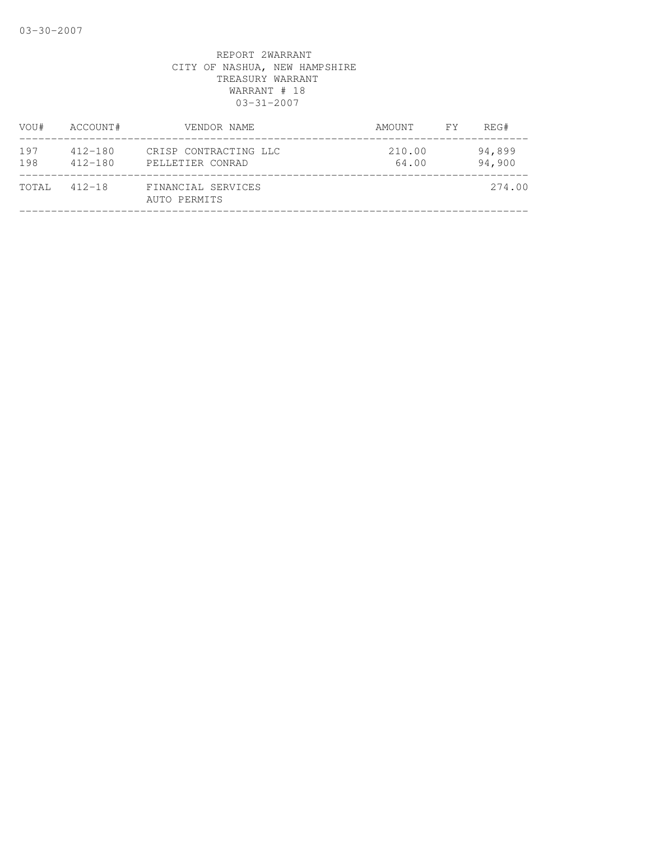| ACCOUNT#                   | VENDOR NAME                               | AMOUNT          | REG#             |
|----------------------------|-------------------------------------------|-----------------|------------------|
| $412 - 180$<br>$412 - 180$ | CRISP CONTRACTING LLC<br>PELLETIER CONRAD | 210.00<br>64.00 | 94,899<br>94,900 |
| $412 - 18$                 | FINANCIAL SERVICES<br>AUTO PERMITS        |                 | 274.00           |
|                            |                                           |                 | FY               |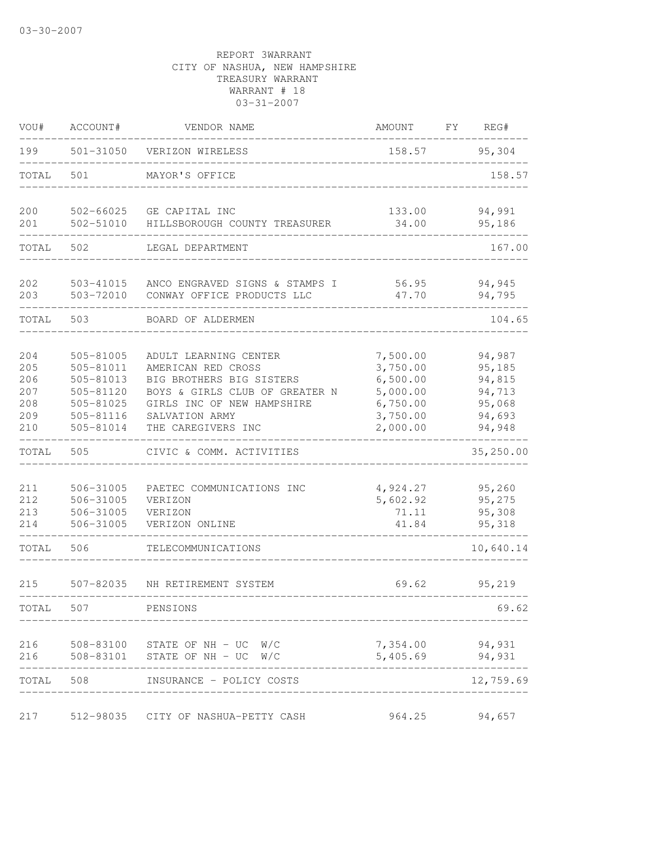| VOU#                                          | ACCOUNT#                                                                                | VENDOR NAME                                                                                                                                                                     | AMOUNT                                                                           | FΥ<br>REG#                                                         |
|-----------------------------------------------|-----------------------------------------------------------------------------------------|---------------------------------------------------------------------------------------------------------------------------------------------------------------------------------|----------------------------------------------------------------------------------|--------------------------------------------------------------------|
| 199                                           | 501-31050                                                                               | VERIZON WIRELESS                                                                                                                                                                | 158.57                                                                           | 95,304                                                             |
| TOTAL                                         | 501                                                                                     | MAYOR'S OFFICE                                                                                                                                                                  |                                                                                  | 158.57                                                             |
| 200<br>201                                    | 502-66025<br>502-51010                                                                  | GE CAPITAL INC                                                                                                                                                                  | 133.00                                                                           | 94,991<br>95,186                                                   |
|                                               |                                                                                         | HILLSBOROUGH COUNTY TREASURER                                                                                                                                                   | 34.00                                                                            |                                                                    |
| TOTAL                                         | 502                                                                                     | LEGAL DEPARTMENT                                                                                                                                                                |                                                                                  | 167.00                                                             |
| 202<br>203                                    | 503-41015<br>503-72010                                                                  | ANCO ENGRAVED SIGNS & STAMPS I<br>CONWAY OFFICE PRODUCTS LLC                                                                                                                    | 56.95<br>47.70                                                                   | 94,945<br>94,795                                                   |
| TOTAL                                         | 503                                                                                     | BOARD OF ALDERMEN                                                                                                                                                               |                                                                                  | 104.65                                                             |
| 204<br>205<br>206<br>207<br>208<br>209<br>210 | 505-81005<br>505-81011<br>505-81013<br>505-81120<br>505-81025<br>505-81116<br>505-81014 | ADULT LEARNING CENTER<br>AMERICAN RED CROSS<br>BIG BROTHERS BIG SISTERS<br>BOYS & GIRLS CLUB OF GREATER N<br>GIRLS INC OF NEW HAMPSHIRE<br>SALVATION ARMY<br>THE CAREGIVERS INC | 7,500.00<br>3,750.00<br>6,500.00<br>5,000.00<br>6,750.00<br>3,750.00<br>2,000.00 | 94,987<br>95,185<br>94,815<br>94,713<br>95,068<br>94,693<br>94,948 |
| TOTAL                                         | 505                                                                                     | CIVIC & COMM. ACTIVITIES                                                                                                                                                        |                                                                                  | 35,250.00                                                          |
| 211<br>212<br>213<br>214                      | 506-31005<br>506-31005<br>506-31005<br>506-31005                                        | PAETEC COMMUNICATIONS INC<br>VERIZON<br>VERIZON<br>VERIZON ONLINE                                                                                                               | 4,924.27<br>5,602.92<br>71.11<br>41.84                                           | 95,260<br>95,275<br>95,308<br>95,318                               |
| TOTAL                                         | 506                                                                                     | TELECOMMUNICATIONS                                                                                                                                                              |                                                                                  | 10,640.14                                                          |
| 215                                           | 507-82035                                                                               | NH RETIREMENT SYSTEM                                                                                                                                                            | 69.62                                                                            | 95,219                                                             |
| TOTAL                                         | 507                                                                                     | PENSIONS                                                                                                                                                                        |                                                                                  | 69.62                                                              |
| 216<br>216                                    | 508-83101                                                                               | 508-83100 STATE OF NH - UC W/C<br>STATE OF $NH - UC$ W/C                                                                                                                        | 5,405.69                                                                         | 7,354.00 94,931<br>94,931                                          |
| TOTAL                                         | 508                                                                                     | INSURANCE - POLICY COSTS                                                                                                                                                        |                                                                                  | 12,759.69                                                          |
| 217                                           | 512-98035                                                                               | CITY OF NASHUA-PETTY CASH                                                                                                                                                       | 964.25                                                                           | 94,657                                                             |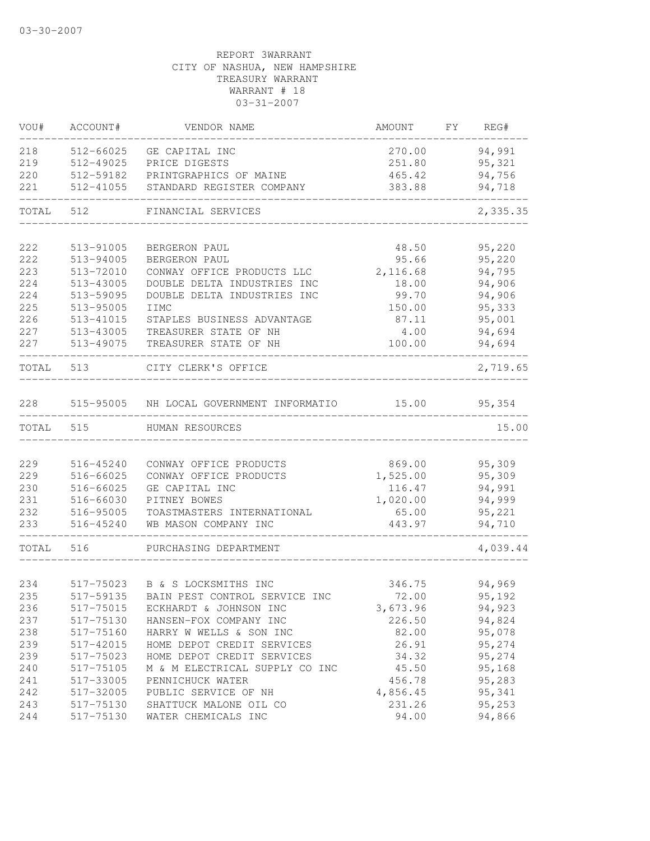| VOU#       | ACCOUNT#               | VENDOR NAME                                           | AMOUNT             | FY REG#          |
|------------|------------------------|-------------------------------------------------------|--------------------|------------------|
| 218        | 512-66025              | GE CAPITAL INC                                        | 270.00             | 94,991           |
| 219        | 512-49025              | PRICE DIGESTS                                         | 251.80             | 95,321           |
| 220        | 512-59182              | PRINTGRAPHICS OF MAINE                                | 465.42             | 94,756           |
| 221        | 512-41055              | STANDARD REGISTER COMPANY                             | 383.88             | 94,718           |
| TOTAL      | 512                    | FINANCIAL SERVICES                                    |                    | 2,335.35         |
|            |                        |                                                       |                    |                  |
| 222        | 513-91005              | BERGERON PAUL                                         | 48.50              | 95,220           |
| 222        | 513-94005              | BERGERON PAUL                                         | 95.66              | 95,220           |
| 223        | 513-72010              | CONWAY OFFICE PRODUCTS LLC                            | 2,116.68           | 94,795           |
| 224        | 513-43005              | DOUBLE DELTA INDUSTRIES INC                           | 18.00              | 94,906           |
| 224        | 513-59095              | DOUBLE DELTA INDUSTRIES INC                           | 99.70              | 94,906           |
| 225        | 513-95005              | IIMC                                                  | 150.00             | 95,333           |
| 226        | 513-41015              | STAPLES BUSINESS ADVANTAGE                            | 87.11              | 95,001           |
| 227        | 513-43005              | TREASURER STATE OF NH                                 | 4.00               | 94,694           |
| 227        | 513-49075              | TREASURER STATE OF NH                                 | 100.00             | 94,694           |
| TOTAL 513  |                        | CITY CLERK'S OFFICE                                   |                    | 2,719.65         |
| 228        |                        | 515-95005 NH LOCAL GOVERNMENT INFORMATIO 15.00        |                    | 95,354           |
|            |                        |                                                       |                    |                  |
| TOTAL 515  |                        | HUMAN RESOURCES                                       |                    | 15.00            |
| 229        | 516-45240              | CONWAY OFFICE PRODUCTS                                | 869.00             | 95,309           |
| 229        | 516-66025              | CONWAY OFFICE PRODUCTS                                | 1,525.00           | 95,309           |
| 230        | 516-66025              | GE CAPITAL INC                                        | 116.47             | 94,991           |
| 231        | 516-66030              | PITNEY BOWES                                          | 1,020.00           | 94,999           |
| 232        | 516-95005              | TOASTMASTERS INTERNATIONAL                            | 65.00              | 95,221           |
| 233        | 516-45240              | WB MASON COMPANY INC                                  | 443.97             | 94,710           |
| TOTAL      | 516                    | PURCHASING DEPARTMENT                                 |                    | 4,039.44         |
| 234        | 517-75023              |                                                       | 346.75             | 94,969           |
| 235        | 517-59135              | B & S LOCKSMITHS INC<br>BAIN PEST CONTROL SERVICE INC |                    |                  |
|            |                        | ECKHARDT & JOHNSON INC                                | 72.00              | 95,192<br>94,923 |
| 236<br>237 | 517-75015<br>517-75130 |                                                       | 3,673.96<br>226.50 | 94,824           |
|            |                        | HANSEN-FOX COMPANY INC                                |                    |                  |
| 238        | 517-75160              | HARRY W WELLS & SON INC                               | 82.00              | 95,078           |
| 239        | 517-42015              | HOME DEPOT CREDIT SERVICES                            | 26.91              | 95,274           |
| 239        | 517-75023              | HOME DEPOT CREDIT SERVICES                            | 34.32              | 95,274           |
| 240        | 517-75105              | M & M ELECTRICAL SUPPLY CO INC                        | 45.50              | 95,168           |
| 241        | 517-33005              | PENNICHUCK WATER                                      | 456.78<br>4,856.45 | 95,283<br>95,341 |
| 242<br>243 | 517-32005<br>517-75130 | PUBLIC SERVICE OF NH<br>SHATTUCK MALONE OIL CO        | 231.26             | 95,253           |
| 244        | 517-75130              | WATER CHEMICALS INC                                   | 94.00              | 94,866           |
|            |                        |                                                       |                    |                  |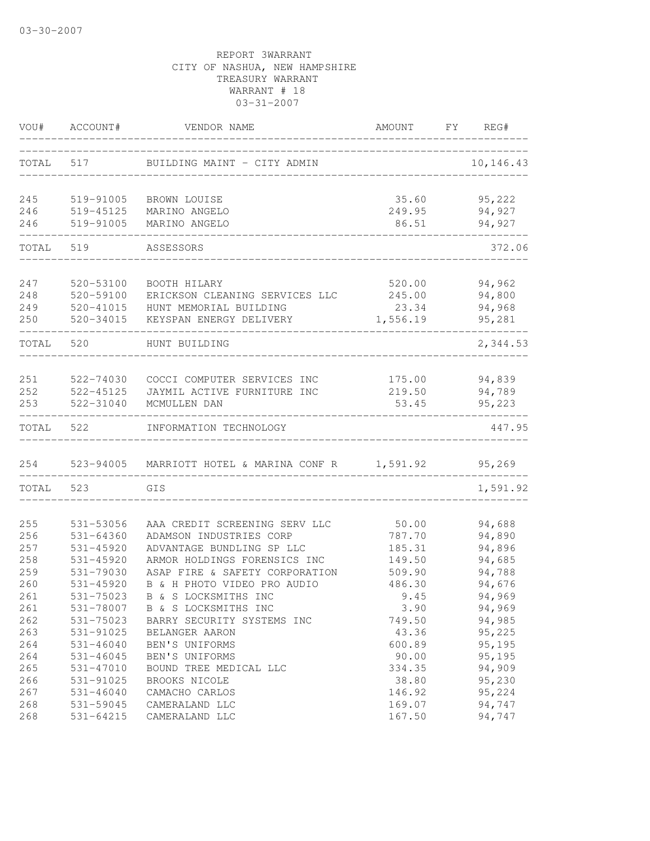| VOU#       | ACCOUNT#                   | VENDOR NAME                                              | AMOUNT           | FY | REG#             |
|------------|----------------------------|----------------------------------------------------------|------------------|----|------------------|
| TOTAL      | 517                        | BUILDING MAINT - CITY ADMIN                              |                  |    | 10,146.43        |
|            |                            |                                                          |                  |    |                  |
| 245        | 519-91005                  | BROWN LOUISE                                             | 35.60            |    | 95,222           |
| 246        | 519-45125                  | MARINO ANGELO                                            | 249.95           |    | 94,927           |
| 246        | 519-91005                  | MARINO ANGELO                                            | 86.51            |    | 94,927           |
| TOTAL      | 519                        | ASSESSORS                                                |                  |    | 372.06           |
|            |                            |                                                          |                  |    |                  |
| 247        | 520-53100                  | BOOTH HILARY                                             | 520.00           |    | 94,962<br>94,800 |
| 248        | 520-59100                  | ERICKSON CLEANING SERVICES LLC                           | 245.00           |    |                  |
| 249        | 520-41015                  | HUNT MEMORIAL BUILDING                                   | 23.34            |    | 94,968           |
| 250        | 520-34015                  | KEYSPAN ENERGY DELIVERY                                  | 1,556.19         |    | 95,281           |
| TOTAL      | 520                        | HUNT BUILDING                                            |                  |    | 2,344.53         |
|            |                            |                                                          |                  |    |                  |
| 251        | 522-74030                  | COCCI COMPUTER SERVICES INC                              | 175.00           |    | 94,839           |
| 252        | 522-45125                  | JAYMIL ACTIVE FURNITURE INC                              | 219.50           |    | 94,789           |
| 253        | 522-31040                  | MCMULLEN DAN                                             | 53.45            |    | 95,223           |
| TOTAL      | 522                        | INFORMATION TECHNOLOGY                                   |                  |    | 447.95           |
| 254        | 523-94005                  | MARRIOTT HOTEL & MARINA CONF R 1,591.92                  |                  |    | 95,269           |
| TOTAL      | 523                        | GIS                                                      |                  |    | 1,591.92         |
|            |                            |                                                          |                  |    |                  |
| 255<br>256 | 531-53056                  | AAA CREDIT SCREENING SERV LLC<br>ADAMSON INDUSTRIES CORP | 50.00            |    | 94,688           |
| 257        | 531-64360<br>$531 - 45920$ | ADVANTAGE BUNDLING SP LLC                                | 787.70           |    | 94,890<br>94,896 |
| 258        | $531 - 45920$              | ARMOR HOLDINGS FORENSICS INC                             | 185.31           |    | 94,685           |
| 259        | 531-79030                  | ASAP FIRE & SAFETY CORPORATION                           | 149.50<br>509.90 |    | 94,788           |
| 260        | 531-45920                  | B & H PHOTO VIDEO PRO AUDIO                              |                  |    |                  |
|            |                            |                                                          | 486.30           |    | 94,676           |
| 261        | 531-75023                  | B & S LOCKSMITHS INC<br>B & S LOCKSMITHS INC             | 9.45             |    | 94,969           |
| 261<br>262 | 531-78007<br>531-75023     |                                                          | 3.90             |    | 94,969           |
|            |                            | BARRY SECURITY SYSTEMS INC                               | 749.50           |    | 94,985           |
| 263        | 531-91025                  | BELANGER AARON                                           | 43.36            |    | 95,225           |
| 264        | $531 - 46040$              | BEN'S UNIFORMS                                           | 600.89           |    | 95,195           |
| 264        | 531-46045                  | BEN'S UNIFORMS                                           | 90.00            |    | 95,195           |
| 265        | 531-47010                  | BOUND TREE MEDICAL LLC                                   | 334.35           |    | 94,909           |
| 266        | 531-91025                  | BROOKS NICOLE                                            | 38.80            |    | 95,230           |
| 267        | $531 - 46040$              | CAMACHO CARLOS                                           | 146.92           |    | 95,224<br>94,747 |
| 268<br>268 | 531-59045<br>531-64215     | CAMERALAND LLC<br>CAMERALAND LLC                         | 169.07<br>167.50 |    | 94,747           |
|            |                            |                                                          |                  |    |                  |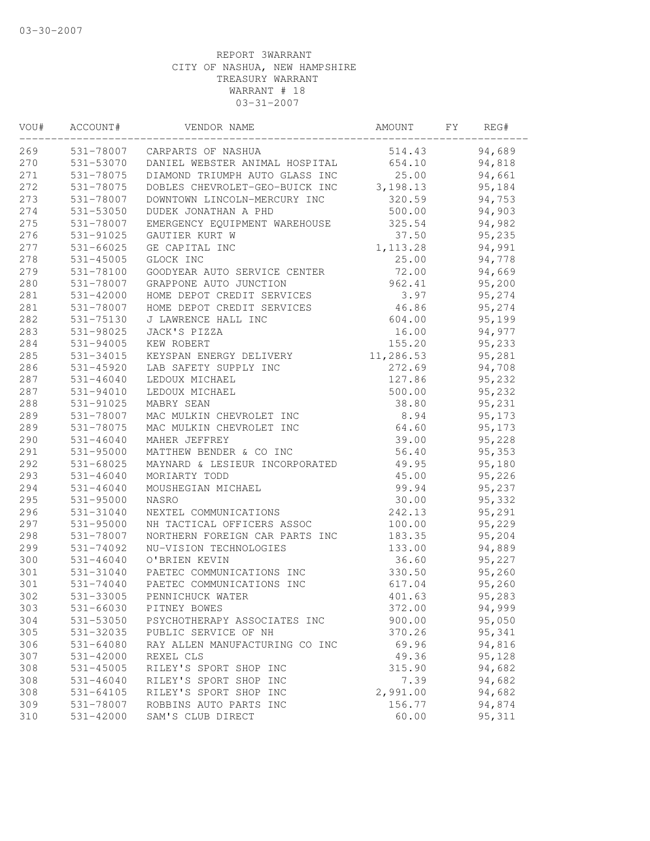| VOU# | ACCOUNT#      | VENDOR NAME                              | AMOUNT    | FY | REG#    |  |
|------|---------------|------------------------------------------|-----------|----|---------|--|
| 269  |               | 531-78007 CARPARTS OF NASHUA             | 514.43    |    | 94,689  |  |
| 270  |               | 531-53070 DANIEL WEBSTER ANIMAL HOSPITAL | 654.10    |    | 94,818  |  |
| 271  | 531-78075     | DIAMOND TRIUMPH AUTO GLASS INC           | 25.00     |    | 94,661  |  |
| 272  | 531-78075     | DOBLES CHEVROLET-GEO-BUICK INC 3,198.13  |           |    | 95,184  |  |
| 273  | 531-78007     | DOWNTOWN LINCOLN-MERCURY INC             | 320.59    |    | 94,753  |  |
| 274  | 531-53050     | DUDEK JONATHAN A PHD                     | 500.00    |    | 94,903  |  |
| 275  | 531-78007     | EMERGENCY EQUIPMENT WAREHOUSE            | 325.54    |    | 94,982  |  |
| 276  | 531-91025     | GAUTIER KURT W                           | 37.50     |    | 95,235  |  |
| 277  | 531-66025     | GE CAPITAL INC                           | 1, 113.28 |    | 94,991  |  |
| 278  | 531-45005     | GLOCK INC                                | 25.00     |    | 94,778  |  |
| 279  | 531-78100     | GOODYEAR AUTO SERVICE CENTER             | 72.00     |    | 94,669  |  |
| 280  | 531-78007     | GRAPPONE AUTO JUNCTION                   | 962.41    |    | 95,200  |  |
| 281  | $531 - 42000$ | HOME DEPOT CREDIT SERVICES               | 3.97      |    | 95,274  |  |
| 281  | 531-78007     | HOME DEPOT CREDIT SERVICES               | 46.86     |    | 95,274  |  |
| 282  | 531-75130     | J LAWRENCE HALL INC                      | 604.00    |    | 95,199  |  |
| 283  | 531-98025     | JACK'S PIZZA                             | 16.00     |    | 94,977  |  |
| 284  | 531-94005     | KEW ROBERT                               | 155.20    |    | 95,233  |  |
| 285  | 531-34015     | KEYSPAN ENERGY DELIVERY                  | 11,286.53 |    | 95,281  |  |
| 286  | 531-45920     | LAB SAFETY SUPPLY INC                    | 272.69    |    | 94,708  |  |
| 287  | $531 - 46040$ | LEDOUX MICHAEL                           | 127.86    |    | 95,232  |  |
| 287  | 531-94010     | LEDOUX MICHAEL                           | 500.00    |    | 95,232  |  |
| 288  | 531-91025     | MABRY SEAN                               | 38.80     |    | 95,231  |  |
| 289  | 531-78007     | MAC MULKIN CHEVROLET INC                 | 8.94      |    | 95,173  |  |
| 289  | 531-78075     | MAC MULKIN CHEVROLET INC                 | 64.60     |    | 95,173  |  |
| 290  | 531-46040     | MAHER JEFFREY                            | 39.00     |    | 95,228  |  |
| 291  | 531-95000     | MATTHEW BENDER & CO INC                  | 56.40     |    | 95,353  |  |
| 292  | 531-68025     | MAYNARD & LESIEUR INCORPORATED           | 49.95     |    | 95,180  |  |
| 293  | $531 - 46040$ | MORIARTY TODD                            | 45.00     |    | 95,226  |  |
| 294  | $531 - 46040$ | MOUSHEGIAN MICHAEL                       | 99.94     |    | 95,237  |  |
| 295  | $531 - 95000$ | NASRO                                    | 30.00     |    | 95,332  |  |
| 296  | 531-31040     | NEXTEL COMMUNICATIONS                    | 242.13    |    | 95,291  |  |
| 297  | 531-95000     | NH TACTICAL OFFICERS ASSOC               | 100.00    |    | 95,229  |  |
| 298  | 531-78007     | NORTHERN FOREIGN CAR PARTS INC           | 183.35    |    | 95,204  |  |
| 299  | 531-74092     | NU-VISION TECHNOLOGIES                   | 133.00    |    | 94,889  |  |
| 300  | $531 - 46040$ | O'BRIEN KEVIN                            | 36.60     |    | 95,227  |  |
| 301  | 531-31040     | PAETEC COMMUNICATIONS INC                | 330.50    |    | 95,260  |  |
| 301  | 531-74040     | PAETEC COMMUNICATIONS INC                | 617.04    |    | 95,260  |  |
| 302  | 531-33005     | PENNICHUCK WATER                         | 401.63    |    | 95,283  |  |
| 303  | 531-66030     | PITNEY BOWES                             | 372.00    |    | 94,999  |  |
| 304  | 531-53050     | PSYCHOTHERAPY ASSOCIATES INC             | 900.00    |    | 95,050  |  |
| 305  | 531-32035     | PUBLIC SERVICE OF NH                     | 370.26    |    | 95,341  |  |
| 306  | 531-64080     | RAY ALLEN MANUFACTURING CO INC           | 69.96     |    | 94,816  |  |
| 307  | 531-42000     | REXEL CLS                                | 49.36     |    | 95,128  |  |
| 308  | $531 - 45005$ | RILEY'S SPORT SHOP INC                   | 315.90    |    | 94,682  |  |
| 308  | $531 - 46040$ | RILEY'S SPORT SHOP INC                   | 7.39      |    | 94,682  |  |
| 308  | $531 - 64105$ | RILEY'S SPORT SHOP INC                   | 2,991.00  |    | 94,682  |  |
| 309  | 531-78007     | ROBBINS AUTO PARTS INC                   | 156.77    |    | 94,874  |  |
| 310  | 531-42000     | SAM'S CLUB DIRECT                        | 60.00     |    | 95, 311 |  |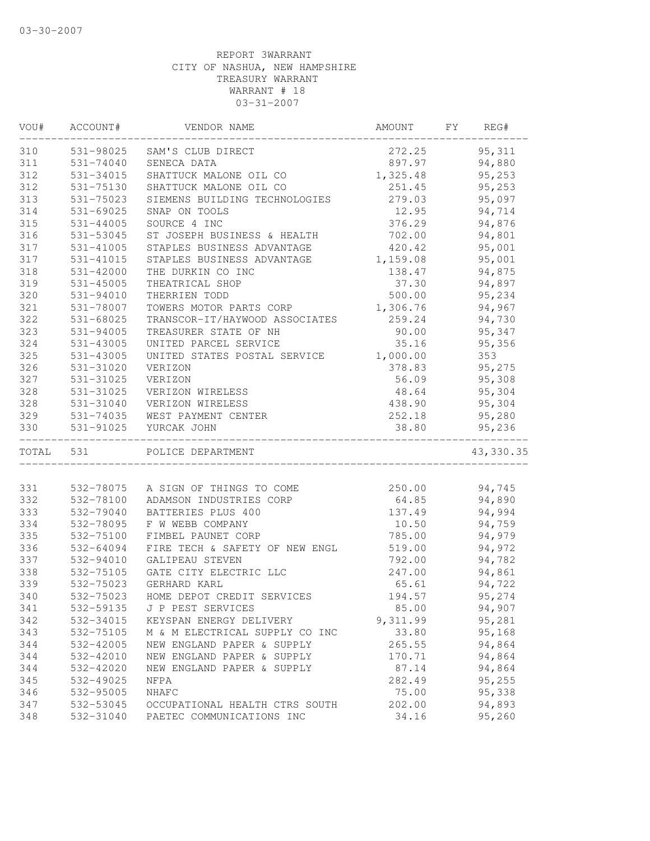| VOU#      | ACCOUNT#      | VENDOR NAME                    | AMOUNT   | FY | REG#       |
|-----------|---------------|--------------------------------|----------|----|------------|
| 310       |               | 531-98025 SAM'S CLUB DIRECT    | 272.25   |    | 95, 311    |
| 311       | 531-74040     | SENECA DATA                    | 897.97   |    | 94,880     |
| 312       | 531-34015     | SHATTUCK MALONE OIL CO         | 1,325.48 |    | 95,253     |
| 312       | 531-75130     | SHATTUCK MALONE OIL CO         | 251.45   |    | 95,253     |
| 313       | 531-75023     | SIEMENS BUILDING TECHNOLOGIES  | 279.03   |    | 95,097     |
| 314       | 531-69025     | SNAP ON TOOLS                  | 12.95    |    | 94,714     |
| 315       | 531-44005     | SOURCE 4 INC                   | 376.29   |    | 94,876     |
| 316       | 531-53045     | ST JOSEPH BUSINESS & HEALTH    | 702.00   |    | 94,801     |
| 317       | 531-41005     | STAPLES BUSINESS ADVANTAGE     | 420.42   |    | 95,001     |
| 317       | 531-41015     | STAPLES BUSINESS ADVANTAGE     | 1,159.08 |    | 95,001     |
| 318       | $531 - 42000$ | THE DURKIN CO INC              | 138.47   |    | 94,875     |
| 319       | 531-45005     | THEATRICAL SHOP                | 37.30    |    | 94,897     |
| 320       | 531-94010     | THERRIEN TODD                  | 500.00   |    | 95,234     |
| 321       | 531-78007     | TOWERS MOTOR PARTS CORP        | 1,306.76 |    | 94,967     |
| 322       | 531-68025     | TRANSCOR-IT/HAYWOOD ASSOCIATES | 259.24   |    | 94,730     |
| 323       | 531-94005     | TREASURER STATE OF NH          | 90.00    |    | 95,347     |
| 324       | 531-43005     | UNITED PARCEL SERVICE          | 35.16    |    | 95,356     |
| 325       | 531-43005     | UNITED STATES POSTAL SERVICE   | 1,000.00 |    | 353        |
| 326       | 531-31020     | VERIZON                        | 378.83   |    | 95,275     |
| 327       | 531-31025     | VERIZON                        | 56.09    |    | 95,308     |
| 328       | 531-31025     | VERIZON WIRELESS               | 48.64    |    | 95,304     |
| 328       | 531-31040     | VERIZON WIRELESS               | 438.90   |    | 95,304     |
| 329       | 531-74035     | WEST PAYMENT CENTER            | 252.18   |    | 95,280     |
| 330       | 531-91025     | YURCAK JOHN                    | 38.80    |    | 95,236     |
| TOTAL 531 |               | POLICE DEPARTMENT              |          |    | 43, 330.35 |
|           |               |                                |          |    |            |
| 331       | 532-78075     | A SIGN OF THINGS TO COME       | 250.00   |    | 94,745     |
| 332       | 532-78100     | ADAMSON INDUSTRIES CORP        | 64.85    |    | 94,890     |
| 333       | 532-79040     | BATTERIES PLUS 400             | 137.49   |    | 94,994     |
| 334       | 532-78095     | F W WEBB COMPANY               | 10.50    |    | 94,759     |
| 335       | 532-75100     | FIMBEL PAUNET CORP             | 785.00   |    | 94,979     |
| 336       | 532-64094     | FIRE TECH & SAFETY OF NEW ENGL | 519.00   |    | 94,972     |
| 337       | 532-94010     | GALIPEAU STEVEN                | 792.00   |    | 94,782     |
| 338       | 532-75105     | GATE CITY ELECTRIC LLC         | 247.00   |    | 94,861     |
| 339       | 532-75023     | GERHARD KARL                   | 65.61    |    | 94,722     |
| 340       | 532-75023     | HOME DEPOT CREDIT SERVICES     | 194.57   |    | 95,274     |
| 341       | 532-59135     | J P PEST SERVICES              | 85.00    |    | 94,907     |
| 342       | 532-34015     | KEYSPAN ENERGY DELIVERY        | 9,311.99 |    | 95,281     |
| 343       | 532-75105     | M & M ELECTRICAL SUPPLY CO INC | 33.80    |    | 95,168     |
| 344       | 532-42005     | NEW ENGLAND PAPER & SUPPLY     | 265.55   |    | 94,864     |
| 344       | 532-42010     | NEW ENGLAND PAPER & SUPPLY     | 170.71   |    | 94,864     |
| 344       | 532-42020     | NEW ENGLAND PAPER & SUPPLY     | 87.14    |    | 94,864     |
| 345       | 532-49025     | NFPA                           | 282.49   |    | 95,255     |
| 346       | 532-95005     | NHAFC                          | 75.00    |    | 95,338     |
| 347       | 532-53045     | OCCUPATIONAL HEALTH CTRS SOUTH | 202.00   |    | 94,893     |
| 348       | 532-31040     | PAETEC COMMUNICATIONS INC      | 34.16    |    | 95,260     |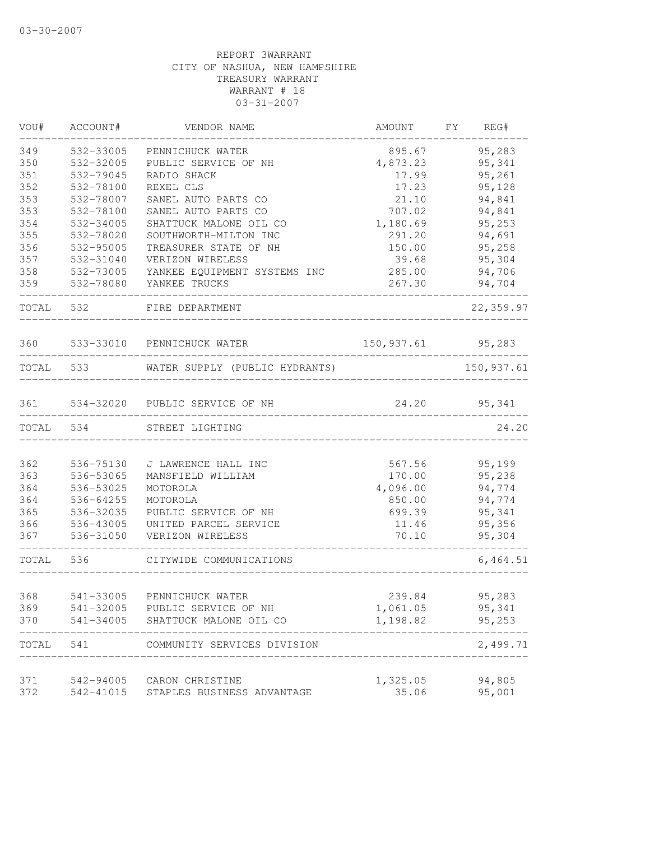| VOU#      | ACCOUNT#  | VENDOR NAME                    | AMOUNT                        | FY<br>REG#  |
|-----------|-----------|--------------------------------|-------------------------------|-------------|
| 349       | 532-33005 | PENNICHUCK WATER               | 895.67                        | 95,283      |
| 350       | 532-32005 | PUBLIC SERVICE OF NH           | 4,873.23                      | 95,341      |
| 351       | 532-79045 | RADIO SHACK                    | 17.99                         | 95,261      |
| 352       | 532-78100 | REXEL CLS                      | 17.23                         | 95,128      |
| 353       | 532-78007 | SANEL AUTO PARTS CO            | 21.10                         | 94,841      |
| 353       | 532-78100 | SANEL AUTO PARTS CO            | 707.02                        | 94,841      |
| 354       | 532-34005 | SHATTUCK MALONE OIL CO         | 1,180.69                      | 95,253      |
| 355       | 532-78020 | SOUTHWORTH-MILTON INC          | 291.20                        | 94,691      |
| 356       | 532-95005 | TREASURER STATE OF NH          | 150.00                        | 95,258      |
| 357       | 532-31040 | VERIZON WIRELESS               | 39.68                         | 95,304      |
| 358       | 532-73005 | YANKEE EQUIPMENT SYSTEMS INC   | 285.00                        | 94,706      |
| 359       | 532-78080 | YANKEE TRUCKS                  | 267.30                        | 94,704      |
|           | TOTAL 532 | FIRE DEPARTMENT                |                               | 22,359.97   |
| 360       |           | 533-33010 PENNICHUCK WATER     | 150, 937.61 95, 283           |             |
|           | TOTAL 533 | WATER SUPPLY (PUBLIC HYDRANTS) |                               | 150, 937.61 |
|           |           |                                | _____________________         |             |
| 361       |           | 534-32020 PUBLIC SERVICE OF NH | 24.20                         | 95,341      |
| TOTAL 534 |           | STREET LIGHTING                |                               | 24.20       |
|           |           |                                |                               |             |
| 362       | 536-75130 | J LAWRENCE HALL INC            | 567.56                        | 95,199      |
| 363       | 536-53065 | MANSFIELD WILLIAM              | 170.00                        | 95,238      |
| 364       | 536-53025 | MOTOROLA                       | 4,096.00                      | 94,774      |
| 364       | 536-64255 | MOTOROLA                       | 850.00                        | 94,774      |
| 365       | 536-32035 | PUBLIC SERVICE OF NH           | 699.39                        | 95,341      |
| 366       | 536-43005 | UNITED PARCEL SERVICE          | 11.46                         | 95,356      |
| 367       | 536-31050 | VERIZON WIRELESS               | 70.10<br>____________________ | 95,304      |
| TOTAL     | 536       | CITYWIDE COMMUNICATIONS        | _______________________       | 6,464.51    |
|           |           |                                |                               |             |
| 368       | 541-33005 | PENNICHUCK WATER               | 239.84                        | 95,283      |
| 369       | 541-32005 | PUBLIC SERVICE OF NH           | 1,061.05                      | 95,341      |
| 370       | 541-34005 | SHATTUCK MALONE OIL CO         | 1,198.82                      | 95,253      |
| TOTAL     | 541       | COMMUNITY SERVICES DIVISION    |                               | 2,499.71    |
|           |           |                                |                               |             |
| 371       | 542-94005 | CARON CHRISTINE                | 1,325.05                      | 94,805      |
| 372       | 542-41015 | STAPLES BUSINESS ADVANTAGE     | 35.06                         | 95,001      |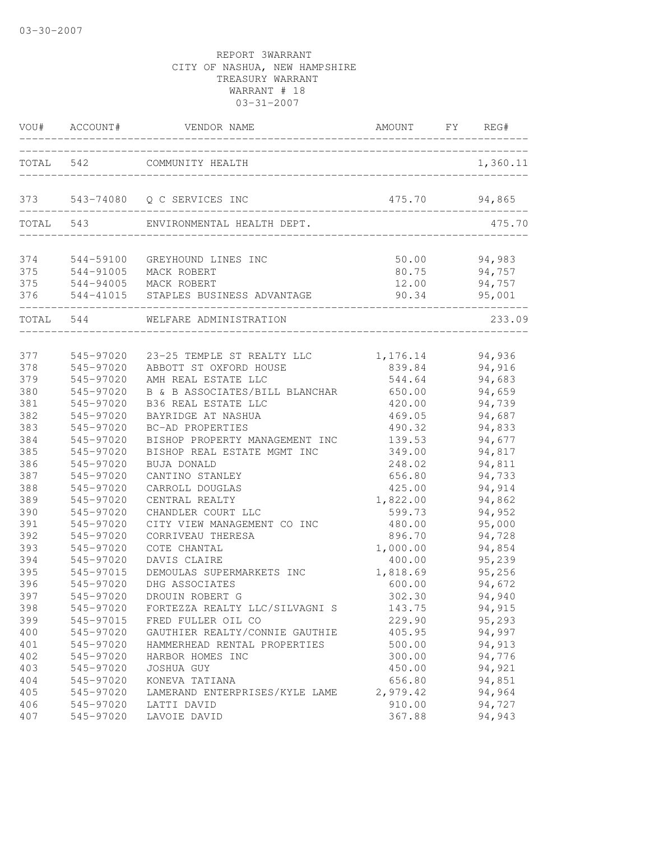| VOU#      | ACCOUNT#  | VENDOR NAME                    | AMOUNT   | FY | REG#     |
|-----------|-----------|--------------------------------|----------|----|----------|
| TOTAL     | 542       | COMMUNITY HEALTH               |          |    | 1,360.11 |
| 373       | 543-74080 | Q C SERVICES INC               | 475.70   |    | 94,865   |
| TOTAL     | 543       | ENVIRONMENTAL HEALTH DEPT.     |          |    | 475.70   |
| 374       | 544-59100 | GREYHOUND LINES INC            | 50.00    |    | 94,983   |
| 375       | 544-91005 | MACK ROBERT                    | 80.75    |    | 94,757   |
| 375       |           | 544-94005 MACK ROBERT          | 12.00    |    | 94,757   |
| 376       | 544-41015 | STAPLES BUSINESS ADVANTAGE     | 90.34    |    | 95,001   |
| TOTAL 544 |           | WELFARE ADMINISTRATION         |          |    | 233.09   |
| 377       | 545-97020 | 23-25 TEMPLE ST REALTY LLC     | 1,176.14 |    | 94,936   |
| 378       | 545-97020 | ABBOTT ST OXFORD HOUSE         | 839.84   |    | 94,916   |
| 379       | 545-97020 | AMH REAL ESTATE LLC            | 544.64   |    | 94,683   |
| 380       | 545-97020 | B & B ASSOCIATES/BILL BLANCHAR | 650.00   |    | 94,659   |
| 381       | 545-97020 | B36 REAL ESTATE LLC            | 420.00   |    | 94,739   |
| 382       | 545-97020 | BAYRIDGE AT NASHUA             | 469.05   |    | 94,687   |
| 383       | 545-97020 | BC-AD PROPERTIES               | 490.32   |    | 94,833   |
| 384       | 545-97020 | BISHOP PROPERTY MANAGEMENT INC | 139.53   |    | 94,677   |
| 385       | 545-97020 | BISHOP REAL ESTATE MGMT INC    | 349.00   |    | 94,817   |
| 386       | 545-97020 | <b>BUJA DONALD</b>             | 248.02   |    | 94,811   |
| 387       | 545-97020 | CANTINO STANLEY                | 656.80   |    | 94,733   |
| 388       | 545-97020 | CARROLL DOUGLAS                | 425.00   |    | 94,914   |
| 389       | 545-97020 | CENTRAL REALTY                 | 1,822.00 |    | 94,862   |
| 390       | 545-97020 | CHANDLER COURT LLC             | 599.73   |    | 94,952   |
| 391       | 545-97020 | CITY VIEW MANAGEMENT CO INC    | 480.00   |    | 95,000   |
| 392       | 545-97020 | CORRIVEAU THERESA              | 896.70   |    | 94,728   |
| 393       | 545-97020 | COTE CHANTAL                   | 1,000.00 |    | 94,854   |
| 394       | 545-97020 | DAVIS CLAIRE                   | 400.00   |    | 95,239   |
| 395       | 545-97015 | DEMOULAS SUPERMARKETS INC      | 1,818.69 |    | 95,256   |
| 396       | 545-97020 | DHG ASSOCIATES                 | 600.00   |    | 94,672   |
| 397       | 545-97020 | DROUIN ROBERT G                | 302.30   |    | 94,940   |
| 398       | 545-97020 | FORTEZZA REALTY LLC/SILVAGNI S | 143.75   |    | 94,915   |
| 399       | 545-97015 | FRED FULLER OIL CO             | 229.90   |    | 95,293   |
| 400       | 545-97020 | GAUTHIER REALTY/CONNIE GAUTHIE | 405.95   |    | 94,997   |
| 401       | 545-97020 | HAMMERHEAD RENTAL PROPERTIES   | 500.00   |    | 94,913   |
| 402       | 545-97020 | HARBOR HOMES INC               | 300.00   |    | 94,776   |
| 403       | 545-97020 | JOSHUA GUY                     | 450.00   |    | 94,921   |
| 404       | 545-97020 | KONEVA TATIANA                 | 656.80   |    | 94,851   |
| 405       | 545-97020 | LAMERAND ENTERPRISES/KYLE LAME | 2,979.42 |    | 94,964   |
| 406       | 545-97020 | LATTI DAVID                    | 910.00   |    | 94,727   |
| 407       | 545-97020 | LAVOIE DAVID                   | 367.88   |    | 94,943   |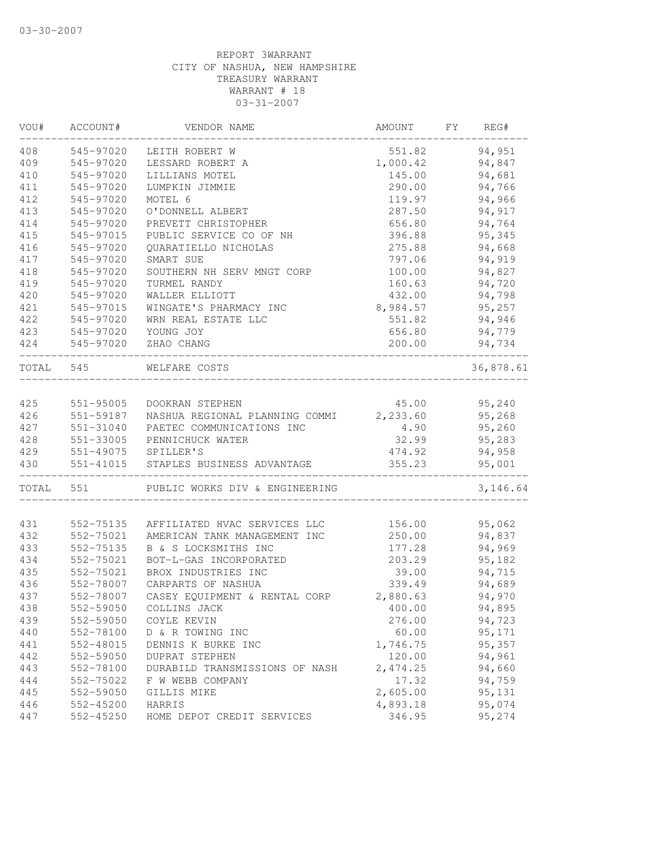| VOU#       | ACCOUNT#               | VENDOR NAME                    | AMOUNT               | FΥ | REG#             |
|------------|------------------------|--------------------------------|----------------------|----|------------------|
| 408        | 545-97020              | LEITH ROBERT W                 | 551.82               |    | 94,951           |
| 409        | 545-97020              | LESSARD ROBERT A               | 1,000.42             |    | 94,847           |
| 410        | 545-97020              | LILLIANS MOTEL                 | 145.00               |    | 94,681           |
| 411        | 545-97020              | LUMPKIN JIMMIE                 | 290.00               |    | 94,766           |
| 412        | 545-97020              | MOTEL 6                        | 119.97               |    | 94,966           |
| 413        | 545-97020              | O'DONNELL ALBERT               | 287.50               |    | 94,917           |
| 414        | 545-97020              | PREVETT CHRISTOPHER            | 656.80               |    | 94,764           |
| 415        | 545-97015              | PUBLIC SERVICE CO OF NH        | 396.88               |    | 95,345           |
| 416        | 545-97020              | QUARATIELLO NICHOLAS           | 275.88               |    | 94,668           |
| 417        | 545-97020              | SMART SUE                      | 797.06               |    | 94,919           |
| 418        | 545-97020              | SOUTHERN NH SERV MNGT CORP     | 100.00               |    | 94,827           |
| 419        | 545-97020              | TURMEL RANDY                   | 160.63               |    | 94,720           |
| 420        | 545-97020              | WALLER ELLIOTT                 | 432.00               |    | 94,798           |
| 421        | 545-97015              | WINGATE'S PHARMACY INC         | 8,984.57             |    | 95,257           |
| 422        | 545-97020              | WRN REAL ESTATE LLC            | 551.82               |    | 94,946           |
| 423        | 545-97020              | YOUNG JOY                      | 656.80               |    | 94,779           |
| 424        | 545-97020              | ZHAO CHANG                     | 200.00               |    | 94,734           |
| TOTAL      | 545                    | WELFARE COSTS                  |                      |    | 36,878.61        |
|            |                        |                                |                      |    |                  |
| 425        | 551-95005              | DOOKRAN STEPHEN                | 45.00                |    | 95,240           |
| 426        | 551-59187              | NASHUA REGIONAL PLANNING COMMI | 2,233.60             |    | 95,268           |
| 427        | 551-31040              | PAETEC COMMUNICATIONS INC      | 4.90                 |    | 95,260           |
| 428        | 551-33005              | PENNICHUCK WATER               | 32.99                |    | 95,283           |
| 429        | 551-49075              | SPILLER'S                      | 474.92               |    | 94,958           |
| 430        | 551-41015              | STAPLES BUSINESS ADVANTAGE     | 355.23               |    | 95,001           |
| TOTAL      | 551                    | PUBLIC WORKS DIV & ENGINEERING |                      |    | 3,146.64         |
| 431        | 552-75135              | AFFILIATED HVAC SERVICES LLC   | 156.00               |    | 95,062           |
| 432        | 552-75021              | AMERICAN TANK MANAGEMENT INC   | 250.00               |    | 94,837           |
| 433        | 552-75135              | B & S LOCKSMITHS INC           | 177.28               |    | 94,969           |
| 434        | 552-75021              | BOT-L-GAS INCORPORATED         | 203.29               |    | 95,182           |
| 435        | 552-75021              | BROX INDUSTRIES INC            | 39.00                |    | 94,715           |
| 436        | 552-78007              | CARPARTS OF NASHUA             | 339.49               |    | 94,689           |
|            |                        | CASEY EQUIPMENT & RENTAL CORP  |                      |    |                  |
| 437        | 552-78007              |                                | 2,880.63             |    | 94,970           |
| 438        | 552-59050              | COLLINS JACK                   | 400.00               |    | 94,895           |
| 439        | 552-59050<br>552-78100 | COYLE KEVIN                    | 276.00               |    | 94,723           |
| 440        | 552-48015              | D & R TOWING INC               | 60.00                |    | 95,171           |
| 441        |                        | DENNIS K BURKE INC             | 1,746.75             |    | 95,357           |
| 442        | 552-59050              | DUPRAT STEPHEN                 | 120.00               |    | 94,961           |
| 443        | 552-78100              | DURABILD TRANSMISSIONS OF NASH | 2,474.25             |    | 94,660           |
| 444        | 552-75022<br>552-59050 | F W WEBB COMPANY               | 17.32                |    | 94,759           |
| 445<br>446 | 552-45200              | GILLIS MIKE<br>HARRIS          | 2,605.00<br>4,893.18 |    | 95,131<br>95,074 |
| 447        | 552-45250              | HOME DEPOT CREDIT SERVICES     | 346.95               |    | 95,274           |
|            |                        |                                |                      |    |                  |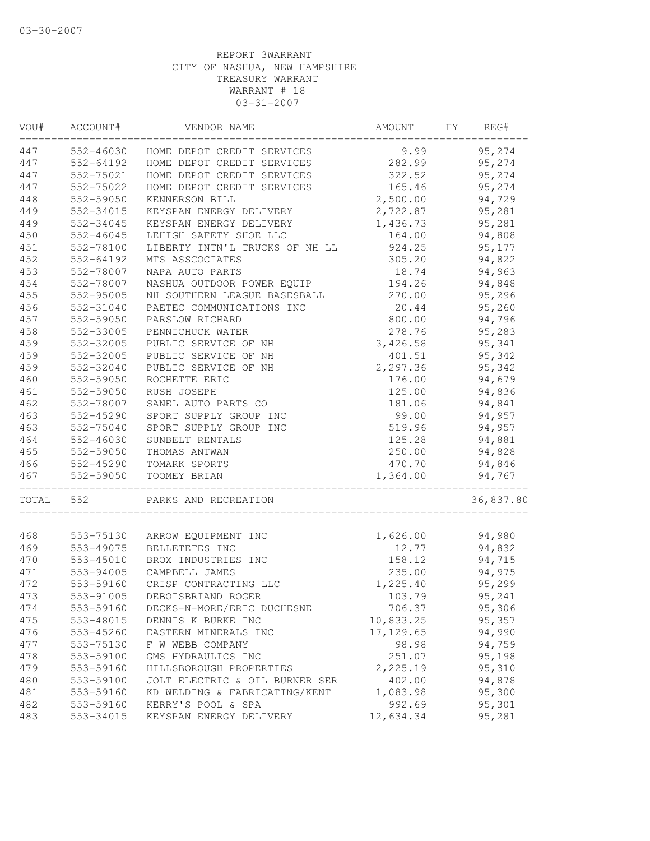| VOU#       | ACCOUNT#  | VENDOR NAME                          | AMOUNT     | FΥ<br>REG#       |
|------------|-----------|--------------------------------------|------------|------------------|
| 447        |           | 552-46030 HOME DEPOT CREDIT SERVICES | 9.99       | 95,274           |
| 447        | 552-64192 | HOME DEPOT CREDIT SERVICES           | 282.99     | 95,274           |
| 447        | 552-75021 | HOME DEPOT CREDIT SERVICES           | 322.52     | 95,274           |
| 447        | 552-75022 | HOME DEPOT CREDIT SERVICES           | 165.46     | 95,274           |
| 448        | 552-59050 | KENNERSON BILL                       | 2,500.00   | 94,729           |
| 449        | 552-34015 | KEYSPAN ENERGY DELIVERY              | 2,722.87   | 95,281           |
| 449        | 552-34045 | KEYSPAN ENERGY DELIVERY              | 1,436.73   | 95,281           |
| 450        | 552-46045 | LEHIGH SAFETY SHOE LLC               | 164.00     | 94,808           |
| 451        | 552-78100 | LIBERTY INTN'L TRUCKS OF NH LL       | 924.25     | 95,177           |
| 452        | 552-64192 | MTS ASSCOCIATES                      | 305.20     | 94,822           |
| 453        | 552-78007 | NAPA AUTO PARTS                      | 18.74      | 94,963           |
| 454        | 552-78007 | NASHUA OUTDOOR POWER EQUIP           | 194.26     | 94,848           |
| 455        | 552-95005 | NH SOUTHERN LEAGUE BASESBALL         | 270.00     | 95,296           |
| 456        | 552-31040 | PAETEC COMMUNICATIONS INC            | 20.44      | 95,260           |
| 457        | 552-59050 | PARSLOW RICHARD                      | 800.00     | 94,796           |
| 458        | 552-33005 | PENNICHUCK WATER                     | 278.76     | 95,283           |
| 459        | 552-32005 | PUBLIC SERVICE OF NH                 | 3,426.58   | 95,341           |
| 459        | 552-32005 | PUBLIC SERVICE OF NH                 | 401.51     | 95,342           |
| 459        | 552-32040 | PUBLIC SERVICE OF NH                 | 2,297.36   | 95,342           |
| 460        | 552-59050 | ROCHETTE ERIC                        | 176.00     | 94,679           |
| 461        | 552-59050 | RUSH JOSEPH                          | 125.00     | 94,836           |
| 462        | 552-78007 | SANEL AUTO PARTS CO                  | 181.06     | 94,841           |
| 463        | 552-45290 | SPORT SUPPLY GROUP INC               | 99.00      | 94,957           |
| 463        | 552-75040 | SPORT SUPPLY GROUP INC               | 519.96     | 94,957           |
| 464        | 552-46030 | SUNBELT RENTALS                      | 125.28     | 94,881           |
| 465        | 552-59050 | THOMAS ANTWAN                        | 250.00     | 94,828           |
| 466        | 552-45290 | TOMARK SPORTS                        | 470.70     | 94,846           |
| 467        | 552-59050 | TOOMEY BRIAN                         | 1,364.00   | 94,767           |
| TOTAL      | 552       | PARKS AND RECREATION                 |            | 36,837.80        |
|            |           |                                      |            |                  |
| 468        | 553-75130 | ARROW EQUIPMENT INC                  | 1,626.00   | 94,980<br>94,832 |
| 469        | 553-49075 | BELLETETES INC                       | 12.77      |                  |
| 470        | 553-45010 | BROX INDUSTRIES INC                  | 158.12     | 94,715           |
| 471<br>472 | 553-94005 | CAMPBELL JAMES                       | 235.00     | 94,975           |
|            | 553-59160 | CRISP CONTRACTING LLC                | 1,225.40   | 95,299           |
| 473        | 553-91005 | DEBOISBRIAND ROGER                   | 103.79     | 95,241           |
| 474        | 553-59160 | DECKS-N-MORE/ERIC DUCHESNE           | 706.37     | 95,306           |
| 475        | 553-48015 | DENNIS K BURKE INC                   | 10,833.25  | 95,357           |
| 476        | 553-45260 | EASTERN MINERALS INC                 | 17, 129.65 | 94,990           |
| 477        | 553-75130 | F W WEBB COMPANY                     | 98.98      | 94,759           |
| 478        | 553-59100 | GMS HYDRAULICS INC                   | 251.07     | 95,198           |
| 479        | 553-59160 | HILLSBOROUGH PROPERTIES              | 2,225.19   | 95,310           |
| 480        | 553-59100 | JOLT ELECTRIC & OIL BURNER SER       | 402.00     | 94,878           |
| 481        | 553-59160 | KD WELDING & FABRICATING/KENT        | 1,083.98   | 95,300           |
| 482        | 553-59160 | KERRY'S POOL & SPA                   | 992.69     | 95,301           |
| 483        | 553-34015 | KEYSPAN ENERGY DELIVERY              | 12,634.34  | 95,281           |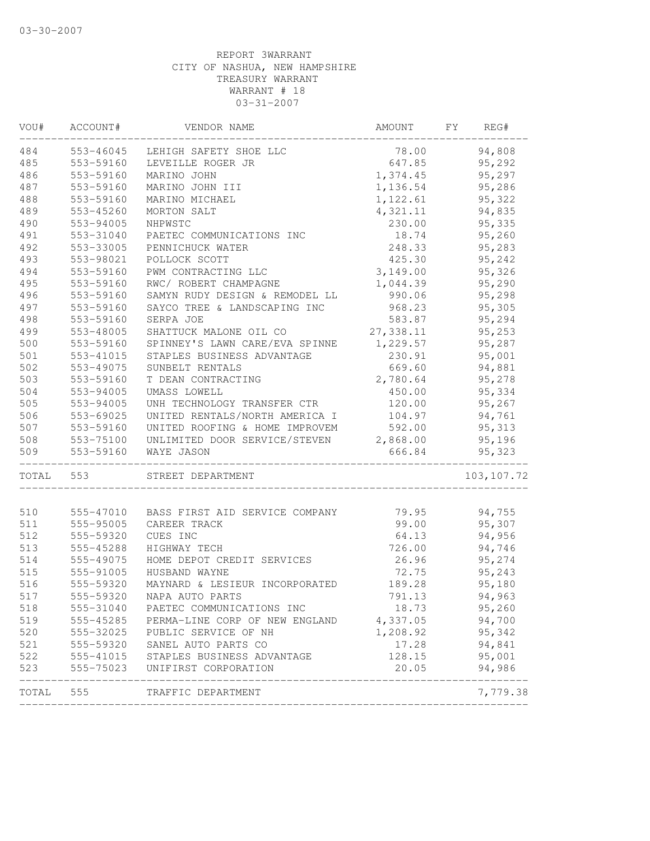| VOU#  | ACCOUNT#  | VENDOR NAME                          | AMOUNT    | FY. | REG#        |
|-------|-----------|--------------------------------------|-----------|-----|-------------|
| 484   | 553-46045 | LEHIGH SAFETY SHOE LLC               | 78.00     |     | 94,808      |
| 485   | 553-59160 | LEVEILLE ROGER JR                    | 647.85    |     | 95,292      |
| 486   | 553-59160 | MARINO JOHN                          | 1,374.45  |     | 95,297      |
| 487   | 553-59160 | MARINO JOHN III                      | 1,136.54  |     | 95,286      |
| 488   | 553-59160 | MARINO MICHAEL                       | 1,122.61  |     | 95,322      |
| 489   | 553-45260 | MORTON SALT                          | 4,321.11  |     | 94,835      |
| 490   | 553-94005 | NHPWSTC                              | 230.00    |     | 95,335      |
| 491   | 553-31040 | PAETEC COMMUNICATIONS INC            | 18.74     |     | 95,260      |
| 492   | 553-33005 | PENNICHUCK WATER                     | 248.33    |     | 95,283      |
| 493   | 553-98021 | POLLOCK SCOTT                        | 425.30    |     | 95,242      |
| 494   | 553-59160 | PWM CONTRACTING LLC                  | 3,149.00  |     | 95,326      |
| 495   | 553-59160 | RWC/ ROBERT CHAMPAGNE                | 1,044.39  |     | 95,290      |
| 496   | 553-59160 | SAMYN RUDY DESIGN & REMODEL LL       | 990.06    |     | 95,298      |
| 497   | 553-59160 | SAYCO TREE & LANDSCAPING INC         | 968.23    |     | 95,305      |
| 498   | 553-59160 | SERPA JOE                            | 583.87    |     | 95,294      |
| 499   | 553-48005 | SHATTUCK MALONE OIL CO               | 27,338.11 |     | 95,253      |
| 500   | 553-59160 | SPINNEY'S LAWN CARE/EVA SPINNE       | 1,229.57  |     | 95,287      |
| 501   | 553-41015 | STAPLES BUSINESS ADVANTAGE           | 230.91    |     | 95,001      |
| 502   | 553-49075 | SUNBELT RENTALS                      | 669.60    |     | 94,881      |
| 503   | 553-59160 | T DEAN CONTRACTING                   | 2,780.64  |     | 95,278      |
| 504   | 553-94005 | UMASS LOWELL                         | 450.00    |     | 95,334      |
| 505   | 553-94005 | UNH TECHNOLOGY TRANSFER CTR          | 120.00    |     | 95,267      |
| 506   | 553-69025 | UNITED RENTALS/NORTH AMERICA I       | 104.97    |     | 94,761      |
| 507   | 553-59160 | UNITED ROOFING & HOME IMPROVEM       | 592.00    |     | 95,313      |
| 508   | 553-75100 | UNLIMITED DOOR SERVICE/STEVEN        | 2,868.00  |     | 95,196      |
| 509   | 553-59160 | WAYE JASON                           | 666.84    |     | 95,323      |
| TOTAL | 553       | STREET DEPARTMENT                    |           |     | 103, 107.72 |
| 510   | 555-47010 | BASS FIRST AID SERVICE COMPANY       | 79.95     |     | 94,755      |
| 511   | 555-95005 | CAREER TRACK                         | 99.00     |     | 95,307      |
| 512   | 555-59320 | CUES INC                             | 64.13     |     | 94,956      |
| 513   | 555-45288 | HIGHWAY TECH                         | 726.00    |     | 94,746      |
| 514   | 555-49075 | HOME DEPOT CREDIT SERVICES           | 26.96     |     | 95,274      |
| 515   | 555-91005 | HUSBAND WAYNE                        | 72.75     |     | 95,243      |
| 516   | 555-59320 | MAYNARD & LESIEUR INCORPORATED       | 189.28    |     | 95,180      |
| 517   | 555-59320 | NAPA AUTO PARTS                      | 791.13    |     | 94,963      |
| 518   | 555-31040 | PAETEC COMMUNICATIONS INC            | 18.73     |     | 95,260      |
| 519   | 555-45285 | PERMA-LINE CORP OF NEW ENGLAND       | 4,337.05  |     | 94,700      |
| 520   | 555-32025 | PUBLIC SERVICE OF NH                 | 1,208.92  |     | 95,342      |
| 521   | 555-59320 | SANEL AUTO PARTS CO                  | 17.28     |     | 94,841      |
| 522   |           | 555-41015 STAPLES BUSINESS ADVANTAGE | 128.15    |     | 95,001      |
| 523   |           | 555-75023 UNIFIRST CORPORATION       | 20.05     |     | 94,986      |
| TOTAL | 555       | TRAFFIC DEPARTMENT                   |           |     | 7,779.38    |
|       |           |                                      |           |     |             |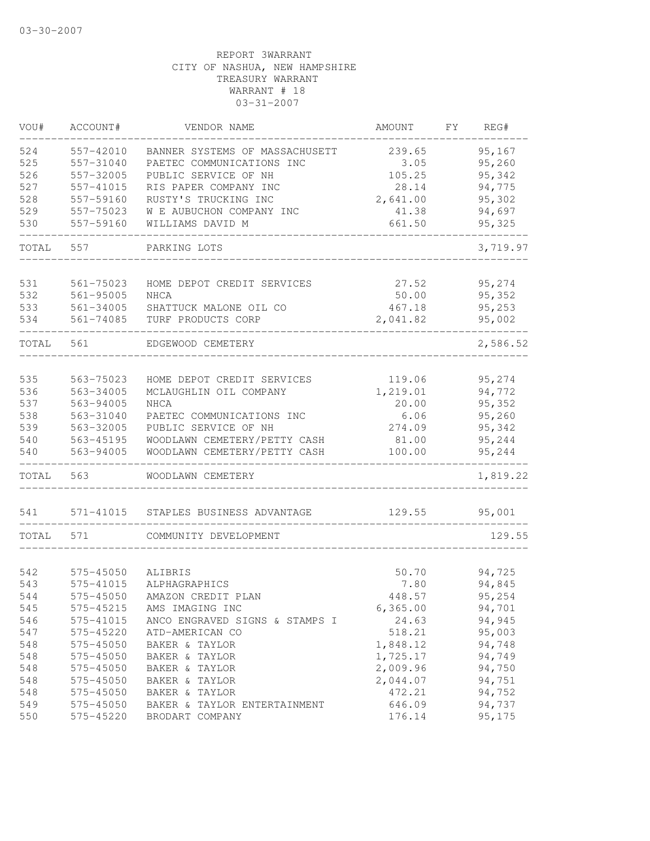| 95,167<br>524<br>239.65<br>557-42010<br>BANNER SYSTEMS OF MASSACHUSETT<br>95,260<br>525<br>557-31040<br>PAETEC COMMUNICATIONS INC<br>3.05<br>526<br>557-32005<br>PUBLIC SERVICE OF NH<br>105.25<br>95,342<br>527<br>RIS PAPER COMPANY INC<br>94,775<br>557-41015<br>28.14<br>528<br>RUSTY'S TRUCKING INC<br>2,641.00<br>95,302<br>557-59160<br>529<br>94,697<br>557-75023<br>W E AUBUCHON COMPANY INC<br>41.38<br>530<br>557-59160<br>WILLIAMS DAVID M<br>661.50<br>95,325<br>TOTAL<br>557<br>3,719.97<br>PARKING LOTS<br>95,274<br>531<br>561-75023<br>HOME DEPOT CREDIT SERVICES<br>27.52<br>532<br>$561 - 95005$<br>NHCA<br>50.00<br>95,352<br>533<br>561-34005<br>SHATTUCK MALONE OIL CO<br>467.18<br>95,253<br>534<br>561-74085<br>TURF PRODUCTS CORP<br>2,041.82<br>95,002<br>2,586.52<br>561<br>TOTAL<br>EDGEWOOD CEMETERY<br>535<br>563-75023<br>95,274<br>HOME DEPOT CREDIT SERVICES<br>119.06<br>94,772<br>536<br>563-34005<br>MCLAUGHLIN OIL COMPANY<br>1,219.01<br>537<br>20.00<br>95,352<br>563-94005<br><b>NHCA</b><br>538<br>95,260<br>563-31040<br>PAETEC COMMUNICATIONS INC<br>6.06<br>539<br>563-32005<br>PUBLIC SERVICE OF NH<br>274.09<br>95,342<br>540<br>95,244<br>563-45195<br>WOODLAWN CEMETERY/PETTY CASH<br>81.00<br>100.00<br>95,244<br>540<br>563-94005<br>WOODLAWN CEMETERY/PETTY CASH<br>563<br>1,819.22<br>TOTAL<br>WOODLAWN CEMETERY<br>571-41015<br>129.55<br>95,001<br>541<br>STAPLES BUSINESS ADVANTAGE<br>129.55<br>TOTAL<br>571<br>COMMUNITY DEVELOPMENT<br>94,725<br>542<br>575-45050<br>50.70<br>ALIBRIS<br>543<br>575-41015<br>ALPHAGRAPHICS<br>7.80<br>94,845<br>95,254<br>544<br>575-45050<br>448.57<br>AMAZON CREDIT PLAN<br>94,701<br>545<br>575-45215<br>AMS IMAGING INC<br>6, 365.00<br>24.63<br>94,945<br>546<br>575-41015<br>ANCO ENGRAVED SIGNS & STAMPS I<br>518.21<br>547<br>575-45220<br>ATD-AMERICAN CO<br>95,003<br>548<br>575-45050<br>BAKER & TAYLOR<br>1,848.12<br>94,748<br>548<br>575-45050<br>1,725.17<br>94,749<br>BAKER & TAYLOR<br>2,009.96<br>548<br>575-45050<br>94,750<br>BAKER & TAYLOR<br>548<br>575-45050<br>2,044.07<br>94,751<br>BAKER & TAYLOR<br>548<br>472.21<br>94,752<br>575-45050<br>BAKER & TAYLOR<br>549<br>646.09<br>94,737<br>575-45050<br>BAKER & TAYLOR ENTERTAINMENT<br>550<br>575-45220<br>95,175<br>BRODART COMPANY<br>176.14 | VOU# | ACCOUNT# | VENDOR NAME | AMOUNT | FY. | REG# |
|---------------------------------------------------------------------------------------------------------------------------------------------------------------------------------------------------------------------------------------------------------------------------------------------------------------------------------------------------------------------------------------------------------------------------------------------------------------------------------------------------------------------------------------------------------------------------------------------------------------------------------------------------------------------------------------------------------------------------------------------------------------------------------------------------------------------------------------------------------------------------------------------------------------------------------------------------------------------------------------------------------------------------------------------------------------------------------------------------------------------------------------------------------------------------------------------------------------------------------------------------------------------------------------------------------------------------------------------------------------------------------------------------------------------------------------------------------------------------------------------------------------------------------------------------------------------------------------------------------------------------------------------------------------------------------------------------------------------------------------------------------------------------------------------------------------------------------------------------------------------------------------------------------------------------------------------------------------------------------------------------------------------------------------------------------------------------------------------------------------------------------------------------------------------------------------------------------------------------------------------------------------------------------------------------------------------|------|----------|-------------|--------|-----|------|
|                                                                                                                                                                                                                                                                                                                                                                                                                                                                                                                                                                                                                                                                                                                                                                                                                                                                                                                                                                                                                                                                                                                                                                                                                                                                                                                                                                                                                                                                                                                                                                                                                                                                                                                                                                                                                                                                                                                                                                                                                                                                                                                                                                                                                                                                                                                     |      |          |             |        |     |      |
|                                                                                                                                                                                                                                                                                                                                                                                                                                                                                                                                                                                                                                                                                                                                                                                                                                                                                                                                                                                                                                                                                                                                                                                                                                                                                                                                                                                                                                                                                                                                                                                                                                                                                                                                                                                                                                                                                                                                                                                                                                                                                                                                                                                                                                                                                                                     |      |          |             |        |     |      |
|                                                                                                                                                                                                                                                                                                                                                                                                                                                                                                                                                                                                                                                                                                                                                                                                                                                                                                                                                                                                                                                                                                                                                                                                                                                                                                                                                                                                                                                                                                                                                                                                                                                                                                                                                                                                                                                                                                                                                                                                                                                                                                                                                                                                                                                                                                                     |      |          |             |        |     |      |
|                                                                                                                                                                                                                                                                                                                                                                                                                                                                                                                                                                                                                                                                                                                                                                                                                                                                                                                                                                                                                                                                                                                                                                                                                                                                                                                                                                                                                                                                                                                                                                                                                                                                                                                                                                                                                                                                                                                                                                                                                                                                                                                                                                                                                                                                                                                     |      |          |             |        |     |      |
|                                                                                                                                                                                                                                                                                                                                                                                                                                                                                                                                                                                                                                                                                                                                                                                                                                                                                                                                                                                                                                                                                                                                                                                                                                                                                                                                                                                                                                                                                                                                                                                                                                                                                                                                                                                                                                                                                                                                                                                                                                                                                                                                                                                                                                                                                                                     |      |          |             |        |     |      |
|                                                                                                                                                                                                                                                                                                                                                                                                                                                                                                                                                                                                                                                                                                                                                                                                                                                                                                                                                                                                                                                                                                                                                                                                                                                                                                                                                                                                                                                                                                                                                                                                                                                                                                                                                                                                                                                                                                                                                                                                                                                                                                                                                                                                                                                                                                                     |      |          |             |        |     |      |
|                                                                                                                                                                                                                                                                                                                                                                                                                                                                                                                                                                                                                                                                                                                                                                                                                                                                                                                                                                                                                                                                                                                                                                                                                                                                                                                                                                                                                                                                                                                                                                                                                                                                                                                                                                                                                                                                                                                                                                                                                                                                                                                                                                                                                                                                                                                     |      |          |             |        |     |      |
|                                                                                                                                                                                                                                                                                                                                                                                                                                                                                                                                                                                                                                                                                                                                                                                                                                                                                                                                                                                                                                                                                                                                                                                                                                                                                                                                                                                                                                                                                                                                                                                                                                                                                                                                                                                                                                                                                                                                                                                                                                                                                                                                                                                                                                                                                                                     |      |          |             |        |     |      |
|                                                                                                                                                                                                                                                                                                                                                                                                                                                                                                                                                                                                                                                                                                                                                                                                                                                                                                                                                                                                                                                                                                                                                                                                                                                                                                                                                                                                                                                                                                                                                                                                                                                                                                                                                                                                                                                                                                                                                                                                                                                                                                                                                                                                                                                                                                                     |      |          |             |        |     |      |
|                                                                                                                                                                                                                                                                                                                                                                                                                                                                                                                                                                                                                                                                                                                                                                                                                                                                                                                                                                                                                                                                                                                                                                                                                                                                                                                                                                                                                                                                                                                                                                                                                                                                                                                                                                                                                                                                                                                                                                                                                                                                                                                                                                                                                                                                                                                     |      |          |             |        |     |      |
|                                                                                                                                                                                                                                                                                                                                                                                                                                                                                                                                                                                                                                                                                                                                                                                                                                                                                                                                                                                                                                                                                                                                                                                                                                                                                                                                                                                                                                                                                                                                                                                                                                                                                                                                                                                                                                                                                                                                                                                                                                                                                                                                                                                                                                                                                                                     |      |          |             |        |     |      |
|                                                                                                                                                                                                                                                                                                                                                                                                                                                                                                                                                                                                                                                                                                                                                                                                                                                                                                                                                                                                                                                                                                                                                                                                                                                                                                                                                                                                                                                                                                                                                                                                                                                                                                                                                                                                                                                                                                                                                                                                                                                                                                                                                                                                                                                                                                                     |      |          |             |        |     |      |
|                                                                                                                                                                                                                                                                                                                                                                                                                                                                                                                                                                                                                                                                                                                                                                                                                                                                                                                                                                                                                                                                                                                                                                                                                                                                                                                                                                                                                                                                                                                                                                                                                                                                                                                                                                                                                                                                                                                                                                                                                                                                                                                                                                                                                                                                                                                     |      |          |             |        |     |      |
|                                                                                                                                                                                                                                                                                                                                                                                                                                                                                                                                                                                                                                                                                                                                                                                                                                                                                                                                                                                                                                                                                                                                                                                                                                                                                                                                                                                                                                                                                                                                                                                                                                                                                                                                                                                                                                                                                                                                                                                                                                                                                                                                                                                                                                                                                                                     |      |          |             |        |     |      |
|                                                                                                                                                                                                                                                                                                                                                                                                                                                                                                                                                                                                                                                                                                                                                                                                                                                                                                                                                                                                                                                                                                                                                                                                                                                                                                                                                                                                                                                                                                                                                                                                                                                                                                                                                                                                                                                                                                                                                                                                                                                                                                                                                                                                                                                                                                                     |      |          |             |        |     |      |
|                                                                                                                                                                                                                                                                                                                                                                                                                                                                                                                                                                                                                                                                                                                                                                                                                                                                                                                                                                                                                                                                                                                                                                                                                                                                                                                                                                                                                                                                                                                                                                                                                                                                                                                                                                                                                                                                                                                                                                                                                                                                                                                                                                                                                                                                                                                     |      |          |             |        |     |      |
|                                                                                                                                                                                                                                                                                                                                                                                                                                                                                                                                                                                                                                                                                                                                                                                                                                                                                                                                                                                                                                                                                                                                                                                                                                                                                                                                                                                                                                                                                                                                                                                                                                                                                                                                                                                                                                                                                                                                                                                                                                                                                                                                                                                                                                                                                                                     |      |          |             |        |     |      |
|                                                                                                                                                                                                                                                                                                                                                                                                                                                                                                                                                                                                                                                                                                                                                                                                                                                                                                                                                                                                                                                                                                                                                                                                                                                                                                                                                                                                                                                                                                                                                                                                                                                                                                                                                                                                                                                                                                                                                                                                                                                                                                                                                                                                                                                                                                                     |      |          |             |        |     |      |
|                                                                                                                                                                                                                                                                                                                                                                                                                                                                                                                                                                                                                                                                                                                                                                                                                                                                                                                                                                                                                                                                                                                                                                                                                                                                                                                                                                                                                                                                                                                                                                                                                                                                                                                                                                                                                                                                                                                                                                                                                                                                                                                                                                                                                                                                                                                     |      |          |             |        |     |      |
|                                                                                                                                                                                                                                                                                                                                                                                                                                                                                                                                                                                                                                                                                                                                                                                                                                                                                                                                                                                                                                                                                                                                                                                                                                                                                                                                                                                                                                                                                                                                                                                                                                                                                                                                                                                                                                                                                                                                                                                                                                                                                                                                                                                                                                                                                                                     |      |          |             |        |     |      |
|                                                                                                                                                                                                                                                                                                                                                                                                                                                                                                                                                                                                                                                                                                                                                                                                                                                                                                                                                                                                                                                                                                                                                                                                                                                                                                                                                                                                                                                                                                                                                                                                                                                                                                                                                                                                                                                                                                                                                                                                                                                                                                                                                                                                                                                                                                                     |      |          |             |        |     |      |
|                                                                                                                                                                                                                                                                                                                                                                                                                                                                                                                                                                                                                                                                                                                                                                                                                                                                                                                                                                                                                                                                                                                                                                                                                                                                                                                                                                                                                                                                                                                                                                                                                                                                                                                                                                                                                                                                                                                                                                                                                                                                                                                                                                                                                                                                                                                     |      |          |             |        |     |      |
|                                                                                                                                                                                                                                                                                                                                                                                                                                                                                                                                                                                                                                                                                                                                                                                                                                                                                                                                                                                                                                                                                                                                                                                                                                                                                                                                                                                                                                                                                                                                                                                                                                                                                                                                                                                                                                                                                                                                                                                                                                                                                                                                                                                                                                                                                                                     |      |          |             |        |     |      |
|                                                                                                                                                                                                                                                                                                                                                                                                                                                                                                                                                                                                                                                                                                                                                                                                                                                                                                                                                                                                                                                                                                                                                                                                                                                                                                                                                                                                                                                                                                                                                                                                                                                                                                                                                                                                                                                                                                                                                                                                                                                                                                                                                                                                                                                                                                                     |      |          |             |        |     |      |
|                                                                                                                                                                                                                                                                                                                                                                                                                                                                                                                                                                                                                                                                                                                                                                                                                                                                                                                                                                                                                                                                                                                                                                                                                                                                                                                                                                                                                                                                                                                                                                                                                                                                                                                                                                                                                                                                                                                                                                                                                                                                                                                                                                                                                                                                                                                     |      |          |             |        |     |      |
|                                                                                                                                                                                                                                                                                                                                                                                                                                                                                                                                                                                                                                                                                                                                                                                                                                                                                                                                                                                                                                                                                                                                                                                                                                                                                                                                                                                                                                                                                                                                                                                                                                                                                                                                                                                                                                                                                                                                                                                                                                                                                                                                                                                                                                                                                                                     |      |          |             |        |     |      |
|                                                                                                                                                                                                                                                                                                                                                                                                                                                                                                                                                                                                                                                                                                                                                                                                                                                                                                                                                                                                                                                                                                                                                                                                                                                                                                                                                                                                                                                                                                                                                                                                                                                                                                                                                                                                                                                                                                                                                                                                                                                                                                                                                                                                                                                                                                                     |      |          |             |        |     |      |
|                                                                                                                                                                                                                                                                                                                                                                                                                                                                                                                                                                                                                                                                                                                                                                                                                                                                                                                                                                                                                                                                                                                                                                                                                                                                                                                                                                                                                                                                                                                                                                                                                                                                                                                                                                                                                                                                                                                                                                                                                                                                                                                                                                                                                                                                                                                     |      |          |             |        |     |      |
|                                                                                                                                                                                                                                                                                                                                                                                                                                                                                                                                                                                                                                                                                                                                                                                                                                                                                                                                                                                                                                                                                                                                                                                                                                                                                                                                                                                                                                                                                                                                                                                                                                                                                                                                                                                                                                                                                                                                                                                                                                                                                                                                                                                                                                                                                                                     |      |          |             |        |     |      |
|                                                                                                                                                                                                                                                                                                                                                                                                                                                                                                                                                                                                                                                                                                                                                                                                                                                                                                                                                                                                                                                                                                                                                                                                                                                                                                                                                                                                                                                                                                                                                                                                                                                                                                                                                                                                                                                                                                                                                                                                                                                                                                                                                                                                                                                                                                                     |      |          |             |        |     |      |
|                                                                                                                                                                                                                                                                                                                                                                                                                                                                                                                                                                                                                                                                                                                                                                                                                                                                                                                                                                                                                                                                                                                                                                                                                                                                                                                                                                                                                                                                                                                                                                                                                                                                                                                                                                                                                                                                                                                                                                                                                                                                                                                                                                                                                                                                                                                     |      |          |             |        |     |      |
|                                                                                                                                                                                                                                                                                                                                                                                                                                                                                                                                                                                                                                                                                                                                                                                                                                                                                                                                                                                                                                                                                                                                                                                                                                                                                                                                                                                                                                                                                                                                                                                                                                                                                                                                                                                                                                                                                                                                                                                                                                                                                                                                                                                                                                                                                                                     |      |          |             |        |     |      |
|                                                                                                                                                                                                                                                                                                                                                                                                                                                                                                                                                                                                                                                                                                                                                                                                                                                                                                                                                                                                                                                                                                                                                                                                                                                                                                                                                                                                                                                                                                                                                                                                                                                                                                                                                                                                                                                                                                                                                                                                                                                                                                                                                                                                                                                                                                                     |      |          |             |        |     |      |
|                                                                                                                                                                                                                                                                                                                                                                                                                                                                                                                                                                                                                                                                                                                                                                                                                                                                                                                                                                                                                                                                                                                                                                                                                                                                                                                                                                                                                                                                                                                                                                                                                                                                                                                                                                                                                                                                                                                                                                                                                                                                                                                                                                                                                                                                                                                     |      |          |             |        |     |      |
|                                                                                                                                                                                                                                                                                                                                                                                                                                                                                                                                                                                                                                                                                                                                                                                                                                                                                                                                                                                                                                                                                                                                                                                                                                                                                                                                                                                                                                                                                                                                                                                                                                                                                                                                                                                                                                                                                                                                                                                                                                                                                                                                                                                                                                                                                                                     |      |          |             |        |     |      |
|                                                                                                                                                                                                                                                                                                                                                                                                                                                                                                                                                                                                                                                                                                                                                                                                                                                                                                                                                                                                                                                                                                                                                                                                                                                                                                                                                                                                                                                                                                                                                                                                                                                                                                                                                                                                                                                                                                                                                                                                                                                                                                                                                                                                                                                                                                                     |      |          |             |        |     |      |
|                                                                                                                                                                                                                                                                                                                                                                                                                                                                                                                                                                                                                                                                                                                                                                                                                                                                                                                                                                                                                                                                                                                                                                                                                                                                                                                                                                                                                                                                                                                                                                                                                                                                                                                                                                                                                                                                                                                                                                                                                                                                                                                                                                                                                                                                                                                     |      |          |             |        |     |      |
|                                                                                                                                                                                                                                                                                                                                                                                                                                                                                                                                                                                                                                                                                                                                                                                                                                                                                                                                                                                                                                                                                                                                                                                                                                                                                                                                                                                                                                                                                                                                                                                                                                                                                                                                                                                                                                                                                                                                                                                                                                                                                                                                                                                                                                                                                                                     |      |          |             |        |     |      |
|                                                                                                                                                                                                                                                                                                                                                                                                                                                                                                                                                                                                                                                                                                                                                                                                                                                                                                                                                                                                                                                                                                                                                                                                                                                                                                                                                                                                                                                                                                                                                                                                                                                                                                                                                                                                                                                                                                                                                                                                                                                                                                                                                                                                                                                                                                                     |      |          |             |        |     |      |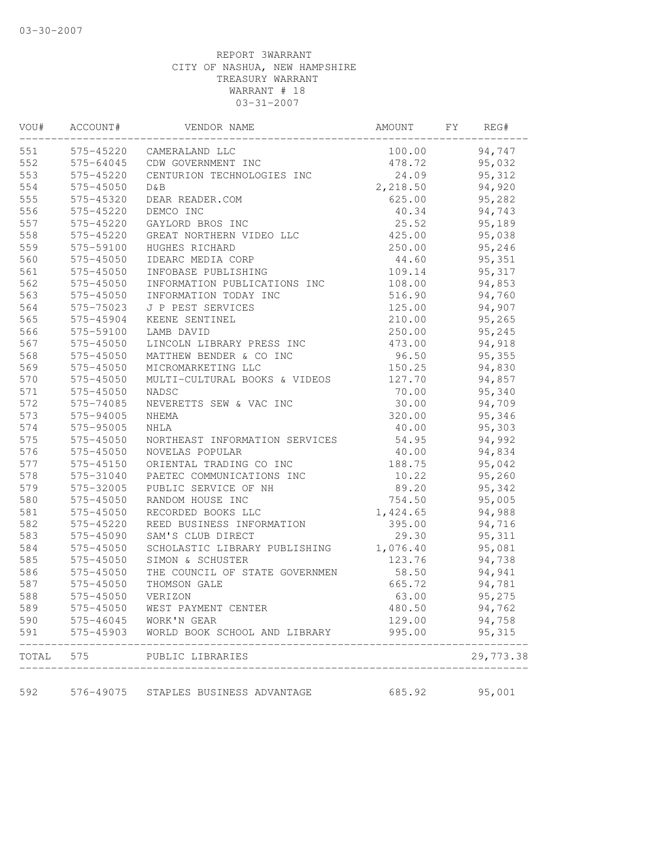| VOU#       | ACCOUNT#  | VENDOR NAME                        | AMOUNT   | FY<br>REG#       |
|------------|-----------|------------------------------------|----------|------------------|
| 551        |           | 575-45220 CAMERALAND LLC           | 100.00   | 94,747           |
| 552        | 575-64045 | CDW GOVERNMENT INC                 | 478.72   | 95,032           |
| 553        | 575-45220 | CENTURION TECHNOLOGIES INC         | 24.09    | 95,312           |
| 554        | 575-45050 | D & B                              | 2,218.50 | 94,920           |
| 555        | 575-45320 | DEAR READER.COM                    | 625.00   | 95,282           |
| 556        | 575-45220 | DEMCO INC                          | 40.34    | 94,743           |
| 557        | 575-45220 | GAYLORD BROS INC                   | 25.52    | 95,189           |
| 558        | 575-45220 | GREAT NORTHERN VIDEO LLC           | 425.00   | 95,038           |
| 559        | 575-59100 | HUGHES RICHARD                     | 250.00   | 95,246           |
| 560        | 575-45050 | IDEARC MEDIA CORP                  | 44.60    | 95,351           |
| 561        | 575-45050 | INFOBASE PUBLISHING                | 109.14   | 95,317           |
| 562        | 575-45050 | INFORMATION PUBLICATIONS INC       | 108.00   | 94,853           |
| 563        | 575-45050 | INFORMATION TODAY INC              | 516.90   | 94,760           |
| 564        | 575-75023 | J P PEST SERVICES                  | 125.00   | 94,907           |
| 565        | 575-45904 | KEENE SENTINEL                     | 210.00   | 95,265           |
| 566        | 575-59100 | LAMB DAVID                         | 250.00   | 95,245           |
| 567        | 575-45050 | LINCOLN LIBRARY PRESS INC          | 473.00   | 94,918           |
| 568        | 575-45050 | MATTHEW BENDER & CO INC            | 96.50    | 95,355           |
| 569        | 575-45050 | MICROMARKETING LLC                 | 150.25   | 94,830           |
| 570        | 575-45050 | MULTI-CULTURAL BOOKS & VIDEOS      | 127.70   | 94,857           |
| 571        | 575-45050 | NADSC                              | 70.00    | 95,340           |
| 572        | 575-74085 | NEVERETTS SEW & VAC INC            | 30.00    | 94,709           |
| 573        | 575-94005 | NHEMA                              | 320.00   | 95,346           |
| 574        | 575-95005 | NHLA                               | 40.00    | 95,303           |
| 575        | 575-45050 | NORTHEAST INFORMATION SERVICES     | 54.95    | 94,992           |
| 576        | 575-45050 | NOVELAS POPULAR                    | 40.00    | 94,834           |
| 577        | 575-45150 | ORIENTAL TRADING CO INC            | 188.75   | 95,042           |
| 578        | 575-31040 | PAETEC COMMUNICATIONS INC          | 10.22    | 95,260           |
| 579        | 575-32005 | PUBLIC SERVICE OF NH               | 89.20    | 95,342           |
| 580        | 575-45050 | RANDOM HOUSE INC                   | 754.50   | 95,005           |
| 581        | 575-45050 | RECORDED BOOKS LLC                 | 1,424.65 | 94,988           |
| 582        | 575-45220 | REED BUSINESS INFORMATION          | 395.00   | 94,716           |
| 583        | 575-45090 | SAM'S CLUB DIRECT                  | 29.30    | 95, 311          |
| 584        | 575-45050 | SCHOLASTIC LIBRARY PUBLISHING      | 1,076.40 | 95,081           |
| 585        | 575-45050 | SIMON & SCHUSTER                   | 123.76   | 94,738           |
| 586        | 575-45050 | THE COUNCIL OF STATE GOVERNMEN     | 58.50    | 94,941           |
| 587        | 575-45050 | THOMSON GALE                       | 665.72   | 94,781           |
| 588        | 575-45050 | VERIZON                            | 63.00    | 95,275           |
|            | 575-45050 |                                    | 480.50   |                  |
| 589<br>590 | 575-46045 | WEST PAYMENT CENTER<br>WORK'N GEAR | 129.00   | 94,762           |
| 591        | 575-45903 | WORLD BOOK SCHOOL AND LIBRARY      | 995.00   | 94,758<br>95,315 |
| TOTAL      | 575       | PUBLIC LIBRARIES                   |          | 29,773.38        |
| 592        | 576-49075 | STAPLES BUSINESS ADVANTAGE         | 685.92   | 95,001           |
|            |           |                                    |          |                  |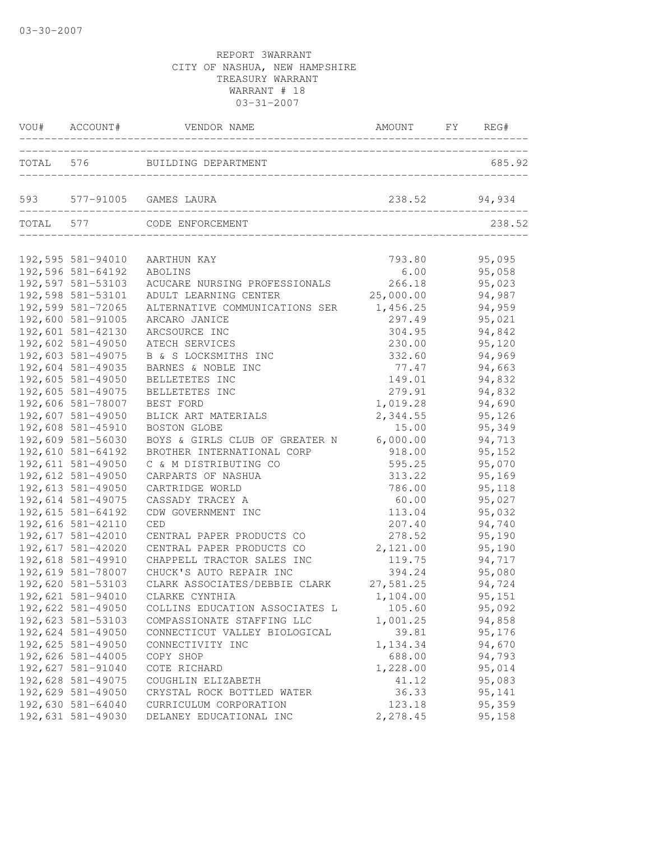| VOU# ACCOUNT#                                               | VENDOR NAME                                                                           | AMOUNT FY REG#               |                            |
|-------------------------------------------------------------|---------------------------------------------------------------------------------------|------------------------------|----------------------------|
|                                                             | TOTAL 576 BUILDING DEPARTMENT<br>__________________________________                   |                              | 685.92                     |
|                                                             | 593 577-91005 GAMES LAURA                                                             |                              | 238.52 94,934              |
| TOTAL 577                                                   | CODE ENFORCEMENT                                                                      |                              | 238.52                     |
| 192,595 581-94010<br>192,596 581-64192                      | AARTHUN KAY<br>ABOLINS                                                                | 793.80<br>6.00               | 95,095<br>95,058           |
| 192,597 581-53103<br>192,598 581-53101                      | ACUCARE NURSING PROFESSIONALS<br>ADULT LEARNING CENTER                                | 266.18<br>25,000.00          | 95,023<br>94,987           |
| 192,599 581-72065<br>192,600 581-91005<br>192,601 581-42130 | ALTERNATIVE COMMUNICATIONS SER<br>ARCARO JANICE                                       | 1,456.25<br>297.49<br>304.95 | 94,959<br>95,021<br>94,842 |
| 192,602 581-49050<br>192,603 581-49075                      | ARCSOURCE INC<br>ATECH SERVICES<br>B & S LOCKSMITHS INC                               | 230.00<br>332.60             | 95,120<br>94,969           |
| 192,604 581-49035<br>192,605 581-49050                      | BARNES & NOBLE INC<br>BELLETETES INC                                                  | 77.47<br>149.01              | 94,663<br>94,832           |
| 192,605 581-49075<br>192,606 581-78007                      | BELLETETES INC<br>BEST FORD                                                           | 279.91<br>1,019.28           | 94,832<br>94,690           |
| 192,607 581-49050<br>192,608 581-45910                      | BLICK ART MATERIALS<br>BOSTON GLOBE                                                   | 2,344.55<br>15.00            | 95,126<br>95,349           |
| 192,609 581-56030<br>192,610 581-64192<br>192,611 581-49050 | BOYS & GIRLS CLUB OF GREATER N<br>BROTHER INTERNATIONAL CORP<br>C & M DISTRIBUTING CO | 6,000.00<br>918.00<br>595.25 | 94,713<br>95,152<br>95,070 |
| 192,612 581-49050<br>192,613 581-49050                      | CARPARTS OF NASHUA<br>CARTRIDGE WORLD                                                 | 313.22<br>786.00             | 95,169<br>95,118           |
| 192,614 581-49075<br>192,615 581-64192                      | CASSADY TRACEY A<br>CDW GOVERNMENT INC                                                | 60.00<br>113.04              | 95,027<br>95,032           |
| 192,616 581-42110<br>192,617 581-42010                      | CED<br>CENTRAL PAPER PRODUCTS CO                                                      | 207.40<br>278.52             | 94,740<br>95,190           |
| 192,617 581-42020<br>192,618 581-49910<br>192,619 581-78007 | CENTRAL PAPER PRODUCTS CO<br>CHAPPELL TRACTOR SALES INC<br>CHUCK'S AUTO REPAIR INC    | 2,121.00<br>119.75<br>394.24 | 95,190<br>94,717<br>95,080 |
| 192,620 581-53103<br>192,621 581-94010                      | CLARK ASSOCIATES/DEBBIE CLARK<br>CLARKE CYNTHIA                                       | 27,581.25<br>1,104.00        | 94,724<br>95,151           |
| 192,622 581-49050<br>192,623 581-53103                      | COLLINS EDUCATION ASSOCIATES L<br>COMPASSIONATE STAFFING LLC                          | 105.60<br>1,001.25           | 95,092<br>94,858           |
| 192,624 581-49050<br>192,625 581-49050<br>192,626 581-44005 | CONNECTICUT VALLEY BIOLOGICAL<br>CONNECTIVITY INC<br>COPY SHOP                        | 39.81<br>1,134.34<br>688.00  | 95,176<br>94,670<br>94,793 |
| 192,627 581-91040<br>192,628 581-49075                      | COTE RICHARD<br>COUGHLIN ELIZABETH                                                    | 1,228.00<br>41.12            | 95,014<br>95,083           |
| 192,629 581-49050<br>192,630 581-64040<br>192,631 581-49030 | CRYSTAL ROCK BOTTLED WATER<br>CURRICULUM CORPORATION<br>DELANEY EDUCATIONAL INC       | 36.33<br>123.18<br>2,278.45  | 95,141<br>95,359<br>95,158 |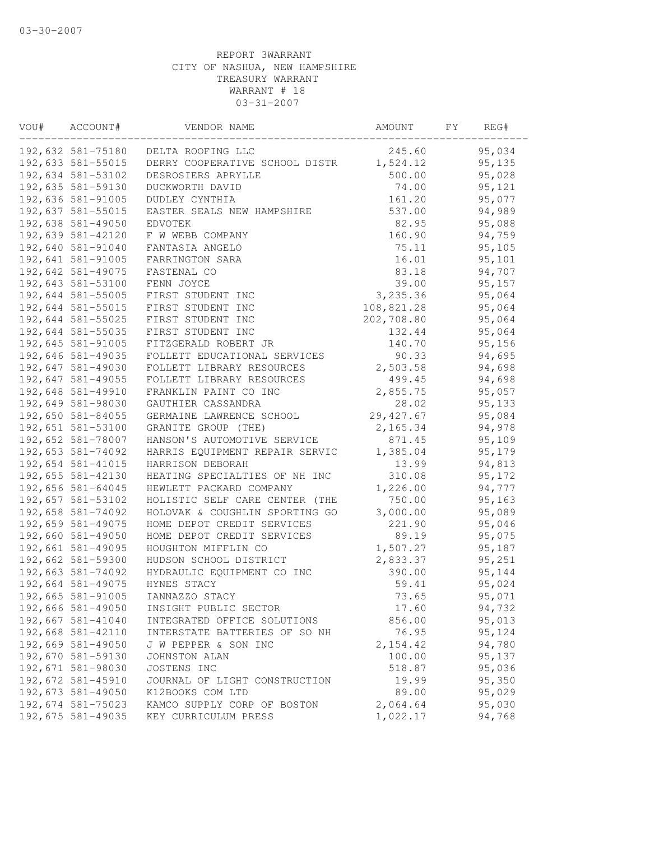| VOU# | ACCOUNT#          | VENDOR NAME                    | AMOUNT     | FY | REG#    |  |
|------|-------------------|--------------------------------|------------|----|---------|--|
|      | 192,632 581-75180 | DELTA ROOFING LLC              | 245.60     |    | 95,034  |  |
|      | 192,633 581-55015 | DERRY COOPERATIVE SCHOOL DISTR | 1,524.12   |    | 95,135  |  |
|      | 192,634 581-53102 | DESROSIERS APRYLLE             | 500.00     |    | 95,028  |  |
|      | 192,635 581-59130 | DUCKWORTH DAVID                | 74.00      |    | 95,121  |  |
|      | 192,636 581-91005 | DUDLEY CYNTHIA                 | 161.20     |    | 95,077  |  |
|      | 192,637 581-55015 | EASTER SEALS NEW HAMPSHIRE     | 537.00     |    | 94,989  |  |
|      | 192,638 581-49050 | EDVOTEK                        | 82.95      |    | 95,088  |  |
|      | 192,639 581-42120 | F W WEBB COMPANY               | 160.90     |    | 94,759  |  |
|      | 192,640 581-91040 | FANTASIA ANGELO                | 75.11      |    | 95,105  |  |
|      | 192,641 581-91005 | FARRINGTON SARA                | 16.01      |    | 95,101  |  |
|      | 192,642 581-49075 | FASTENAL CO                    | 83.18      |    | 94,707  |  |
|      | 192,643 581-53100 | FENN JOYCE                     | 39.00      |    | 95, 157 |  |
|      | 192,644 581-55005 | FIRST STUDENT INC              | 3,235.36   |    | 95,064  |  |
|      | 192,644 581-55015 | FIRST STUDENT INC              | 108,821.28 |    | 95,064  |  |
|      | 192,644 581-55025 | FIRST STUDENT INC              | 202,708.80 |    | 95,064  |  |
|      | 192,644 581-55035 | FIRST STUDENT INC              | 132.44     |    | 95,064  |  |
|      | 192,645 581-91005 | FITZGERALD ROBERT JR           | 140.70     |    | 95,156  |  |
|      | 192,646 581-49035 | FOLLETT EDUCATIONAL SERVICES   | 90.33      |    | 94,695  |  |
|      | 192,647 581-49030 | FOLLETT LIBRARY RESOURCES      | 2,503.58   |    | 94,698  |  |
|      | 192,647 581-49055 | FOLLETT LIBRARY RESOURCES      | 499.45     |    | 94,698  |  |
|      | 192,648 581-49910 | FRANKLIN PAINT CO INC          | 2,855.75   |    | 95,057  |  |
|      | 192,649 581-98030 | GAUTHIER CASSANDRA             | 28.02      |    | 95,133  |  |
|      | 192,650 581-84055 | GERMAINE LAWRENCE SCHOOL       | 29, 427.67 |    | 95,084  |  |
|      | 192,651 581-53100 | GRANITE GROUP (THE)            | 2,165.34   |    | 94,978  |  |
|      | 192,652 581-78007 | HANSON'S AUTOMOTIVE SERVICE    | 871.45     |    | 95,109  |  |
|      | 192,653 581-74092 | HARRIS EQUIPMENT REPAIR SERVIC | 1,385.04   |    | 95,179  |  |
|      | 192,654 581-41015 | HARRISON DEBORAH               | 13.99      |    | 94,813  |  |
|      | 192,655 581-42130 | HEATING SPECIALTIES OF NH INC  | 310.08     |    | 95,172  |  |
|      | 192,656 581-64045 | HEWLETT PACKARD COMPANY        | 1,226.00   |    | 94,777  |  |
|      | 192,657 581-53102 | HOLISTIC SELF CARE CENTER (THE | 750.00     |    | 95, 163 |  |
|      | 192,658 581-74092 | HOLOVAK & COUGHLIN SPORTING GO | 3,000.00   |    | 95,089  |  |
|      | 192,659 581-49075 | HOME DEPOT CREDIT SERVICES     | 221.90     |    | 95,046  |  |
|      | 192,660 581-49050 | HOME DEPOT CREDIT SERVICES     | 89.19      |    | 95,075  |  |
|      | 192,661 581-49095 | HOUGHTON MIFFLIN CO            | 1,507.27   |    | 95,187  |  |
|      | 192,662 581-59300 | HUDSON SCHOOL DISTRICT         | 2,833.37   |    | 95,251  |  |
|      | 192,663 581-74092 | HYDRAULIC EQUIPMENT CO INC     | 390.00     |    | 95,144  |  |
|      | 192,664 581-49075 | HYNES STACY                    | 59.41      |    | 95,024  |  |
|      | 192,665 581-91005 | IANNAZZO STACY                 | 73.65      |    | 95,071  |  |
|      | 192,666 581-49050 | INSIGHT PUBLIC SECTOR          | 17.60      |    | 94,732  |  |
|      | 192,667 581-41040 | INTEGRATED OFFICE SOLUTIONS    | 856.00     |    | 95,013  |  |
|      | 192,668 581-42110 | INTERSTATE BATTERIES OF SO NH  | 76.95      |    | 95,124  |  |
|      | 192,669 581-49050 | J W PEPPER & SON INC           | 2, 154.42  |    | 94,780  |  |
|      | 192,670 581-59130 | JOHNSTON ALAN                  | 100.00     |    | 95,137  |  |
|      | 192,671 581-98030 | JOSTENS INC                    | 518.87     |    | 95,036  |  |
|      | 192,672 581-45910 | JOURNAL OF LIGHT CONSTRUCTION  | 19.99      |    | 95,350  |  |
|      | 192,673 581-49050 | K12BOOKS COM LTD               | 89.00      |    | 95,029  |  |
|      | 192,674 581-75023 | KAMCO SUPPLY CORP OF BOSTON    | 2,064.64   |    | 95,030  |  |
|      | 192,675 581-49035 | KEY CURRICULUM PRESS           | 1,022.17   |    | 94,768  |  |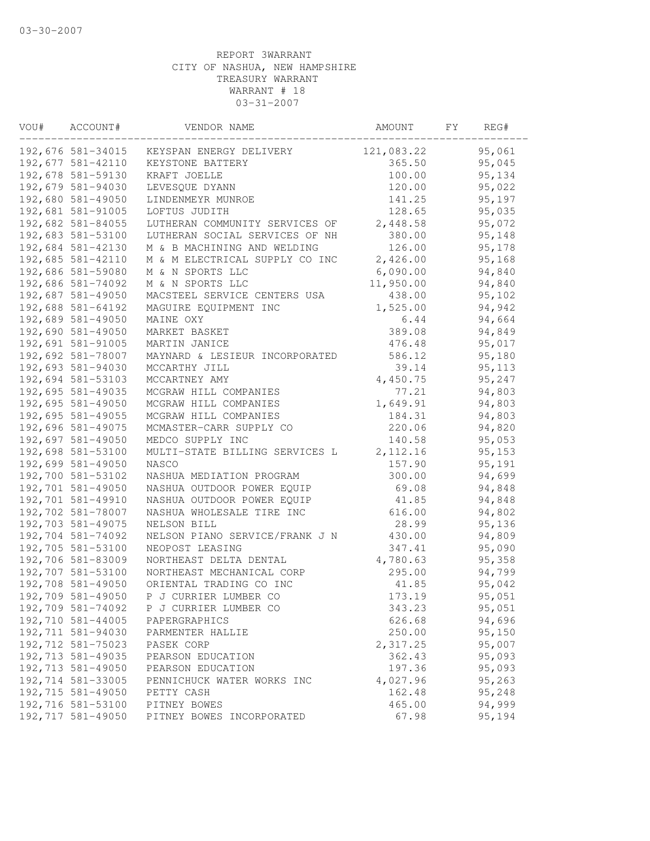| VOU# | ACCOUNT#          | VENDOR NAME                    | AMOUNT     | FY | REG#   |
|------|-------------------|--------------------------------|------------|----|--------|
|      | 192,676 581-34015 | KEYSPAN ENERGY DELIVERY        | 121,083.22 |    | 95,061 |
|      | 192,677 581-42110 | KEYSTONE BATTERY               | 365.50     |    | 95,045 |
|      | 192,678 581-59130 | KRAFT JOELLE                   | 100.00     |    | 95,134 |
|      | 192,679 581-94030 | LEVESQUE DYANN                 | 120.00     |    | 95,022 |
|      | 192,680 581-49050 | LINDENMEYR MUNROE              | 141.25     |    | 95,197 |
|      | 192,681 581-91005 | LOFTUS JUDITH                  | 128.65     |    | 95,035 |
|      | 192,682 581-84055 | LUTHERAN COMMUNITY SERVICES OF | 2,448.58   |    | 95,072 |
|      | 192,683 581-53100 | LUTHERAN SOCIAL SERVICES OF NH | 380.00     |    | 95,148 |
|      | 192,684 581-42130 | M & B MACHINING AND WELDING    | 126.00     |    | 95,178 |
|      | 192,685 581-42110 | M & M ELECTRICAL SUPPLY CO INC | 2,426.00   |    | 95,168 |
|      | 192,686 581-59080 | M & N SPORTS LLC               | 6,090.00   |    | 94,840 |
|      | 192,686 581-74092 | M & N SPORTS LLC               | 11,950.00  |    | 94,840 |
|      | 192,687 581-49050 | MACSTEEL SERVICE CENTERS USA   | 438.00     |    | 95,102 |
|      | 192,688 581-64192 | MAGUIRE EQUIPMENT INC          | 1,525.00   |    | 94,942 |
|      | 192,689 581-49050 | MAINE OXY                      | 6.44       |    | 94,664 |
|      | 192,690 581-49050 | MARKET BASKET                  | 389.08     |    | 94,849 |
|      | 192,691 581-91005 | MARTIN JANICE                  | 476.48     |    | 95,017 |
|      | 192,692 581-78007 | MAYNARD & LESIEUR INCORPORATED | 586.12     |    | 95,180 |
|      | 192,693 581-94030 | MCCARTHY JILL                  | 39.14      |    | 95,113 |
|      | 192,694 581-53103 | MCCARTNEY AMY                  | 4,450.75   |    | 95,247 |
|      | 192,695 581-49035 | MCGRAW HILL COMPANIES          | 77.21      |    | 94,803 |
|      | 192,695 581-49050 | MCGRAW HILL COMPANIES          | 1,649.91   |    | 94,803 |
|      | 192,695 581-49055 | MCGRAW HILL COMPANIES          | 184.31     |    | 94,803 |
|      | 192,696 581-49075 | MCMASTER-CARR SUPPLY CO        | 220.06     |    | 94,820 |
|      | 192,697 581-49050 | MEDCO SUPPLY INC               | 140.58     |    | 95,053 |
|      | 192,698 581-53100 | MULTI-STATE BILLING SERVICES L | 2, 112.16  |    | 95,153 |
|      | 192,699 581-49050 | NASCO                          | 157.90     |    | 95,191 |
|      | 192,700 581-53102 | NASHUA MEDIATION PROGRAM       | 300.00     |    | 94,699 |
|      | 192,701 581-49050 | NASHUA OUTDOOR POWER EQUIP     | 69.08      |    | 94,848 |
|      | 192,701 581-49910 | NASHUA OUTDOOR POWER EQUIP     | 41.85      |    | 94,848 |
|      | 192,702 581-78007 | NASHUA WHOLESALE TIRE INC      | 616.00     |    | 94,802 |
|      | 192,703 581-49075 | NELSON BILL                    | 28.99      |    | 95,136 |
|      | 192,704 581-74092 | NELSON PIANO SERVICE/FRANK J N | 430.00     |    | 94,809 |
|      | 192,705 581-53100 | NEOPOST LEASING                | 347.41     |    | 95,090 |
|      | 192,706 581-83009 | NORTHEAST DELTA DENTAL         | 4,780.63   |    | 95,358 |
|      | 192,707 581-53100 | NORTHEAST MECHANICAL CORP      | 295.00     |    | 94,799 |
|      | 192,708 581-49050 | ORIENTAL TRADING CO INC        | 41.85      |    | 95,042 |
|      | 192,709 581-49050 | P J CURRIER LUMBER CO          | 173.19     |    | 95,051 |
|      | 192,709 581-74092 | P J CURRIER LUMBER CO          | 343.23     |    | 95,051 |
|      | 192,710 581-44005 | PAPERGRAPHICS                  | 626.68     |    | 94,696 |
|      | 192,711 581-94030 | PARMENTER HALLIE               | 250.00     |    | 95,150 |
|      | 192,712 581-75023 | PASEK CORP                     | 2,317.25   |    | 95,007 |
|      | 192,713 581-49035 | PEARSON EDUCATION              | 362.43     |    | 95,093 |
|      | 192,713 581-49050 | PEARSON EDUCATION              | 197.36     |    | 95,093 |
|      | 192,714 581-33005 | PENNICHUCK WATER WORKS INC     | 4,027.96   |    | 95,263 |
|      | 192,715 581-49050 | PETTY CASH                     | 162.48     |    | 95,248 |
|      | 192,716 581-53100 | PITNEY BOWES                   | 465.00     |    | 94,999 |
|      | 192,717 581-49050 | PITNEY BOWES INCORPORATED      | 67.98      |    | 95,194 |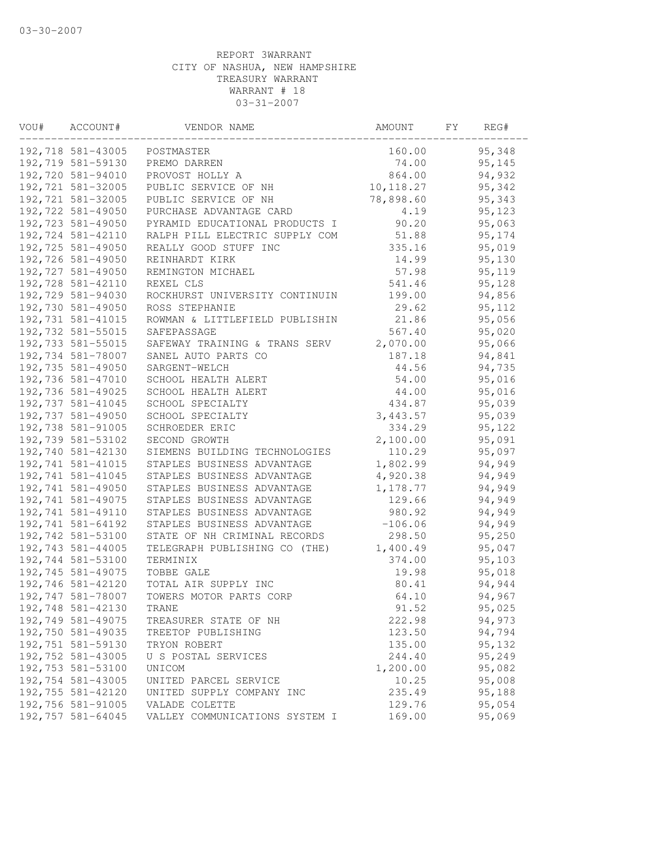| VOU# | ACCOUNT#          | VENDOR NAME                    | AMOUNT     | FY | REG#   |  |
|------|-------------------|--------------------------------|------------|----|--------|--|
|      | 192,718 581-43005 | POSTMASTER                     | 160.00     |    | 95,348 |  |
|      | 192,719 581-59130 | PREMO DARREN                   | 74.00      |    | 95,145 |  |
|      | 192,720 581-94010 | PROVOST HOLLY A                | 864.00     |    | 94,932 |  |
|      | 192,721 581-32005 | PUBLIC SERVICE OF NH           | 10, 118.27 |    | 95,342 |  |
|      | 192,721 581-32005 | PUBLIC SERVICE OF NH           | 78,898.60  |    | 95,343 |  |
|      | 192,722 581-49050 | PURCHASE ADVANTAGE CARD        | 4.19       |    | 95,123 |  |
|      | 192,723 581-49050 | PYRAMID EDUCATIONAL PRODUCTS I | 90.20      |    | 95,063 |  |
|      | 192,724 581-42110 | RALPH PILL ELECTRIC SUPPLY COM | 51.88      |    | 95,174 |  |
|      | 192,725 581-49050 | REALLY GOOD STUFF INC          | 335.16     |    | 95,019 |  |
|      | 192,726 581-49050 | REINHARDT KIRK                 | 14.99      |    | 95,130 |  |
|      | 192,727 581-49050 | REMINGTON MICHAEL              | 57.98      |    | 95,119 |  |
|      | 192,728 581-42110 | REXEL CLS                      | 541.46     |    | 95,128 |  |
|      | 192,729 581-94030 | ROCKHURST UNIVERSITY CONTINUIN | 199.00     |    | 94,856 |  |
|      | 192,730 581-49050 | ROSS STEPHANIE                 | 29.62      |    | 95,112 |  |
|      | 192,731 581-41015 | ROWMAN & LITTLEFIELD PUBLISHIN | 21.86      |    | 95,056 |  |
|      | 192,732 581-55015 | SAFEPASSAGE                    | 567.40     |    | 95,020 |  |
|      | 192,733 581-55015 | SAFEWAY TRAINING & TRANS SERV  | 2,070.00   |    | 95,066 |  |
|      | 192,734 581-78007 | SANEL AUTO PARTS CO            | 187.18     |    | 94,841 |  |
|      | 192,735 581-49050 | SARGENT-WELCH                  | 44.56      |    | 94,735 |  |
|      | 192,736 581-47010 | SCHOOL HEALTH ALERT            | 54.00      |    | 95,016 |  |
|      | 192,736 581-49025 | SCHOOL HEALTH ALERT            | 44.00      |    | 95,016 |  |
|      | 192,737 581-41045 | SCHOOL SPECIALTY               | 434.87     |    | 95,039 |  |
|      | 192,737 581-49050 | SCHOOL SPECIALTY               | 3,443.57   |    | 95,039 |  |
|      | 192,738 581-91005 | SCHROEDER ERIC                 | 334.29     |    | 95,122 |  |
|      | 192,739 581-53102 | SECOND GROWTH                  | 2,100.00   |    | 95,091 |  |
|      | 192,740 581-42130 | SIEMENS BUILDING TECHNOLOGIES  | 110.29     |    | 95,097 |  |
|      | 192,741 581-41015 | STAPLES BUSINESS ADVANTAGE     | 1,802.99   |    | 94,949 |  |
|      | 192,741 581-41045 | STAPLES BUSINESS ADVANTAGE     | 4,920.38   |    | 94,949 |  |
|      | 192,741 581-49050 | STAPLES BUSINESS ADVANTAGE     | 1,178.77   |    | 94,949 |  |
|      | 192,741 581-49075 | STAPLES BUSINESS ADVANTAGE     | 129.66     |    | 94,949 |  |
|      | 192,741 581-49110 | STAPLES BUSINESS ADVANTAGE     | 980.92     |    | 94,949 |  |
|      | 192,741 581-64192 | STAPLES BUSINESS ADVANTAGE     | $-106.06$  |    | 94,949 |  |
|      | 192,742 581-53100 | STATE OF NH CRIMINAL RECORDS   | 298.50     |    | 95,250 |  |
|      | 192,743 581-44005 | TELEGRAPH PUBLISHING CO (THE)  | 1,400.49   |    | 95,047 |  |
|      | 192,744 581-53100 | TERMINIX                       | 374.00     |    | 95,103 |  |
|      | 192,745 581-49075 | TOBBE GALE                     | 19.98      |    | 95,018 |  |
|      | 192,746 581-42120 | TOTAL AIR SUPPLY INC           | 80.41      |    | 94,944 |  |
|      | 192,747 581-78007 | TOWERS MOTOR PARTS CORP        | 64.10      |    | 94,967 |  |
|      | 192,748 581-42130 | TRANE                          | 91.52      |    | 95,025 |  |
|      | 192,749 581-49075 | TREASURER STATE OF NH          | 222.98     |    | 94,973 |  |
|      | 192,750 581-49035 | TREETOP PUBLISHING             | 123.50     |    | 94,794 |  |
|      | 192,751 581-59130 | TRYON ROBERT                   | 135.00     |    | 95,132 |  |
|      | 192,752 581-43005 | U S POSTAL SERVICES            | 244.40     |    | 95,249 |  |
|      | 192,753 581-53100 | UNICOM                         | 1,200.00   |    | 95,082 |  |
|      | 192,754 581-43005 | UNITED PARCEL SERVICE          | 10.25      |    | 95,008 |  |
|      | 192,755 581-42120 | UNITED SUPPLY COMPANY INC      | 235.49     |    | 95,188 |  |
|      | 192,756 581-91005 | VALADE COLETTE                 | 129.76     |    | 95,054 |  |
|      | 192,757 581-64045 | VALLEY COMMUNICATIONS SYSTEM I | 169.00     |    | 95,069 |  |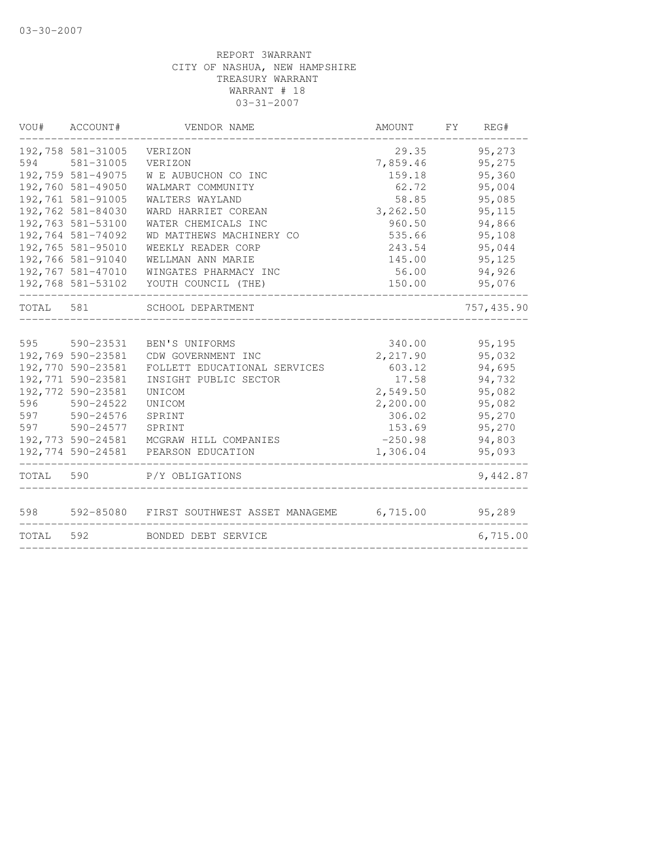| VOU#      | ACCOUNT#          | VENDOR NAME                             | AMOUNT    | FY. | REG#       |
|-----------|-------------------|-----------------------------------------|-----------|-----|------------|
|           | 192,758 581-31005 | VERIZON                                 | 29.35     |     | 95,273     |
| 594       | 581-31005         | VERIZON                                 | 7,859.46  |     | 95,275     |
|           | 192,759 581-49075 | W E AUBUCHON CO INC                     | 159.18    |     | 95,360     |
|           | 192,760 581-49050 | WALMART COMMUNITY                       | 62.72     |     | 95,004     |
|           | 192,761 581-91005 | WALTERS WAYLAND                         | 58.85     |     | 95,085     |
|           | 192,762 581-84030 | WARD HARRIET COREAN                     | 3,262.50  |     | 95,115     |
|           | 192,763 581-53100 | WATER CHEMICALS INC                     | 960.50    |     | 94,866     |
|           | 192,764 581-74092 | WD MATTHEWS MACHINERY CO                | 535.66    |     | 95,108     |
|           | 192,765 581-95010 | WEEKLY READER CORP                      | 243.54    |     | 95,044     |
|           | 192,766 581-91040 | WELLMAN ANN MARIE                       | 145.00    |     | 95,125     |
|           | 192,767 581-47010 | WINGATES PHARMACY INC                   | 56.00     |     | 94,926     |
|           | 192,768 581-53102 | YOUTH COUNCIL (THE)                     | 150.00    |     | 95,076     |
| TOTAL     | 581               | SCHOOL DEPARTMENT                       |           |     | 757,435.90 |
|           |                   |                                         |           |     |            |
| 595       | 590-23531         | BEN'S UNIFORMS                          | 340.00    |     | 95,195     |
|           | 192,769 590-23581 | CDW GOVERNMENT INC                      | 2,217.90  |     | 95,032     |
|           | 192,770 590-23581 | FOLLETT EDUCATIONAL SERVICES            | 603.12    |     | 94,695     |
|           | 192,771 590-23581 | INSIGHT PUBLIC SECTOR                   | 17.58     |     | 94,732     |
|           | 192,772 590-23581 | UNICOM                                  | 2,549.50  |     | 95,082     |
| 596       | 590-24522         | UNICOM                                  | 2,200.00  |     | 95,082     |
| 597       | $590 - 24576$     | SPRINT                                  | 306.02    |     | 95,270     |
| 597       | 590-24577         | SPRINT                                  | 153.69    |     | 95,270     |
|           | 192,773 590-24581 | MCGRAW HILL COMPANIES                   | $-250.98$ |     | 94,803     |
|           | 192,774 590-24581 | PEARSON EDUCATION                       | 1,306.04  |     | 95,093     |
| TOTAL 590 |                   | P/Y OBLIGATIONS                         |           |     | 9,442.87   |
|           |                   |                                         |           |     |            |
| 598       | 592-85080         | FIRST SOUTHWEST ASSET MANAGEME 6,715.00 |           |     | 95,289     |
| TOTAL     | 592               | BONDED DEBT SERVICE                     |           |     | 6,715.00   |
|           |                   |                                         |           |     |            |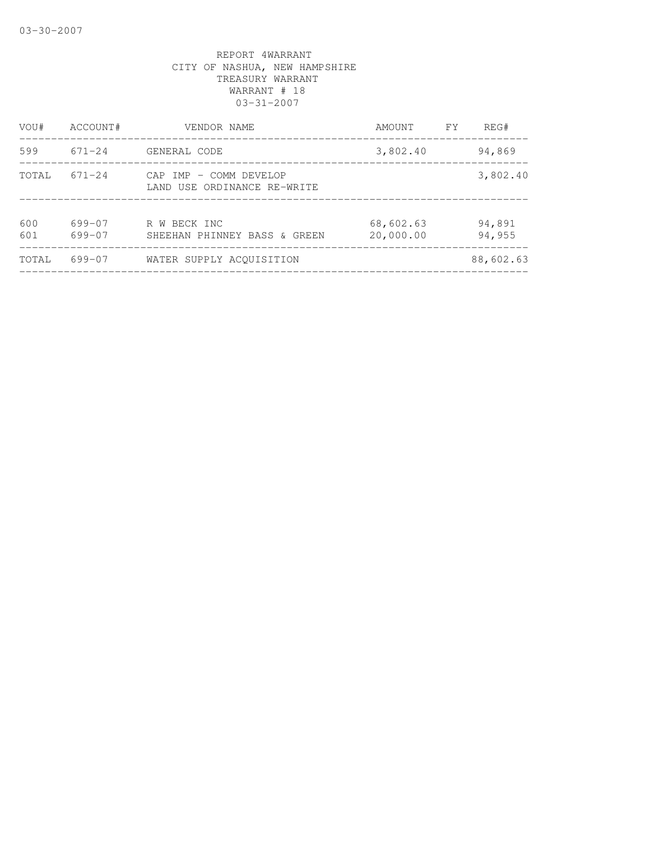| VOU#       | ACCOUNT#         | VENDOR NAME                                           | AMOUNT                 | FY | REG#             |
|------------|------------------|-------------------------------------------------------|------------------------|----|------------------|
| 599        | 671-24           | GENERAL CODE                                          | 3,802.40               |    | 94,869           |
| TOTAL      | $671 - 24$       | CAP IMP - COMM DEVELOP<br>LAND USE ORDINANCE RE-WRITE |                        |    | 3,802.40         |
| 600<br>601 | 699-07<br>699-07 | R W BECK INC<br>SHEEHAN PHINNEY BASS & GREEN          | 68,602.63<br>20,000.00 |    | 94,891<br>94,955 |
| TOTAL      | 699-07           | WATER SUPPLY ACOUISITION                              |                        |    | 88,602.63        |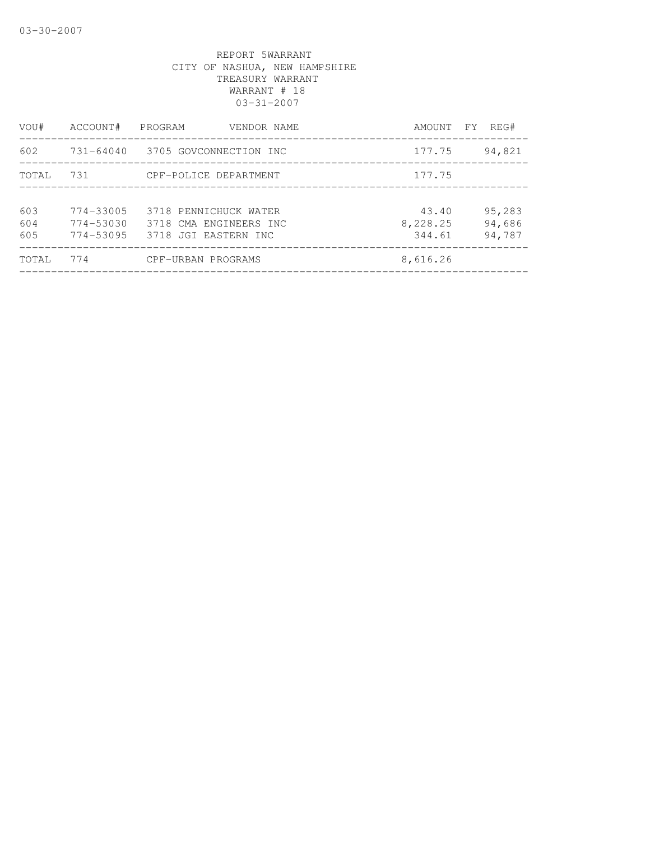| VOU#              | ACCOUNT#                                        | PROGRAM<br>VENDOR NAME                                                  | AMOUNT FY                   | REG#                       |
|-------------------|-------------------------------------------------|-------------------------------------------------------------------------|-----------------------------|----------------------------|
| 602               |                                                 | 731-64040 3705 GOVCONNECTION INC                                        | 177.75                      | 94,821                     |
| TOTAL             | 731                                             | CPF-POLICE DEPARTMENT                                                   | 177.75                      |                            |
|                   |                                                 |                                                                         |                             |                            |
| 603<br>604<br>605 | $774 - 33005$<br>$774 - 53030$<br>$774 - 53095$ | 3718 PENNICHUCK WATER<br>3718 CMA ENGINEERS INC<br>3718 JGI EASTERN INC | 43.40<br>8,228.25<br>344.61 | 95,283<br>94,686<br>94,787 |
| TOTAL             | 774                                             | CPF-URBAN PROGRAMS                                                      | 8,616.26                    |                            |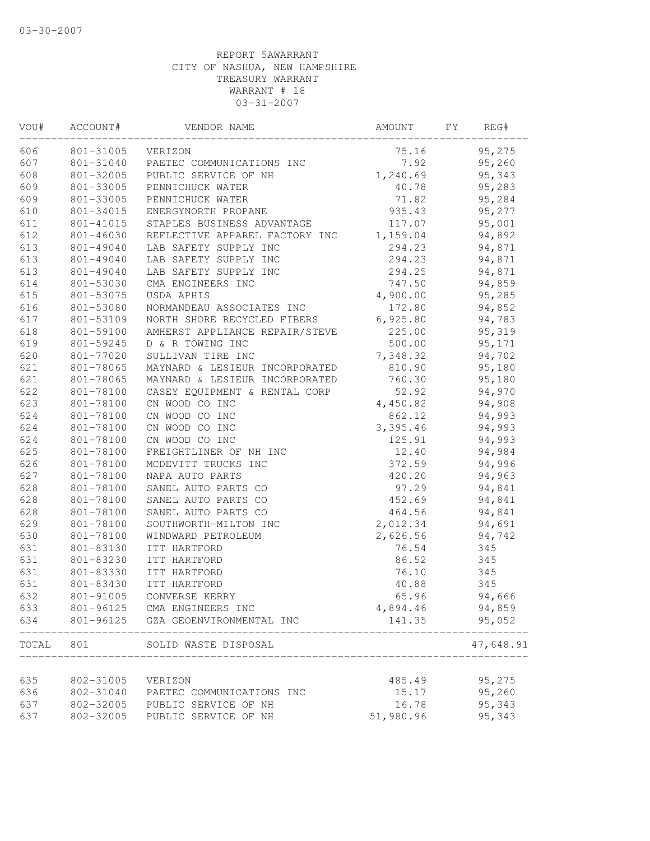| VOU#  | ACCOUNT#  | VENDOR NAME                    | AMOUNT    | FΥ | REG#      |
|-------|-----------|--------------------------------|-----------|----|-----------|
| 606   | 801-31005 | VERIZON                        | 75.16     |    | 95,275    |
| 607   | 801-31040 | PAETEC COMMUNICATIONS INC      | 7.92      |    | 95,260    |
| 608   | 801-32005 | PUBLIC SERVICE OF NH           | 1,240.69  |    | 95,343    |
| 609   | 801-33005 | PENNICHUCK WATER               | 40.78     |    | 95,283    |
| 609   | 801-33005 | PENNICHUCK WATER               | 71.82     |    | 95,284    |
| 610   | 801-34015 | ENERGYNORTH PROPANE            | 935.43    |    | 95,277    |
| 611   | 801-41015 | STAPLES BUSINESS ADVANTAGE     | 117.07    |    | 95,001    |
| 612   | 801-46030 | REFLECTIVE APPAREL FACTORY INC | 1,159.04  |    | 94,892    |
| 613   | 801-49040 | LAB SAFETY SUPPLY INC          | 294.23    |    | 94,871    |
| 613   | 801-49040 | LAB SAFETY SUPPLY INC          | 294.23    |    | 94,871    |
| 613   | 801-49040 | LAB SAFETY SUPPLY INC          | 294.25    |    | 94,871    |
| 614   | 801-53030 | CMA ENGINEERS INC              | 747.50    |    | 94,859    |
| 615   | 801-53075 | USDA APHIS                     | 4,900.00  |    | 95,285    |
| 616   | 801-53080 | NORMANDEAU ASSOCIATES INC      | 172.80    |    | 94,852    |
| 617   | 801-53109 | NORTH SHORE RECYCLED FIBERS    | 6,925.80  |    | 94,783    |
| 618   | 801-59100 | AMHERST APPLIANCE REPAIR/STEVE | 225.00    |    | 95,319    |
| 619   | 801-59245 | D & R TOWING INC               | 500.00    |    | 95,171    |
| 620   | 801-77020 | SULLIVAN TIRE INC              | 7,348.32  |    | 94,702    |
| 621   | 801-78065 | MAYNARD & LESIEUR INCORPORATED | 810.90    |    | 95,180    |
| 621   | 801-78065 | MAYNARD & LESIEUR INCORPORATED | 760.30    |    | 95,180    |
| 622   | 801-78100 | CASEY EQUIPMENT & RENTAL CORP  | 52.92     |    | 94,970    |
| 623   | 801-78100 | CN WOOD CO INC                 | 4,450.82  |    | 94,908    |
| 624   | 801-78100 | CN WOOD CO INC                 | 862.12    |    | 94,993    |
| 624   | 801-78100 | CN WOOD CO INC                 | 3,395.46  |    | 94,993    |
| 624   | 801-78100 | CN WOOD CO INC                 | 125.91    |    | 94,993    |
| 625   | 801-78100 | FREIGHTLINER OF NH INC         | 12.40     |    | 94,984    |
| 626   | 801-78100 | MCDEVITT TRUCKS INC            | 372.59    |    | 94,996    |
| 627   | 801-78100 | NAPA AUTO PARTS                | 420.20    |    | 94,963    |
| 628   | 801-78100 | SANEL AUTO PARTS CO            | 97.29     |    | 94,841    |
| 628   | 801-78100 | SANEL AUTO PARTS CO            | 452.69    |    | 94,841    |
| 628   | 801-78100 | SANEL AUTO PARTS CO            | 464.56    |    | 94,841    |
| 629   | 801-78100 | SOUTHWORTH-MILTON INC          | 2,012.34  |    | 94,691    |
| 630   | 801-78100 | WINDWARD PETROLEUM             | 2,626.56  |    | 94,742    |
| 631   | 801-83130 | ITT HARTFORD                   | 76.54     |    | 345       |
| 631   | 801-83230 | ITT HARTFORD                   | 86.52     |    | 345       |
| 631   | 801-83330 | ITT HARTFORD                   | 76.10     |    | 345       |
| 631   | 801-83430 | ITT HARTFORD                   | 40.88     |    | 345       |
| 632   | 801-91005 | CONVERSE KERRY                 | 65.96     |    | 94,666    |
| 633   | 801-96125 | CMA ENGINEERS INC              | 4,894.46  |    | 94,859    |
| 634   | 801-96125 | GZA GEOENVIRONMENTAL INC       | 141.35    |    | 95,052    |
| TOTAL | 801       | SOLID WASTE DISPOSAL           |           |    | 47,648.91 |
|       |           |                                |           |    |           |
| 635   | 802-31005 | VERIZON                        | 485.49    |    | 95,275    |
| 636   | 802-31040 | PAETEC COMMUNICATIONS INC      | 15.17     |    | 95,260    |
| 637   | 802-32005 | PUBLIC SERVICE OF NH           | 16.78     |    | 95,343    |
| 637   | 802-32005 | PUBLIC SERVICE OF NH           | 51,980.96 |    | 95,343    |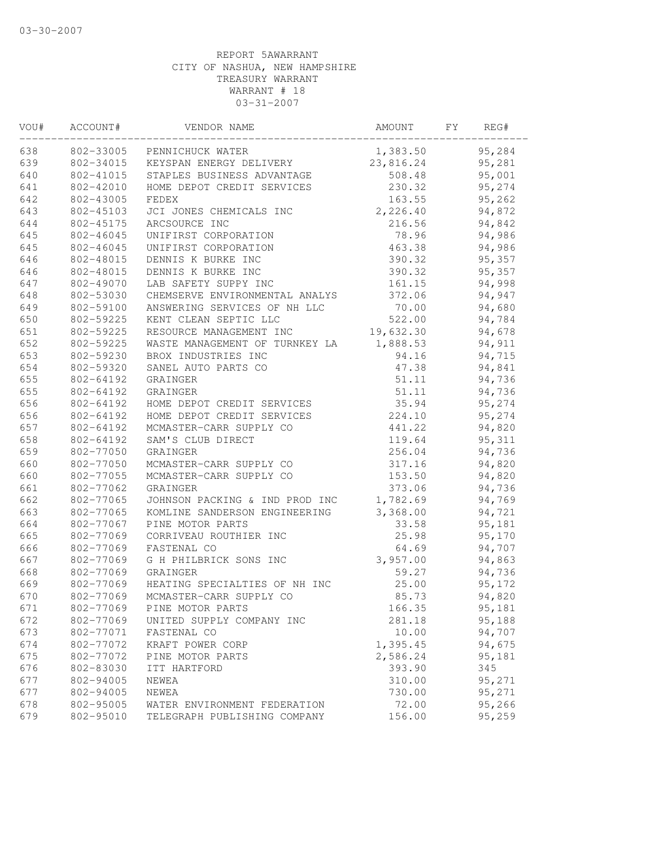| VOU# | ACCOUNT#  | VENDOR NAME                    | AMOUNT    | FY | REG#    |  |
|------|-----------|--------------------------------|-----------|----|---------|--|
| 638  | 802-33005 | PENNICHUCK WATER               | 1,383.50  |    | 95,284  |  |
| 639  | 802-34015 | KEYSPAN ENERGY DELIVERY        | 23,816.24 |    | 95,281  |  |
| 640  | 802-41015 | STAPLES BUSINESS ADVANTAGE     | 508.48    |    | 95,001  |  |
| 641  | 802-42010 | HOME DEPOT CREDIT SERVICES     | 230.32    |    | 95,274  |  |
| 642  | 802-43005 | FEDEX                          | 163.55    |    | 95,262  |  |
| 643  | 802-45103 | JCI JONES CHEMICALS INC        | 2,226.40  |    | 94,872  |  |
| 644  | 802-45175 | ARCSOURCE INC                  | 216.56    |    | 94,842  |  |
| 645  | 802-46045 | UNIFIRST CORPORATION           | 78.96     |    | 94,986  |  |
| 645  | 802-46045 | UNIFIRST CORPORATION           | 463.38    |    | 94,986  |  |
| 646  | 802-48015 | DENNIS K BURKE INC             | 390.32    |    | 95,357  |  |
| 646  | 802-48015 | DENNIS K BURKE INC             | 390.32    |    | 95,357  |  |
| 647  | 802-49070 | LAB SAFETY SUPPY INC           | 161.15    |    | 94,998  |  |
| 648  | 802-53030 | CHEMSERVE ENVIRONMENTAL ANALYS | 372.06    |    | 94,947  |  |
| 649  | 802-59100 | ANSWERING SERVICES OF NH LLC   | 70.00     |    | 94,680  |  |
| 650  | 802-59225 | KENT CLEAN SEPTIC LLC          | 522.00    |    | 94,784  |  |
| 651  | 802-59225 | RESOURCE MANAGEMENT INC        | 19,632.30 |    | 94,678  |  |
| 652  | 802-59225 | WASTE MANAGEMENT OF TURNKEY LA | 1,888.53  |    | 94,911  |  |
| 653  | 802-59230 | BROX INDUSTRIES INC            | 94.16     |    | 94,715  |  |
| 654  | 802-59320 | SANEL AUTO PARTS CO            | 47.38     |    | 94,841  |  |
| 655  | 802-64192 | GRAINGER                       | 51.11     |    | 94,736  |  |
| 655  | 802-64192 | GRAINGER                       | 51.11     |    | 94,736  |  |
| 656  | 802-64192 | HOME DEPOT CREDIT SERVICES     | 35.94     |    | 95,274  |  |
| 656  | 802-64192 | HOME DEPOT CREDIT SERVICES     | 224.10    |    | 95,274  |  |
| 657  | 802-64192 | MCMASTER-CARR SUPPLY CO        | 441.22    |    | 94,820  |  |
| 658  | 802-64192 | SAM'S CLUB DIRECT              | 119.64    |    | 95, 311 |  |
| 659  | 802-77050 | GRAINGER                       | 256.04    |    | 94,736  |  |
| 660  | 802-77050 | MCMASTER-CARR SUPPLY CO        | 317.16    |    | 94,820  |  |
| 660  | 802-77055 | MCMASTER-CARR SUPPLY CO        | 153.50    |    | 94,820  |  |
| 661  | 802-77062 | GRAINGER                       | 373.06    |    | 94,736  |  |
| 662  | 802-77065 | JOHNSON PACKING & IND PROD INC | 1,782.69  |    | 94,769  |  |
| 663  | 802-77065 | KOMLINE SANDERSON ENGINEERING  | 3,368.00  |    | 94,721  |  |
| 664  | 802-77067 | PINE MOTOR PARTS               | 33.58     |    | 95,181  |  |
| 665  | 802-77069 | CORRIVEAU ROUTHIER INC         | 25.98     |    | 95,170  |  |
| 666  | 802-77069 | FASTENAL CO                    | 64.69     |    | 94,707  |  |
| 667  | 802-77069 | G H PHILBRICK SONS INC         | 3,957.00  |    | 94,863  |  |
| 668  | 802-77069 | GRAINGER                       | 59.27     |    | 94,736  |  |
| 669  | 802-77069 | HEATING SPECIALTIES OF NH INC  | 25.00     |    | 95,172  |  |
| 670  | 802-77069 | MCMASTER-CARR SUPPLY CO        | 85.73     |    | 94,820  |  |
| 671  | 802-77069 | PINE MOTOR PARTS               | 166.35    |    | 95,181  |  |
| 672  | 802-77069 | UNITED SUPPLY COMPANY INC      | 281.18    |    | 95,188  |  |
| 673  | 802-77071 | FASTENAL CO                    | 10.00     |    | 94,707  |  |
| 674  | 802-77072 | KRAFT POWER CORP               | 1,395.45  |    | 94,675  |  |
| 675  | 802-77072 | PINE MOTOR PARTS               | 2,586.24  |    | 95,181  |  |
| 676  | 802-83030 | ITT HARTFORD                   | 393.90    |    | 345     |  |
| 677  | 802-94005 | NEWEA                          | 310.00    |    | 95,271  |  |
| 677  | 802-94005 | NEWEA                          | 730.00    |    | 95,271  |  |
| 678  | 802-95005 | WATER ENVIRONMENT FEDERATION   | 72.00     |    | 95,266  |  |
| 679  | 802-95010 | TELEGRAPH PUBLISHING COMPANY   | 156.00    |    | 95,259  |  |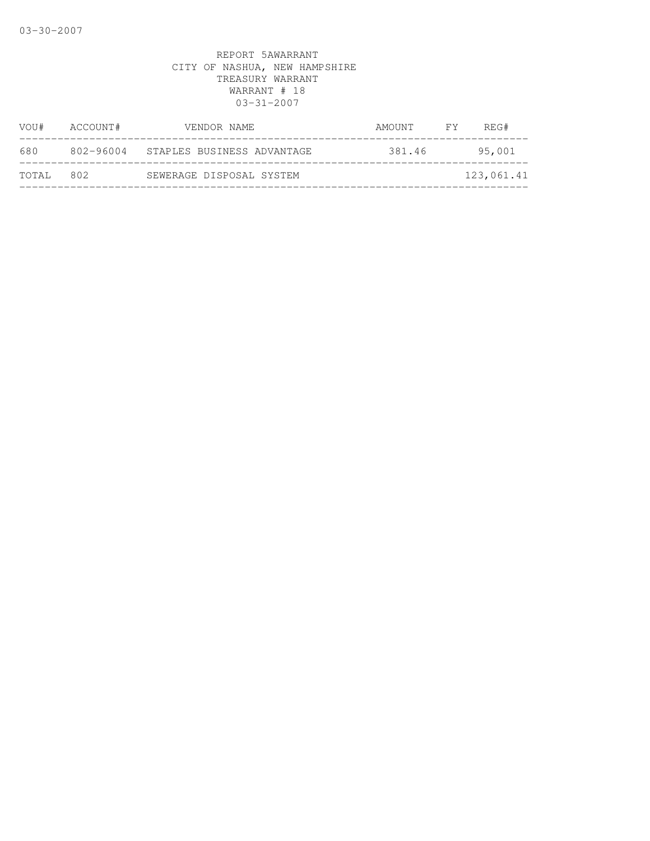| VOU#  | ACCOUNT#  | VENDOR NAME                | AMOUNT FY | REG#       |
|-------|-----------|----------------------------|-----------|------------|
| 680   | 802-96004 | STAPLES BUSINESS ADVANTAGE | 381.46    | 95,001     |
| TOTAL | 802       | SEWERAGE DISPOSAL SYSTEM   |           | 123,061.41 |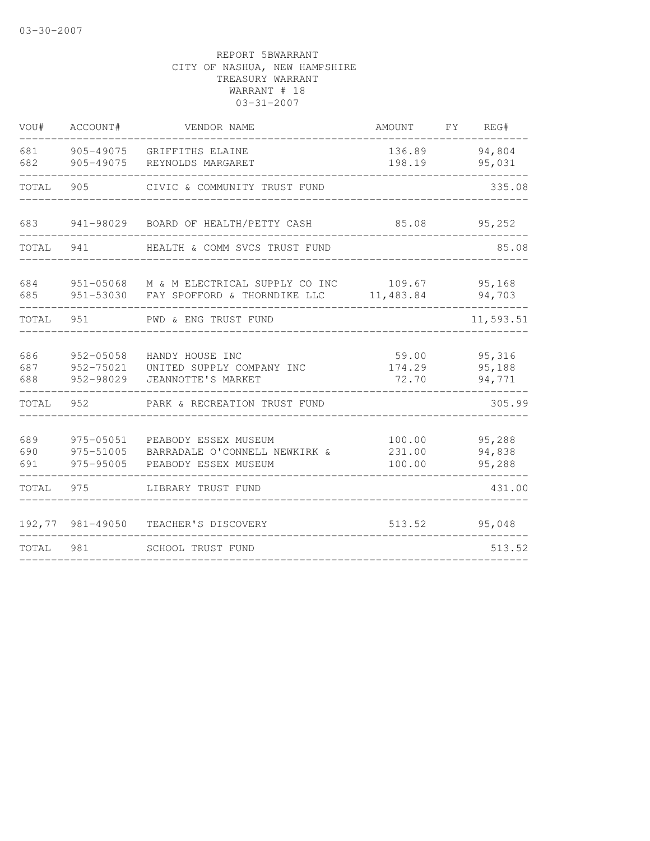| VOU#              | ACCOUNT#                            | VENDOR NAME                                                                               | AMOUNT                     | FY REG#                    |
|-------------------|-------------------------------------|-------------------------------------------------------------------------------------------|----------------------------|----------------------------|
| 681<br>682        | 905-49075<br>905-49075              | GRIFFITHS ELAINE<br>REYNOLDS MARGARET                                                     | 136.89<br>198.19           | 94,804<br>95,031           |
| TOTAL             | 905                                 | CIVIC & COMMUNITY TRUST FUND                                                              |                            | 335.08                     |
| 683               |                                     | 941-98029 BOARD OF HEALTH/PETTY CASH                                                      | 85.08                      | 95,252                     |
| TOTAL             | 941                                 | HEALTH & COMM SVCS TRUST FUND                                                             |                            | 85.08                      |
| 684<br>685        |                                     | 951-05068 M & M ELECTRICAL SUPPLY CO INC 109.67<br>951-53030 FAY SPOFFORD & THORNDIKE LLC | 11,483.84                  | 95,168<br>94,703           |
| TOTAL             | 951                                 | PWD & ENG TRUST FUND                                                                      |                            | 11,593.51                  |
| 686<br>687<br>688 | 952-05058<br>952-75021<br>952-98029 | HANDY HOUSE INC<br>UNITED SUPPLY COMPANY INC<br>JEANNOTTE'S MARKET                        | 59.00<br>174.29<br>72.70   | 95,316<br>95,188<br>94,771 |
| TOTAL             | 952                                 | PARK & RECREATION TRUST FUND                                                              |                            | 305.99                     |
| 689<br>690<br>691 | 975-05051<br>975-51005<br>975-95005 | PEABODY ESSEX MUSEUM<br>BARRADALE O'CONNELL NEWKIRK &<br>PEABODY ESSEX MUSEUM             | 100.00<br>231.00<br>100.00 | 95,288<br>94,838<br>95,288 |
| TOTAL             | 975                                 | LIBRARY TRUST FUND                                                                        |                            | 431.00                     |
|                   | 192,77 981-49050                    | TEACHER'S DISCOVERY                                                                       | 513.52                     | 95,048                     |
| TOTAL             | 981                                 | SCHOOL TRUST FUND                                                                         |                            | 513.52                     |
|                   |                                     |                                                                                           |                            |                            |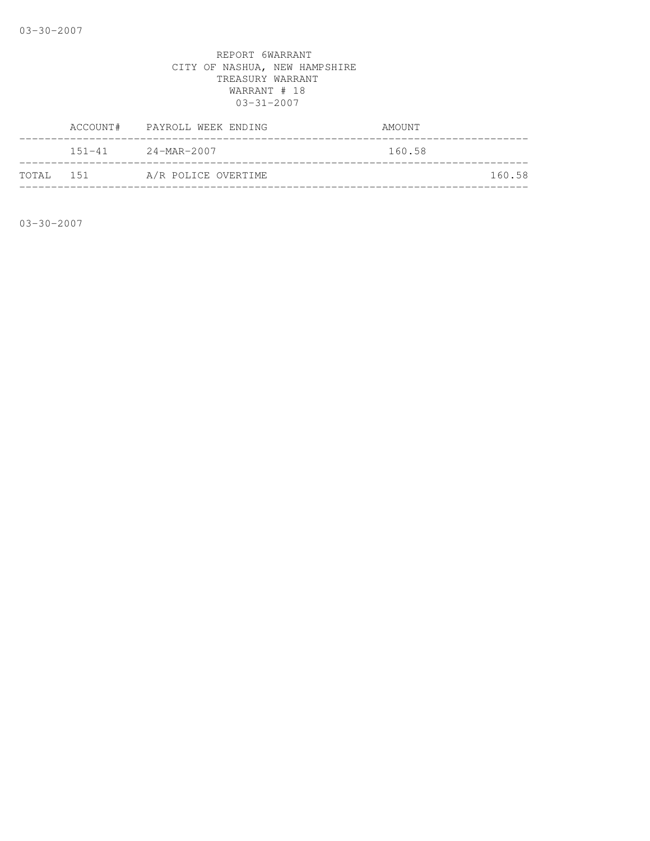|            | ACCOUNT# PAYROLL WEEK ENDING | AMOUNT |        |
|------------|------------------------------|--------|--------|
|            | $151 - 41$ 24-MAR-2007       | 160.58 |        |
| ТОТАЈ. 151 | A/R POLICE OVERTIME          |        | 160.58 |

03-30-2007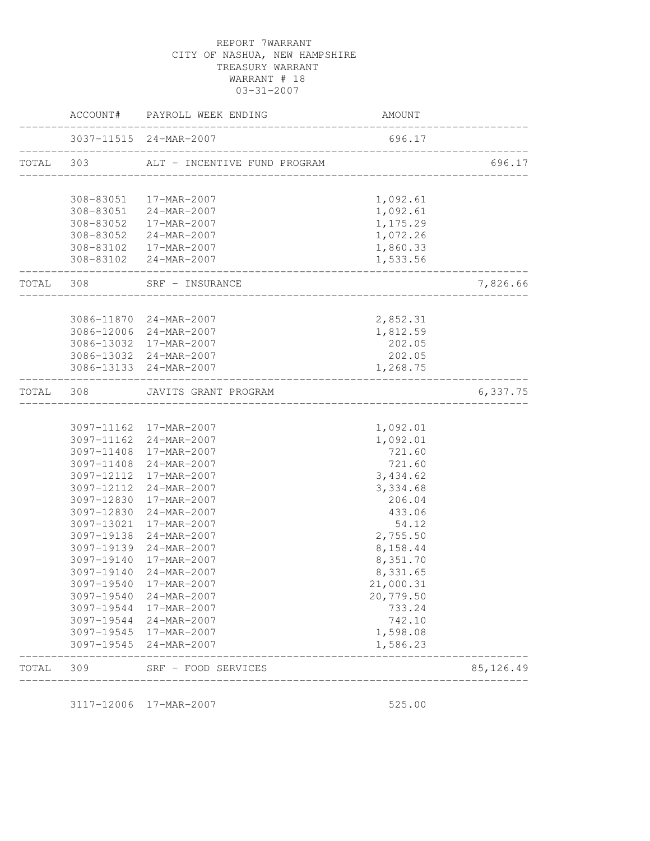|           |            | ACCOUNT# PAYROLL WEEK ENDING                    | AMOUNT    |            |
|-----------|------------|-------------------------------------------------|-----------|------------|
|           |            | 3037-11515 24-MAR-2007                          | 696.17    |            |
| TOTAL 303 |            | ALT - INCENTIVE FUND PROGRAM                    |           | 696.17     |
|           |            |                                                 | 1,092.61  |            |
|           |            | 308-83051  17-MAR-2007<br>308-83051 24-MAR-2007 | 1,092.61  |            |
|           |            | 308-83052  17-MAR-2007                          | 1,175.29  |            |
|           |            | 308-83052 24-MAR-2007                           | 1,072.26  |            |
|           |            | 308-83102  17-MAR-2007                          | 1,860.33  |            |
|           |            | 308-83102 24-MAR-2007                           | 1,533.56  |            |
|           | TOTAL 308  | SRF - INSURANCE<br>____________________________ |           | 7,826.66   |
|           |            |                                                 |           |            |
|           |            | 3086-11870 24-MAR-2007                          | 2,852.31  |            |
|           |            | 3086-12006 24-MAR-2007                          | 1,812.59  |            |
|           |            | 3086-13032 17-MAR-2007                          | 202.05    |            |
|           |            | 3086-13032 24-MAR-2007                          | 202.05    |            |
|           |            | 3086-13133 24-MAR-2007<br>__________________    | 1,268.75  |            |
| TOTAL 308 |            | JAVITS GRANT PROGRAM                            |           | 6,337.75   |
|           |            |                                                 |           |            |
|           |            | 3097-11162 17-MAR-2007                          | 1,092.01  |            |
|           |            | 3097-11162 24-MAR-2007                          | 1,092.01  |            |
|           | 3097-11408 | 17-MAR-2007                                     | 721.60    |            |
|           |            | 3097-11408 24-MAR-2007                          | 721.60    |            |
|           |            | 3097-12112 17-MAR-2007                          | 3,434.62  |            |
|           | 3097-12112 | 24-MAR-2007                                     | 3,334.68  |            |
|           |            | 3097-12830 17-MAR-2007                          | 206.04    |            |
|           |            | 3097-12830 24-MAR-2007                          | 433.06    |            |
|           | 3097-13021 | 17-MAR-2007                                     | 54.12     |            |
|           | 3097-19138 | 24-MAR-2007                                     | 2,755.50  |            |
|           | 3097-19139 | 24-MAR-2007                                     | 8,158.44  |            |
|           | 3097-19140 | 17-MAR-2007                                     | 8,351.70  |            |
|           | 3097-19140 | 24-MAR-2007                                     | 8,331.65  |            |
|           | 3097-19540 | 17-MAR-2007                                     | 21,000.31 |            |
|           | 3097-19540 | 24-MAR-2007                                     | 20,779.50 |            |
|           | 3097-19544 | 17-MAR-2007                                     | 733.24    |            |
|           | 3097-19544 | 24-MAR-2007                                     | 742.10    |            |
|           | 3097-19545 | 17-MAR-2007                                     | 1,598.08  |            |
|           | 3097-19545 | 24-MAR-2007                                     | 1,586.23  |            |
| TOTAL     | 309        | SRF - FOOD SERVICES                             |           | 85, 126.49 |
|           |            |                                                 |           |            |

3117-12006 17-MAR-2007 525.00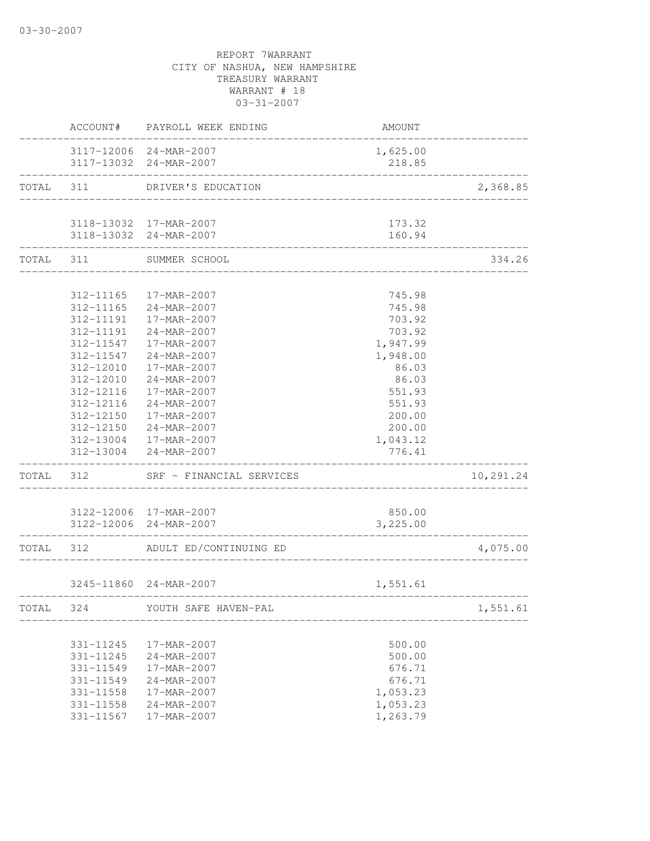|           |           | ACCOUNT# PAYROLL WEEK ENDING                     | AMOUNT             |           |
|-----------|-----------|--------------------------------------------------|--------------------|-----------|
|           |           | 3117-12006 24-MAR-2007<br>3117-13032 24-MAR-2007 | 1,625.00<br>218.85 |           |
| TOTAL 311 |           | DRIVER'S EDUCATION                               |                    | 2,368.85  |
|           |           |                                                  |                    |           |
|           |           | 3118-13032 17-MAR-2007<br>3118-13032 24-MAR-2007 | 173.32<br>160.94   |           |
| TOTAL 311 |           | SUMMER SCHOOL                                    | __________________ | 334.26    |
|           |           |                                                  |                    |           |
|           |           | 312-11165  17-MAR-2007                           | 745.98             |           |
|           | 312-11165 | 24-MAR-2007                                      | 745.98             |           |
|           | 312-11191 | 17-MAR-2007                                      | 703.92             |           |
|           | 312-11191 | 24-MAR-2007                                      | 703.92             |           |
|           | 312-11547 | 17-MAR-2007                                      | 1,947.99           |           |
|           | 312-11547 | 24-MAR-2007                                      | 1,948.00           |           |
|           | 312-12010 | 17-MAR-2007                                      | 86.03              |           |
|           | 312-12010 | 24-MAR-2007                                      | 86.03              |           |
|           | 312-12116 | 17-MAR-2007                                      | 551.93             |           |
|           | 312-12116 | 24-MAR-2007                                      | 551.93             |           |
|           | 312-12150 | 17-MAR-2007                                      | 200.00             |           |
|           |           | 312-12150 24-MAR-2007                            | 200.00             |           |
|           |           | 312-13004 17-MAR-2007                            | 1,043.12           |           |
|           | 312-13004 | 24-MAR-2007                                      | 776.41             |           |
| TOTAL 312 |           | SRF - FINANCIAL SERVICES                         |                    | 10,291.24 |
|           |           | 3122-12006 17-MAR-2007                           | 850.00             |           |
|           |           | 3122-12006 24-MAR-2007                           | 3,225.00           |           |
| TOTAL 312 |           | ADULT ED/CONTINUING ED                           |                    | 4,075.00  |
|           |           |                                                  |                    |           |
|           |           | 3245-11860 24-MAR-2007                           | 1,551.61           |           |
| TOTAL     | 324       | YOUTH SAFE HAVEN-PAL                             |                    | 1,551.61  |
|           | 331-11245 | 17-MAR-2007                                      | 500.00             |           |
|           | 331-11245 | 24-MAR-2007                                      | 500.00             |           |
|           | 331-11549 | 17-MAR-2007                                      | 676.71             |           |
|           | 331-11549 | $24 - MAR - 2007$                                | 676.71             |           |
|           | 331-11558 | 17-MAR-2007                                      | 1,053.23           |           |
|           | 331-11558 | 24-MAR-2007                                      | 1,053.23           |           |
|           | 331-11567 | 17-MAR-2007                                      | 1,263.79           |           |
|           |           |                                                  |                    |           |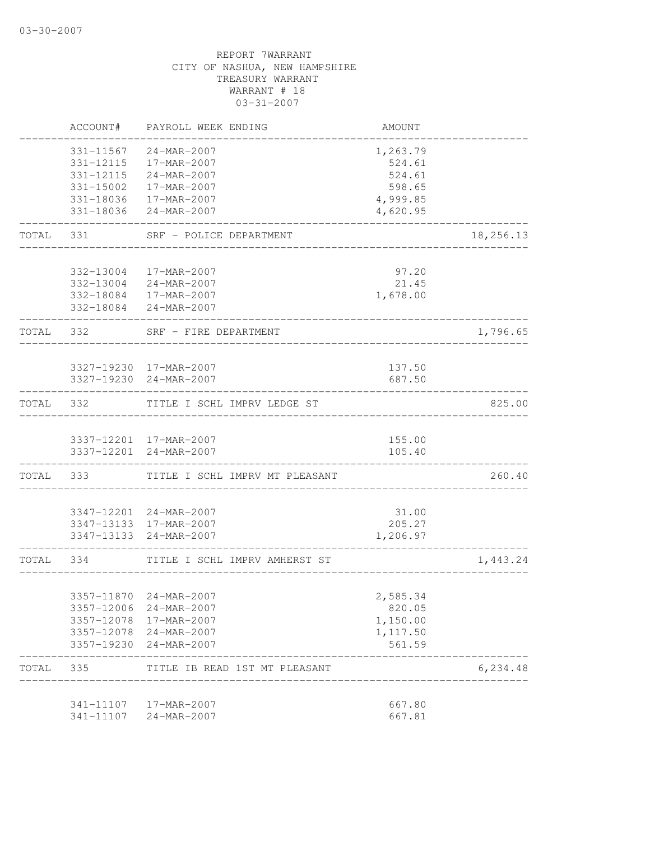|           | ACCOUNT#               | PAYROLL WEEK ENDING                      | <b>AMOUNT</b>      |           |
|-----------|------------------------|------------------------------------------|--------------------|-----------|
|           | 331-11567<br>331-12115 | 24-MAR-2007<br>17-MAR-2007               | 1,263.79<br>524.61 |           |
|           |                        | 331-12115 24-MAR-2007                    | 524.61             |           |
|           |                        | 331-15002  17-MAR-2007                   | 598.65             |           |
|           |                        | 331-18036 17-MAR-2007                    | 4,999.85           |           |
|           | 331-18036              | 24-MAR-2007                              | 4,620.95           |           |
| TOTAL     | 331                    | SRF - POLICE DEPARTMENT                  |                    | 18,256.13 |
|           | 332-13004              | 17-MAR-2007                              | 97.20              |           |
|           |                        | 332-13004 24-MAR-2007                    | 21.45              |           |
|           |                        | 332-18084  17-MAR-2007                   | 1,678.00           |           |
|           |                        | 332-18084 24-MAR-2007                    |                    |           |
|           | TOTAL 332              | SRF - FIRE DEPARTMENT                    |                    | 1,796.65  |
|           |                        | 3327-19230 17-MAR-2007                   | 137.50             |           |
|           |                        | 3327-19230 24-MAR-2007                   | 687.50             |           |
| TOTAL 332 |                        | TITLE I SCHL IMPRV LEDGE ST              |                    | 825.00    |
|           |                        | 3337-12201 17-MAR-2007                   | 155.00             |           |
|           |                        | 3337-12201 24-MAR-2007                   | 105.40             |           |
|           |                        | TOTAL 333 TITLE I SCHL IMPRV MT PLEASANT |                    | 260.40    |
|           |                        | 3347-12201 24-MAR-2007                   | 31.00              |           |
|           |                        | 3347-13133 17-MAR-2007                   | 205.27             |           |
|           |                        | 3347-13133 24-MAR-2007                   | 1,206.97           |           |
|           | TOTAL 334              | TITLE I SCHL IMPRV AMHERST ST            |                    | 1,443.24  |
|           |                        | 3357-11870 24-MAR-2007                   | 2,585.34           |           |
|           |                        | 3357-12006 24-MAR-2007                   | 820.05             |           |
|           |                        | 3357-12078 17-MAR-2007                   | 1,150.00           |           |
|           |                        | 3357-12078 24-MAR-2007                   | 1,117.50           |           |
|           |                        | 3357-19230 24-MAR-2007                   | 561.59             |           |
|           |                        | TOTAL 335 TITLE IB READ 1ST MT PLEASANT  |                    | 6, 234.48 |
|           |                        | 341-11107  17-MAR-2007                   | 667.80             |           |
|           |                        | 341-11107 24-MAR-2007                    | 667.81             |           |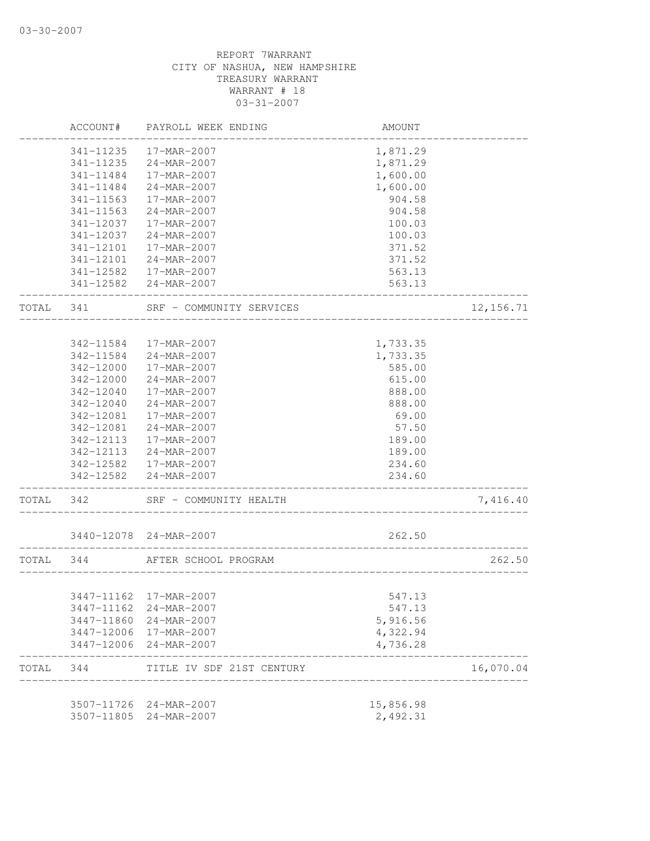|           | ACCOUNT#   | PAYROLL WEEK ENDING       | AMOUNT                               |            |
|-----------|------------|---------------------------|--------------------------------------|------------|
|           | 341-11235  | 17-MAR-2007               | 1,871.29                             |            |
|           | 341-11235  | 24-MAR-2007               | 1,871.29                             |            |
|           | 341-11484  | 17-MAR-2007               | 1,600.00                             |            |
|           | 341-11484  | $24 - MAR - 2007$         | 1,600.00                             |            |
|           | 341-11563  | 17-MAR-2007               | 904.58                               |            |
|           | 341-11563  | 24-MAR-2007               | 904.58                               |            |
|           | 341-12037  | 17-MAR-2007               | 100.03                               |            |
|           | 341-12037  | 24-MAR-2007               | 100.03                               |            |
|           | 341-12101  | 17-MAR-2007               | 371.52                               |            |
|           | 341-12101  | 24-MAR-2007               | 371.52                               |            |
|           |            | 341-12582  17-MAR-2007    | 563.13                               |            |
|           |            | 341-12582 24-MAR-2007     | 563.13                               |            |
| TOTAL 341 |            | SRF - COMMUNITY SERVICES  |                                      | 12, 156.71 |
|           |            |                           |                                      |            |
|           | 342-11584  | 17-MAR-2007               | 1,733.35                             |            |
|           | 342-11584  | 24-MAR-2007               | 1,733.35                             |            |
|           | 342-12000  | $17 - \text{MAR} - 2007$  | 585.00                               |            |
|           | 342-12000  | 24-MAR-2007               | 615.00                               |            |
|           | 342-12040  | 17-MAR-2007               | 888.00                               |            |
|           | 342-12040  | $24 - MAR - 2007$         | 888.00                               |            |
|           | 342-12081  | 17-MAR-2007               | 69.00                                |            |
|           | 342-12081  | 24-MAR-2007               | 57.50                                |            |
|           | 342-12113  | 17-MAR-2007               | 189.00                               |            |
|           | 342-12113  | 24-MAR-2007               | 189.00                               |            |
|           |            | 342-12582  17-MAR-2007    | 234.60                               |            |
|           |            | 342-12582 24-MAR-2007     | 234.60                               |            |
| TOTAL     | 342        | SRF - COMMUNITY HEALTH    |                                      | 7,416.40   |
|           |            | 3440-12078 24-MAR-2007    | 262.50                               |            |
| TOTAL 344 |            | AFTER SCHOOL PROGRAM      | ____________________________________ | 262.50     |
|           |            |                           |                                      |            |
|           |            | 3447-11162 17-MAR-2007    | 547.13                               |            |
|           | 3447-11162 | 24-MAR-2007               | 547.13                               |            |
|           | 3447-11860 | 24-MAR-2007               | 5,916.56                             |            |
|           |            | 3447-12006 17-MAR-2007    | 4,322.94                             |            |
|           | 3447-12006 | 24-MAR-2007               | 4,736.28                             |            |
| TOTAL     | 344        | TITLE IV SDF 21ST CENTURY |                                      | 16,070.04  |
|           | 3507-11726 | 24-MAR-2007               | 15,856.98                            |            |
|           | 3507-11805 | 24-MAR-2007               | 2,492.31                             |            |
|           |            |                           |                                      |            |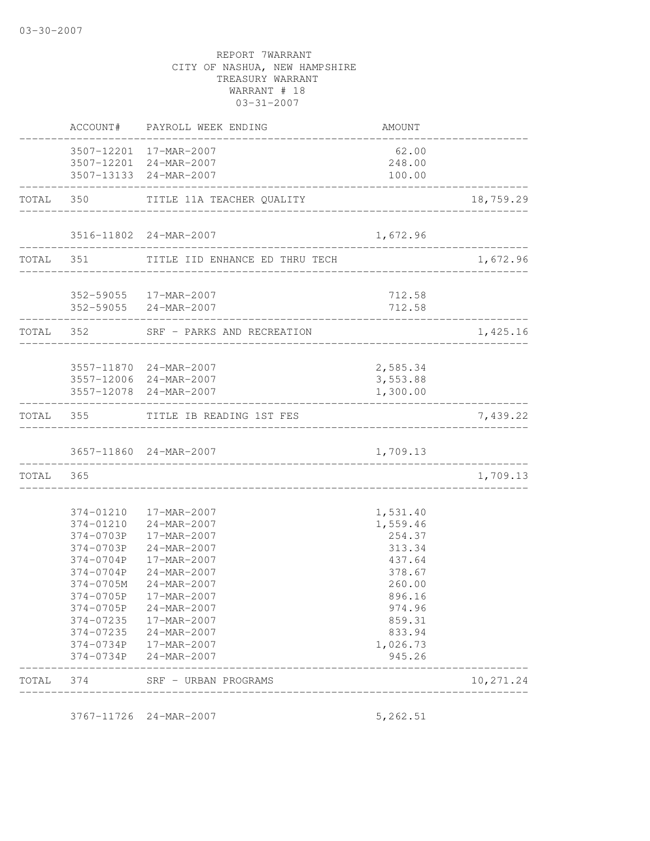|           | TOTAL 374              | SRF - URBAN PROGRAMS                                                       |                                       | 10,271.24 |
|-----------|------------------------|----------------------------------------------------------------------------|---------------------------------------|-----------|
|           | 374-0734P              | 24-MAR-2007                                                                | 945.26                                |           |
|           |                        | 374-0734P 17-MAR-2007                                                      | 1,026.73                              |           |
|           | 374-07235              | 24-MAR-2007                                                                | 833.94                                |           |
|           |                        | 374-07235  17-MAR-2007                                                     | 859.31                                |           |
|           | 374-0705P<br>374-0705P | 17-MAR-2007<br>24-MAR-2007                                                 | 896.16<br>974.96                      |           |
|           | 374-0705M              | $24 - MAR - 2007$                                                          | 260.00                                |           |
|           | 374-0704P              | 24-MAR-2007                                                                | 378.67                                |           |
|           | 374-0704P              | 17-MAR-2007                                                                | 437.64                                |           |
|           |                        | 374-0703P 24-MAR-2007                                                      | 313.34                                |           |
|           |                        | 374-0703P 17-MAR-2007                                                      | 254.37                                |           |
|           |                        | 374-01210  17-MAR-2007<br>374-01210 24-MAR-2007                            | 1,531.40<br>1,559.46                  |           |
|           |                        |                                                                            |                                       |           |
| TOTAL 365 |                        |                                                                            |                                       | 1,709.13  |
|           |                        | 3657-11860 24-MAR-2007                                                     | 1,709.13                              |           |
|           |                        | TOTAL 355 TITLE IB READING 1ST FES                                         |                                       | 7,439.22  |
|           | -----------------      | 3557-12078 24-MAR-2007                                                     | 1,300.00                              |           |
|           |                        | 3557-11870 24-MAR-2007<br>3557-12006 24-MAR-2007                           | 2,585.34<br>3,553.88                  |           |
|           |                        | TOTAL 352 SRF - PARKS AND RECREATION<br>_______________                    |                                       | 1,425.16  |
|           |                        | 352-59055 17-MAR-2007<br>352-59055 24-MAR-2007                             | 712.58<br>712.58<br>----------------- |           |
|           |                        | TOTAL 351 TITLE IID ENHANCE ED THRU TECH                                   |                                       | 1,672.96  |
|           |                        | 3516-11802 24-MAR-2007                                                     | 1,672.96                              |           |
|           |                        | TOTAL 350 TITLE 11A TEACHER QUALITY                                        |                                       | 18,759.29 |
|           |                        | 3507-12201 17-MAR-2007<br>3507-12201 24-MAR-2007<br>3507-13133 24-MAR-2007 | 62.00<br>248.00<br>100.00             |           |
|           |                        | ACCOUNT# PAYROLL WEEK ENDING                                               | AMOUNT                                |           |

3767-11726 24-MAR-2007 5,262.51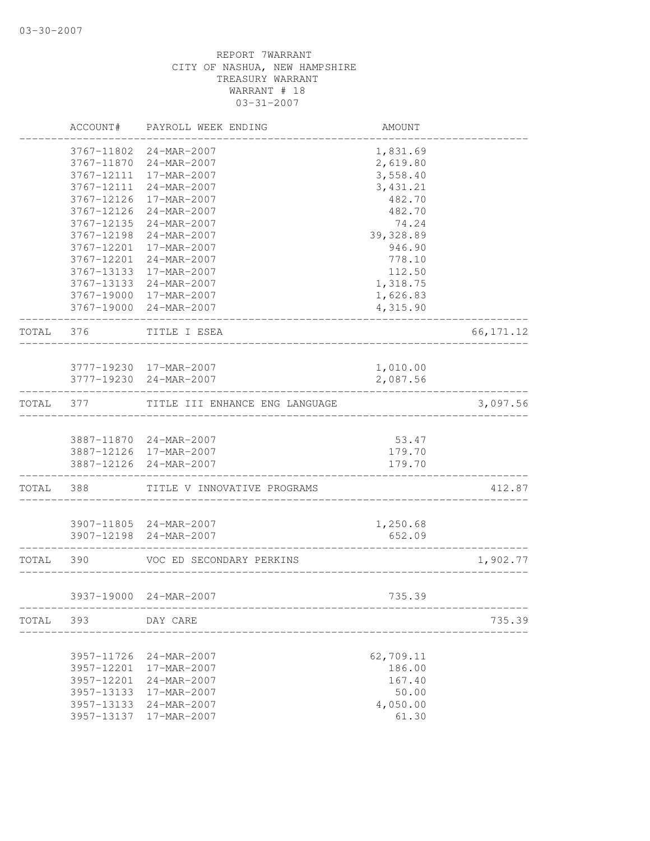|           | ACCOUNT#   | PAYROLL WEEK ENDING                  | AMOUNT     |            |
|-----------|------------|--------------------------------------|------------|------------|
|           |            | 3767-11802 24-MAR-2007               | 1,831.69   |            |
|           | 3767-11870 | 24-MAR-2007                          | 2,619.80   |            |
|           | 3767-12111 | 17-MAR-2007                          | 3,558.40   |            |
|           | 3767-12111 | 24-MAR-2007                          | 3, 431.21  |            |
|           | 3767-12126 | 17-MAR-2007                          | 482.70     |            |
|           | 3767-12126 | 24-MAR-2007                          | 482.70     |            |
|           | 3767-12135 | 24-MAR-2007                          | 74.24      |            |
|           | 3767-12198 | $24 - \text{MAR} - 2007$             | 39, 328.89 |            |
|           | 3767-12201 | 17-MAR-2007                          | 946.90     |            |
|           | 3767-12201 | 24-MAR-2007                          | 778.10     |            |
|           | 3767-13133 | 17-MAR-2007                          | 112.50     |            |
|           | 3767-13133 | 24-MAR-2007                          | 1,318.75   |            |
|           |            | 3767-19000 17-MAR-2007               | 1,626.83   |            |
|           |            | 3767-19000 24-MAR-2007               | 4,315.90   |            |
| TOTAL     | 376        | TITLE I ESEA<br>____________________ |            | 66, 171.12 |
|           |            |                                      |            |            |
|           |            | 3777-19230 17-MAR-2007               | 1,010.00   |            |
|           |            | 3777-19230 24-MAR-2007               | 2,087.56   |            |
| TOTAL     | 377        | TITLE III ENHANCE ENG LANGUAGE       |            | 3,097.56   |
|           |            | 3887-11870 24-MAR-2007               | 53.47      |            |
|           |            | 3887-12126 17-MAR-2007               | 179.70     |            |
|           |            | 3887-12126 24-MAR-2007               | 179.70     |            |
| TOTAL     | 388        | TITLE V INNOVATIVE PROGRAMS          |            | 412.87     |
|           |            |                                      |            |            |
|           |            | 3907-11805 24-MAR-2007               | 1,250.68   |            |
|           |            | 3907-12198 24-MAR-2007               | 652.09     |            |
| TOTAL 390 |            | VOC ED SECONDARY PERKINS             |            | 1,902.77   |
|           |            | 3937-19000 24-MAR-2007               | 735.39     |            |
| TOTAL     | 393        | DAY CARE                             |            | 735.39     |
|           |            |                                      |            |            |
|           | 3957-11726 | 24-MAR-2007                          | 62,709.11  |            |
|           | 3957-12201 | 17-MAR-2007                          | 186.00     |            |
|           | 3957-12201 | 24-MAR-2007                          | 167.40     |            |
|           | 3957-13133 | 17-MAR-2007                          | 50.00      |            |
|           | 3957-13133 | 24-MAR-2007                          | 4,050.00   |            |
|           | 3957-13137 | 17-MAR-2007                          | 61.30      |            |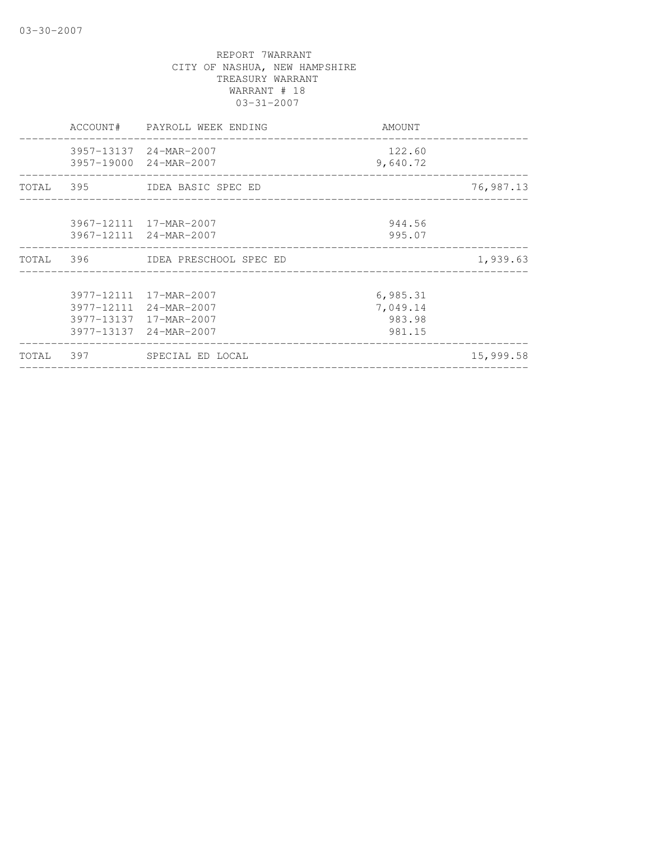|  | ACCOUNT# PAYROLL WEEK ENDING                                                                         | AMOUNT                                   |           |
|--|------------------------------------------------------------------------------------------------------|------------------------------------------|-----------|
|  | 3957-13137 24-MAR-2007<br>3957-19000 24-MAR-2007                                                     | 122.60<br>9,640.72                       |           |
|  | TOTAL 395 IDEA BASIC SPEC ED                                                                         |                                          | 76,987.13 |
|  | 3967-12111 17-MAR-2007<br>3967-12111 24-MAR-2007                                                     | 944.56<br>995.07                         |           |
|  | TOTAL 396 IDEA PRESCHOOL SPEC ED                                                                     |                                          | 1,939.63  |
|  | 3977-12111 17-MAR-2007<br>3977-12111 24-MAR-2007<br>3977-13137 17-MAR-2007<br>3977-13137 24-MAR-2007 | 6,985.31<br>7,049.14<br>983.98<br>981.15 |           |
|  | TOTAL 397 SPECIAL ED LOCAL                                                                           |                                          | 15,999.58 |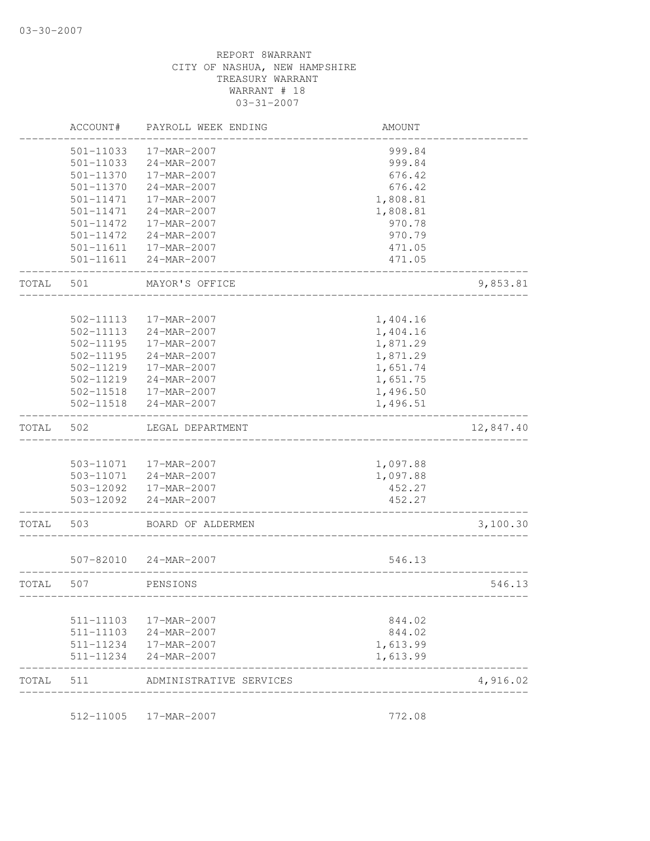|       | ACCOUNT#      | PAYROLL WEEK ENDING    | AMOUNT   |           |
|-------|---------------|------------------------|----------|-----------|
|       | 501-11033     | 17-MAR-2007            | 999.84   |           |
|       | $501 - 11033$ | 24-MAR-2007            | 999.84   |           |
|       | 501-11370     | 17-MAR-2007            | 676.42   |           |
|       | 501-11370     | 24-MAR-2007            | 676.42   |           |
|       | 501-11471     | 17-MAR-2007            | 1,808.81 |           |
|       | 501-11471     | 24-MAR-2007            | 1,808.81 |           |
|       | 501-11472     | 17-MAR-2007            | 970.78   |           |
|       | 501-11472     | 24-MAR-2007            | 970.79   |           |
|       | 501-11611     | 17-MAR-2007            | 471.05   |           |
|       | 501-11611     | 24-MAR-2007            | 471.05   |           |
| TOTAL | 501           | MAYOR'S OFFICE         |          | 9,853.81  |
|       |               |                        |          |           |
|       | 502-11113     | 17-MAR-2007            | 1,404.16 |           |
|       | $502 - 11113$ | 24-MAR-2007            | 1,404.16 |           |
|       | $502 - 11195$ | 17-MAR-2007            | 1,871.29 |           |
|       | 502-11195     | 24-MAR-2007            | 1,871.29 |           |
|       | 502-11219     | 17-MAR-2007            | 1,651.74 |           |
|       | 502-11219     | 24-MAR-2007            | 1,651.75 |           |
|       | 502-11518     | 17-MAR-2007            | 1,496.50 |           |
|       | 502-11518     | 24-MAR-2007            | 1,496.51 |           |
| TOTAL | 502           | LEGAL DEPARTMENT       |          | 12,847.40 |
|       |               |                        |          |           |
|       | 503-11071     | 17-MAR-2007            | 1,097.88 |           |
|       | 503-11071     | 24-MAR-2007            | 1,097.88 |           |
|       |               | 503-12092  17-MAR-2007 | 452.27   |           |
|       | 503-12092     | 24-MAR-2007            | 452.27   |           |
| TOTAL | 503           | BOARD OF ALDERMEN      |          | 3,100.30  |
|       | 507-82010     | 24-MAR-2007            | 546.13   |           |
| TOTAL | 507           | PENSIONS               |          | 546.13    |
|       |               |                        |          |           |
|       | 511-11103     | 17-MAR-2007            | 844.02   |           |
|       | 511-11103     | 24-MAR-2007            | 844.02   |           |
|       | 511-11234     | 17-MAR-2007            | 1,613.99 |           |
|       | 511-11234     | 24-MAR-2007            | 1,613.99 |           |
|       |               |                        |          | 4,916.02  |

512-11005 17-MAR-2007 772.08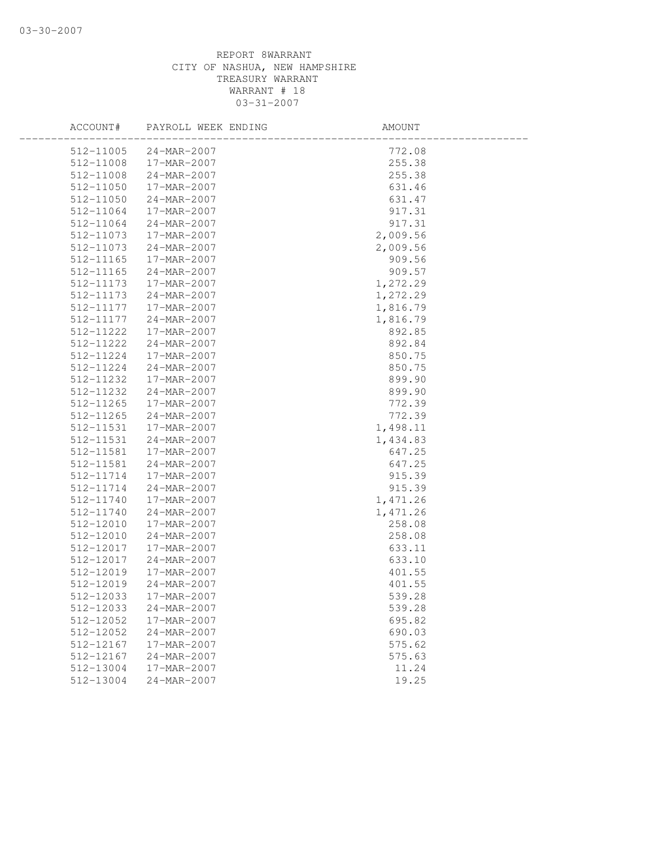|           | ACCOUNT# PAYROLL WEEK ENDING | AMOUNT   |  |
|-----------|------------------------------|----------|--|
|           | 512-11005 24-MAR-2007        | 772.08   |  |
| 512-11008 | 17-MAR-2007                  | 255.38   |  |
| 512-11008 | 24-MAR-2007                  | 255.38   |  |
| 512-11050 | 17-MAR-2007                  | 631.46   |  |
| 512-11050 | 24-MAR-2007                  | 631.47   |  |
| 512-11064 | 17-MAR-2007                  | 917.31   |  |
| 512-11064 | 24-MAR-2007                  | 917.31   |  |
| 512-11073 | 17-MAR-2007                  | 2,009.56 |  |
| 512-11073 | 24-MAR-2007                  | 2,009.56 |  |
| 512-11165 | 17-MAR-2007                  | 909.56   |  |
| 512-11165 | 24-MAR-2007                  | 909.57   |  |
| 512-11173 | 17-MAR-2007                  | 1,272.29 |  |
| 512-11173 | 24-MAR-2007                  | 1,272.29 |  |
| 512-11177 | 17-MAR-2007                  | 1,816.79 |  |
| 512-11177 | 24-MAR-2007                  | 1,816.79 |  |
| 512-11222 | 17-MAR-2007                  | 892.85   |  |
| 512-11222 | 24-MAR-2007                  | 892.84   |  |
| 512-11224 | 17-MAR-2007                  | 850.75   |  |
| 512-11224 | 24-MAR-2007                  | 850.75   |  |
| 512-11232 | 17-MAR-2007                  | 899.90   |  |
| 512-11232 | 24-MAR-2007                  | 899.90   |  |
| 512-11265 | 17-MAR-2007                  | 772.39   |  |
| 512-11265 | 24-MAR-2007                  | 772.39   |  |
| 512-11531 | 17-MAR-2007                  | 1,498.11 |  |
| 512-11531 | 24-MAR-2007                  | 1,434.83 |  |
| 512-11581 | 17-MAR-2007                  | 647.25   |  |
| 512-11581 | 24-MAR-2007                  | 647.25   |  |
| 512-11714 | 17-MAR-2007                  | 915.39   |  |
| 512-11714 | 24-MAR-2007                  | 915.39   |  |
| 512-11740 | 17-MAR-2007                  | 1,471.26 |  |
| 512-11740 | 24-MAR-2007                  | 1,471.26 |  |
| 512-12010 | 17-MAR-2007                  | 258.08   |  |
| 512-12010 | 24-MAR-2007                  | 258.08   |  |
| 512-12017 | 17-MAR-2007                  | 633.11   |  |
| 512-12017 | 24-MAR-2007                  | 633.10   |  |
| 512-12019 | 17-MAR-2007                  | 401.55   |  |
| 512-12019 | 24-MAR-2007                  | 401.55   |  |
| 512-12033 | 17-MAR-2007                  | 539.28   |  |
| 512-12033 | 24-MAR-2007                  | 539.28   |  |
| 512-12052 | 17-MAR-2007                  | 695.82   |  |
| 512-12052 | 24-MAR-2007                  | 690.03   |  |
| 512-12167 | 17-MAR-2007                  | 575.62   |  |
| 512-12167 | 24-MAR-2007                  | 575.63   |  |
| 512-13004 | 17-MAR-2007                  | 11.24    |  |
| 512-13004 | 24-MAR-2007                  | 19.25    |  |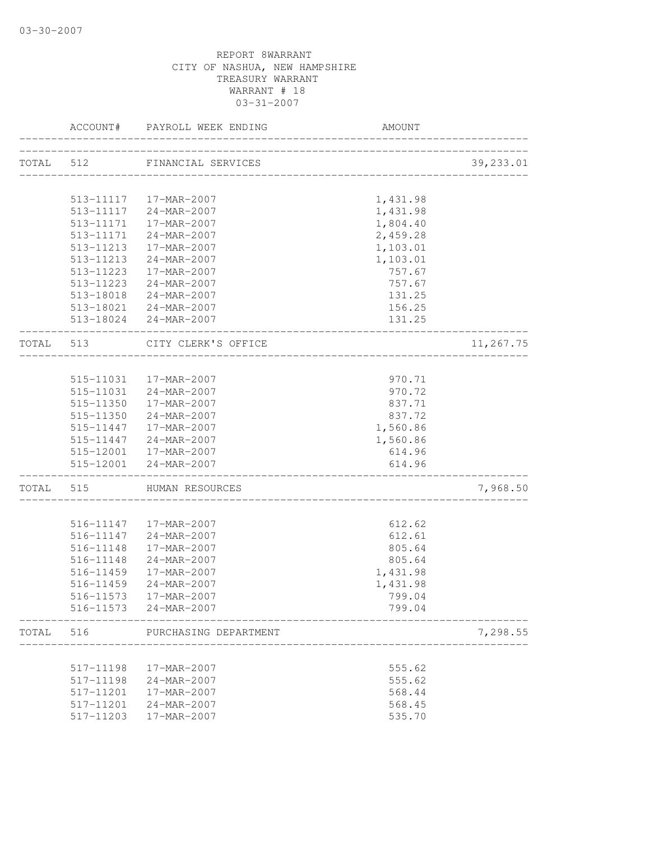|       |           | ACCOUNT# PAYROLL WEEK ENDING              | AMOUNT                             |           |
|-------|-----------|-------------------------------------------|------------------------------------|-----------|
|       |           | TOTAL 512 FINANCIAL SERVICES              |                                    |           |
|       |           |                                           | _______________________________    | 39,233.01 |
|       |           | 513-11117  17-MAR-2007                    | 1,431.98                           |           |
|       |           | 513-11117 24-MAR-2007                     | 1,431.98                           |           |
|       |           | 513-11171  17-MAR-2007                    | 1,804.40                           |           |
|       | 513-11171 | 24-MAR-2007                               | 2,459.28                           |           |
|       | 513-11213 | 17-MAR-2007                               | 1,103.01                           |           |
|       |           | 513-11213 24-MAR-2007                     |                                    |           |
|       |           |                                           | 1,103.01<br>757.67                 |           |
|       |           | 513-11223 17-MAR-2007                     |                                    |           |
|       |           | 513-11223 24-MAR-2007                     | 757.67                             |           |
|       |           | 513-18018 24-MAR-2007                     | 131.25                             |           |
|       |           | 513-18021 24-MAR-2007                     | 156.25                             |           |
|       |           | 513-18024 24-MAR-2007                     | 131.25<br>------------------------ |           |
|       | TOTAL 513 | CITY CLERK'S OFFICE<br>__________________ |                                    | 11,267.75 |
|       |           |                                           |                                    |           |
|       |           | 515-11031  17-MAR-2007                    | 970.71                             |           |
|       |           | 515-11031 24-MAR-2007                     | 970.72                             |           |
|       |           | 515-11350  17-MAR-2007                    | 837.71                             |           |
|       |           | 515-11350 24-MAR-2007                     | 837.72                             |           |
|       |           | 515-11447   17-MAR-2007                   | 1,560.86                           |           |
|       |           | 515-11447 24-MAR-2007                     | 1,560.86                           |           |
|       |           | 515-12001  17-MAR-2007                    | 614.96                             |           |
|       |           | 515-12001 24-MAR-2007                     | 614.96                             |           |
|       |           | TOTAL 515 HUMAN RESOURCES                 | _____________________________      | 7,968.50  |
|       |           |                                           |                                    |           |
|       |           | 516-11147   17-MAR-2007                   | 612.62                             |           |
|       |           | 516-11147 24-MAR-2007                     | 612.61                             |           |
|       | 516-11148 | 17-MAR-2007                               | 805.64                             |           |
|       | 516-11148 | 24-MAR-2007                               | 805.64                             |           |
|       | 516-11459 | 17-MAR-2007                               | 1,431.98                           |           |
|       | 516-11459 | 24-MAR-2007                               | 1,431.98                           |           |
|       |           | 516-11573  17-MAR-2007                    | 799.04                             |           |
|       |           | 516-11573 24-MAR-2007                     | 799.04                             |           |
| TOTAL | 516       | PURCHASING DEPARTMENT                     |                                    | 7,298.55  |
|       |           |                                           |                                    |           |
|       | 517-11198 | 17-MAR-2007                               | 555.62                             |           |
|       | 517-11198 | 24-MAR-2007                               | 555.62                             |           |
|       | 517-11201 | 17-MAR-2007                               | 568.44                             |           |
|       | 517-11201 | 24-MAR-2007                               | 568.45                             |           |
|       | 517-11203 | 17-MAR-2007                               | 535.70                             |           |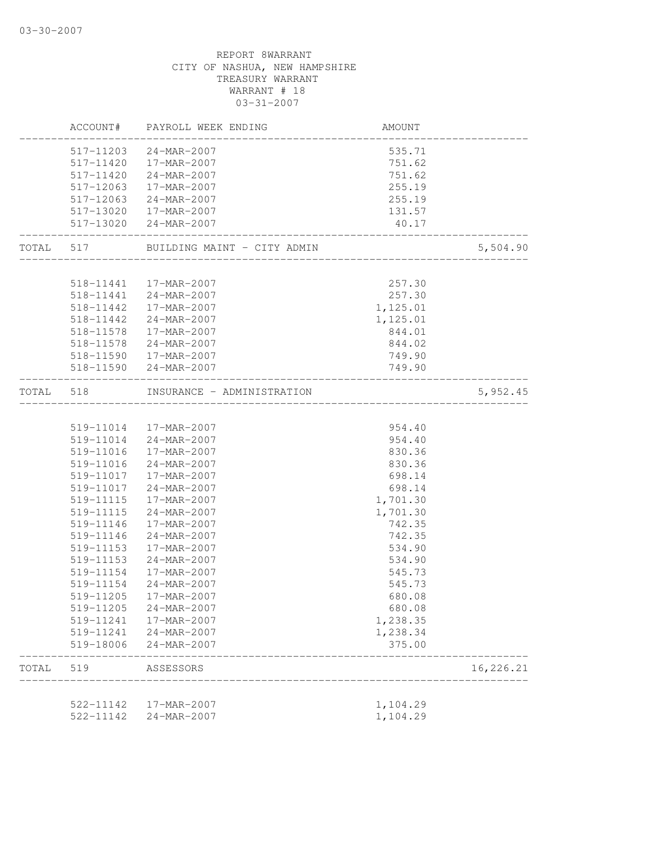|           | 522-11142<br>522-11142 | 17-MAR-2007<br>24-MAR-2007                      | 1,104.29<br>1,104.29           |           |
|-----------|------------------------|-------------------------------------------------|--------------------------------|-----------|
| TOTAL     | 519                    | ASSESSORS                                       |                                | 16,226.21 |
|           | 519-18006              | 24-MAR-2007                                     | 375.00                         |           |
|           | 519-11241              | 24-MAR-2007                                     | 1,238.34                       |           |
|           | 519-11241              | 17-MAR-2007                                     | 1,238.35                       |           |
|           | 519-11205              | 24-MAR-2007                                     | 680.08                         |           |
|           | 519-11205              | 17-MAR-2007                                     | 680.08                         |           |
|           | 519-11154              | 24-MAR-2007                                     | 545.73                         |           |
|           | 519-11154              | 17-MAR-2007                                     | 545.73                         |           |
|           | 519-11153              | 24-MAR-2007                                     | 534.90                         |           |
|           | 519-11153              | 17-MAR-2007                                     | 534.90                         |           |
|           | 519-11146              | $24 - MAR - 2007$                               | 742.35                         |           |
|           | 519-11146              | 17-MAR-2007                                     | 742.35                         |           |
|           | 519-11115              | 24-MAR-2007                                     | 1,701.30                       |           |
|           | 519-11115              | 17-MAR-2007                                     | 1,701.30                       |           |
|           | 519-11017              | 24-MAR-2007                                     | 698.14                         |           |
|           |                        | 519-11017  17-MAR-2007                          | 698.14                         |           |
|           | 519-11016              | 24-MAR-2007                                     | 830.36                         |           |
|           | 519-11016              | 17-MAR-2007                                     | 830.36                         |           |
|           |                        | 519-11014  17-MAR-2007<br>519-11014 24-MAR-2007 | 954.40<br>954.40               |           |
| TOTAL 518 |                        | INSURANCE - ADMINISTRATION                      | ______________________________ | 5,952.45  |
|           |                        | 518-11590 24-MAR-2007                           |                                |           |
|           |                        |                                                 | 749.90                         |           |
|           |                        | 518-11590  17-MAR-2007                          | 749.90                         |           |
|           | 518-11578              | 24-MAR-2007                                     | 844.02                         |           |
|           | 518-11578              | 17-MAR-2007                                     | 1,125.01<br>844.01             |           |
|           | 518-11442<br>518-11442 | 17-MAR-2007<br>24-MAR-2007                      | 1,125.01                       |           |
|           |                        | 518-11441 24-MAR-2007                           | 257.30                         |           |
|           |                        | 518-11441  17-MAR-2007                          | 257.30                         |           |
|           |                        | TOTAL 517 BUILDING MAINT - CITY ADMIN           |                                | 5,504.90  |
|           |                        | 517-13020 24-MAR-2007                           | 40.17                          |           |
|           |                        | 517-13020  17-MAR-2007                          | 131.57                         |           |
|           |                        | 517-12063 24-MAR-2007                           | 255.19                         |           |
|           | 517-12063              | 17-MAR-2007                                     | 255.19                         |           |
|           |                        | 517-11420 24-MAR-2007                           | 751.62                         |           |
|           |                        | 517-11203 24-MAR-2007<br>517-11420  17-MAR-2007 | 535.71<br>751.62               |           |
|           |                        |                                                 |                                |           |
|           |                        | ACCOUNT# PAYROLL WEEK ENDING                    | AMOUNT                         |           |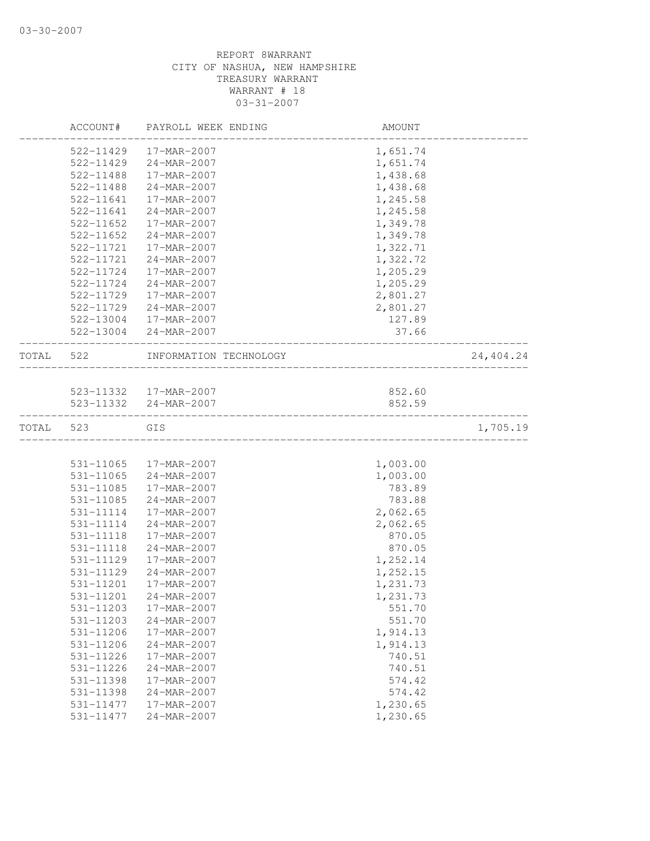|       | ACCOUNT#      | PAYROLL WEEK ENDING    | AMOUNT   |           |
|-------|---------------|------------------------|----------|-----------|
|       | 522-11429     | 17-MAR-2007            | 1,651.74 |           |
|       | 522-11429     | 24-MAR-2007            | 1,651.74 |           |
|       | 522-11488     | 17-MAR-2007            | 1,438.68 |           |
|       | 522-11488     | 24-MAR-2007            | 1,438.68 |           |
|       | 522-11641     | 17-MAR-2007            | 1,245.58 |           |
|       | 522-11641     | 24-MAR-2007            | 1,245.58 |           |
|       | 522-11652     | 17-MAR-2007            | 1,349.78 |           |
|       | $522 - 11652$ | 24-MAR-2007            | 1,349.78 |           |
|       | 522-11721     | 17-MAR-2007            | 1,322.71 |           |
|       | 522-11721     | $24 - MAR - 2007$      | 1,322.72 |           |
|       | 522-11724     | 17-MAR-2007            | 1,205.29 |           |
|       | 522-11724     | 24-MAR-2007            | 1,205.29 |           |
|       | 522-11729     | 17-MAR-2007            | 2,801.27 |           |
|       | 522-11729     | 24-MAR-2007            | 2,801.27 |           |
|       | 522-13004     | 17-MAR-2007            | 127.89   |           |
|       | 522-13004     | 24-MAR-2007            | 37.66    |           |
| TOTAL | 522           | INFORMATION TECHNOLOGY |          | 24,404.24 |
|       |               |                        |          |           |
|       |               | 523-11332  17-MAR-2007 | 852.60   |           |
|       |               | 523-11332 24-MAR-2007  | 852.59   |           |
| TOTAL | 523           | GIS                    |          | 1,705.19  |
|       |               |                        |          |           |
|       | 531-11065     | 17-MAR-2007            | 1,003.00 |           |
|       | 531-11065     | 24-MAR-2007            | 1,003.00 |           |
|       | 531-11085     | 17-MAR-2007            | 783.89   |           |
|       | 531-11085     | 24-MAR-2007            | 783.88   |           |
|       | 531-11114     | 17-MAR-2007            | 2,062.65 |           |
|       | 531-11114     | 24-MAR-2007            | 2,062.65 |           |
|       | 531-11118     | 17-MAR-2007            | 870.05   |           |
|       | 531-11118     | 24-MAR-2007            | 870.05   |           |
|       | 531-11129     | 17-MAR-2007            | 1,252.14 |           |
|       | 531-11129     | 24-MAR-2007            | 1,252.15 |           |
|       | 531-11201     | 17-MAR-2007            | 1,231.73 |           |
|       | 531-11201     | 24-MAR-2007            | 1,231.73 |           |
|       | 531-11203     | 17-MAR-2007            | 551.70   |           |
|       | 531-11203     | 24-MAR-2007            | 551.70   |           |
|       | 531-11206     | 17-MAR-2007            | 1,914.13 |           |
|       | 531-11206     | 24-MAR-2007            | 1,914.13 |           |
|       | 531-11226     | 17-MAR-2007            | 740.51   |           |
|       | 531-11226     | 24-MAR-2007            | 740.51   |           |
|       | 531-11398     | 17-MAR-2007            | 574.42   |           |
|       | 531-11398     | 24-MAR-2007            | 574.42   |           |
|       | 531-11477     | 17-MAR-2007            | 1,230.65 |           |
|       | 531-11477     | 24-MAR-2007            | 1,230.65 |           |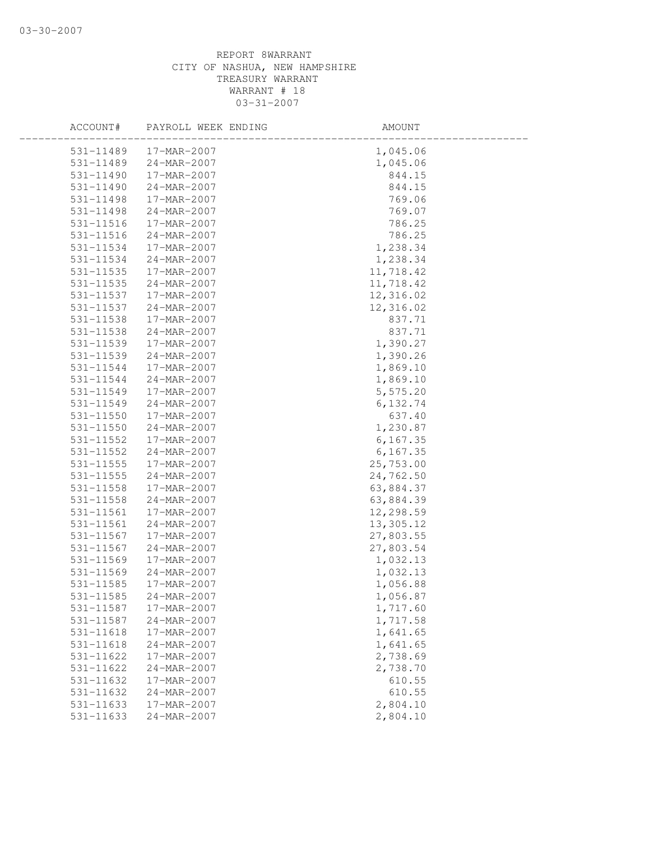| ACCOUNT#      | PAYROLL WEEK ENDING      | AMOUNT    |  |
|---------------|--------------------------|-----------|--|
|               | 531-11489<br>17-MAR-2007 | 1,045.06  |  |
| 531-11489     | $24 - MAR - 2007$        | 1,045.06  |  |
| 531-11490     | 17-MAR-2007              | 844.15    |  |
| 531-11490     | 24-MAR-2007              | 844.15    |  |
| 531-11498     | 17-MAR-2007              | 769.06    |  |
| 531-11498     | 24-MAR-2007              | 769.07    |  |
| 531-11516     | 17-MAR-2007              | 786.25    |  |
| 531-11516     | 24-MAR-2007              | 786.25    |  |
| 531-11534     | 17-MAR-2007              | 1,238.34  |  |
| 531-11534     | 24-MAR-2007              | 1,238.34  |  |
| 531-11535     | 17-MAR-2007              | 11,718.42 |  |
| 531-11535     | 24-MAR-2007              | 11,718.42 |  |
| 531-11537     | 17-MAR-2007              | 12,316.02 |  |
| 531-11537     | 24-MAR-2007              | 12,316.02 |  |
| 531-11538     | 17-MAR-2007              | 837.71    |  |
| 531-11538     | 24-MAR-2007              | 837.71    |  |
| 531-11539     | 17-MAR-2007              | 1,390.27  |  |
| 531-11539     | 24-MAR-2007              | 1,390.26  |  |
| 531-11544     | 17-MAR-2007              | 1,869.10  |  |
| 531-11544     | 24-MAR-2007              | 1,869.10  |  |
| 531-11549     | 17-MAR-2007              | 5,575.20  |  |
| 531-11549     | 24-MAR-2007              | 6,132.74  |  |
| 531-11550     | 17-MAR-2007              | 637.40    |  |
| 531-11550     | 24-MAR-2007              | 1,230.87  |  |
| $531 - 11552$ | 17-MAR-2007              | 6, 167.35 |  |
| 531-11552     | 24-MAR-2007              | 6, 167.35 |  |
| 531-11555     | 17-MAR-2007              | 25,753.00 |  |
| 531-11555     | 24-MAR-2007              | 24,762.50 |  |
| 531-11558     | 17-MAR-2007              | 63,884.37 |  |
| 531-11558     | 24-MAR-2007              | 63,884.39 |  |
| 531-11561     | 17-MAR-2007              | 12,298.59 |  |
| 531-11561     | 24-MAR-2007              | 13,305.12 |  |
| 531-11567     | 17-MAR-2007              | 27,803.55 |  |
| 531-11567     | $24 - MAR - 2007$        | 27,803.54 |  |
| 531-11569     | 17-MAR-2007              | 1,032.13  |  |
| 531-11569     | 24-MAR-2007              | 1,032.13  |  |
| 531-11585     | 17-MAR-2007              | 1,056.88  |  |
| 531-11585     | 24-MAR-2007              | 1,056.87  |  |
| 531-11587     | 17-MAR-2007              | 1,717.60  |  |
| 531-11587     | 24-MAR-2007              | 1,717.58  |  |
| 531-11618     | 17-MAR-2007              | 1,641.65  |  |
| 531-11618     | 24-MAR-2007              | 1,641.65  |  |
| 531-11622     | 17-MAR-2007              | 2,738.69  |  |
| 531-11622     | 24-MAR-2007              | 2,738.70  |  |
| 531-11632     | 17-MAR-2007              | 610.55    |  |
| 531-11632     | 24-MAR-2007              | 610.55    |  |
| 531-11633     | 17-MAR-2007              | 2,804.10  |  |
| 531-11633     | 24-MAR-2007              | 2,804.10  |  |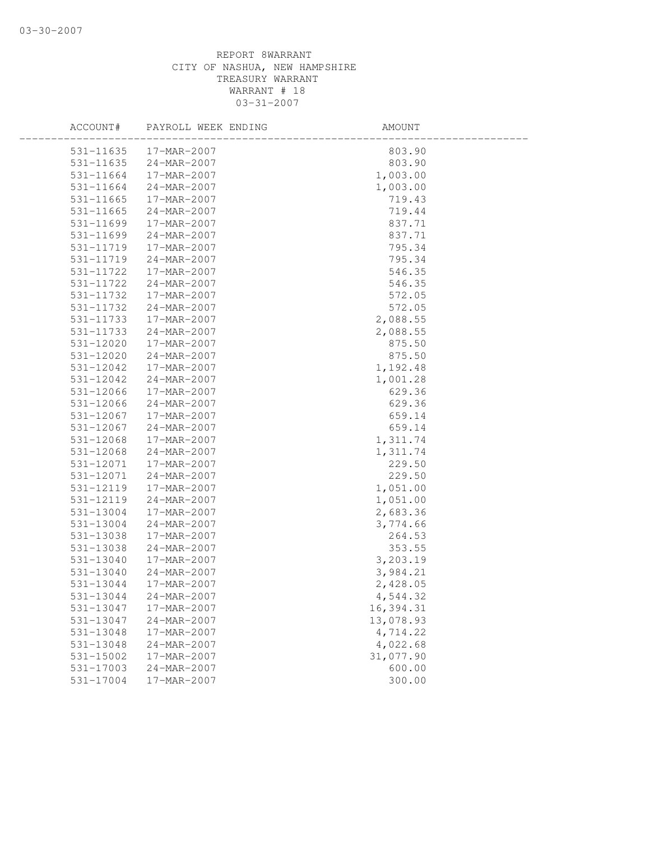| ACCOUNT#      | PAYROLL WEEK ENDING | AMOUNT    |  |
|---------------|---------------------|-----------|--|
| 531-11635     | 17-MAR-2007         | 803.90    |  |
| 531-11635     | 24-MAR-2007         | 803.90    |  |
| 531-11664     | 17-MAR-2007         | 1,003.00  |  |
| 531-11664     | 24-MAR-2007         | 1,003.00  |  |
| 531-11665     | 17-MAR-2007         | 719.43    |  |
| 531-11665     | 24-MAR-2007         | 719.44    |  |
| 531-11699     | 17-MAR-2007         | 837.71    |  |
| 531-11699     | 24-MAR-2007         | 837.71    |  |
| 531-11719     | 17-MAR-2007         | 795.34    |  |
| 531-11719     | 24-MAR-2007         | 795.34    |  |
| 531-11722     | 17-MAR-2007         | 546.35    |  |
| 531-11722     | 24-MAR-2007         | 546.35    |  |
| 531-11732     | 17-MAR-2007         | 572.05    |  |
| 531-11732     | 24-MAR-2007         | 572.05    |  |
| 531-11733     | 17-MAR-2007         | 2,088.55  |  |
| 531-11733     | 24-MAR-2007         | 2,088.55  |  |
| $531 - 12020$ | 17-MAR-2007         | 875.50    |  |
| 531-12020     | 24-MAR-2007         | 875.50    |  |
| 531-12042     | 17-MAR-2007         | 1,192.48  |  |
| 531-12042     | 24-MAR-2007         | 1,001.28  |  |
| 531-12066     | 17-MAR-2007         | 629.36    |  |
| 531-12066     | 24-MAR-2007         | 629.36    |  |
| 531-12067     | 17-MAR-2007         | 659.14    |  |
| 531-12067     | 24-MAR-2007         | 659.14    |  |
| 531-12068     | 17-MAR-2007         | 1,311.74  |  |
| 531-12068     | 24-MAR-2007         | 1,311.74  |  |
| 531-12071     | 17-MAR-2007         | 229.50    |  |
| 531-12071     | 24-MAR-2007         | 229.50    |  |
| 531-12119     | 17-MAR-2007         | 1,051.00  |  |
| 531-12119     | 24-MAR-2007         | 1,051.00  |  |
| 531-13004     | 17-MAR-2007         | 2,683.36  |  |
| 531-13004     | $24 - MAR - 2007$   | 3,774.66  |  |
| 531-13038     | 17-MAR-2007         | 264.53    |  |
| 531-13038     | 24-MAR-2007         | 353.55    |  |
| 531-13040     | 17-MAR-2007         | 3,203.19  |  |
| 531-13040     | 24-MAR-2007         | 3,984.21  |  |
| 531-13044     | 17-MAR-2007         | 2,428.05  |  |
| 531-13044     | 24-MAR-2007         | 4,544.32  |  |
| 531-13047     | 17-MAR-2007         | 16,394.31 |  |
| 531-13047     | 24-MAR-2007         | 13,078.93 |  |
| 531-13048     | 17-MAR-2007         | 4,714.22  |  |
| 531-13048     | 24-MAR-2007         | 4,022.68  |  |
| 531-15002     | 17-MAR-2007         | 31,077.90 |  |
| 531-17003     | 24-MAR-2007         | 600.00    |  |
| 531-17004     | 17-MAR-2007         | 300.00    |  |
|               |                     |           |  |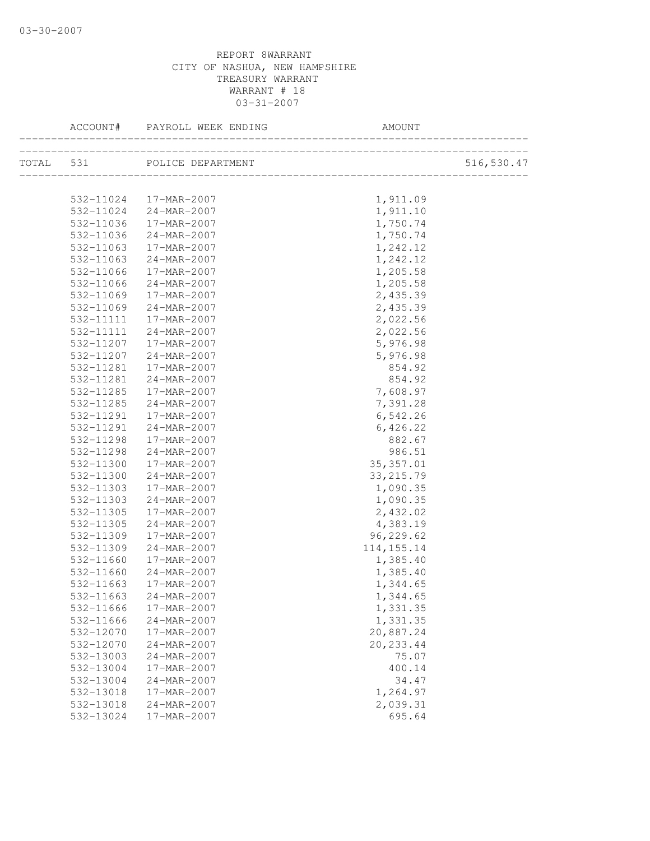|           | ACCOUNT# PAYROLL WEEK ENDING    | AMOUNT       |            |
|-----------|---------------------------------|--------------|------------|
|           | TOTAL 531 POLICE DEPARTMENT     |              | 516,530.47 |
|           |                                 |              |            |
|           | $532 - 11024$ $17 - MAR - 2007$ | 1,911.09     |            |
|           | 532-11024 24-MAR-2007           | 1,911.10     |            |
| 532-11036 | $17 - MAR - 2007$               | 1,750.74     |            |
| 532-11036 | $24 - MAR - 2007$               | 1,750.74     |            |
|           | 532-11063 17-MAR-2007           | 1,242.12     |            |
|           | 532-11063 24-MAR-2007           | 1,242.12     |            |
| 532-11066 | 17-MAR-2007                     | 1,205.58     |            |
| 532-11066 | $24 - MAR - 2007$               | 1,205.58     |            |
| 532-11069 | 17-MAR-2007                     | 2,435.39     |            |
| 532-11069 | 24-MAR-2007                     | 2,435.39     |            |
| 532-11111 | 17-MAR-2007                     | 2,022.56     |            |
| 532-11111 | 24-MAR-2007                     | 2,022.56     |            |
| 532-11207 | 17-MAR-2007                     | 5,976.98     |            |
| 532-11207 | 24-MAR-2007                     | 5,976.98     |            |
| 532-11281 | 17-MAR-2007                     | 854.92       |            |
| 532-11281 | 24-MAR-2007                     | 854.92       |            |
| 532-11285 | 17-MAR-2007                     | 7,608.97     |            |
| 532-11285 | $24 - MAR - 2007$               | 7,391.28     |            |
| 532-11291 | $17 - MAR - 2007$               | 6,542.26     |            |
| 532-11291 | 24-MAR-2007                     | 6,426.22     |            |
| 532-11298 | 17-MAR-2007                     | 882.67       |            |
| 532-11298 | $24 - MAR - 2007$               | 986.51       |            |
| 532-11300 | 17-MAR-2007                     | 35, 357.01   |            |
| 532-11300 | 24-MAR-2007                     | 33, 215.79   |            |
| 532-11303 | 17-MAR-2007                     | 1,090.35     |            |
| 532-11303 | $24 - MAR - 2007$               | 1,090.35     |            |
| 532-11305 | 17-MAR-2007                     | 2,432.02     |            |
| 532-11305 | 24-MAR-2007                     | 4,383.19     |            |
| 532-11309 | 17-MAR-2007                     | 96,229.62    |            |
| 532-11309 | 24-MAR-2007                     | 114, 155. 14 |            |
| 532-11660 | 17-MAR-2007                     | 1,385.40     |            |
| 532-11660 | 24-MAR-2007                     | 1,385.40     |            |
| 532-11663 | 17-MAR-2007                     | 1,344.65     |            |
| 532-11663 | 24-MAR-2007                     | 1,344.65     |            |
| 532-11666 | 17-MAR-2007                     | 1,331.35     |            |
| 532-11666 | 24-MAR-2007                     | 1,331.35     |            |
| 532-12070 | 17-MAR-2007                     | 20,887.24    |            |
| 532-12070 | 24-MAR-2007                     | 20, 233.44   |            |
| 532-13003 | 24-MAR-2007                     | 75.07        |            |
| 532-13004 | 17-MAR-2007                     | 400.14       |            |
| 532-13004 | 24-MAR-2007                     | 34.47        |            |
| 532-13018 | 17-MAR-2007                     | 1,264.97     |            |
| 532-13018 | 24-MAR-2007                     | 2,039.31     |            |
| 532-13024 | 17-MAR-2007                     | 695.64       |            |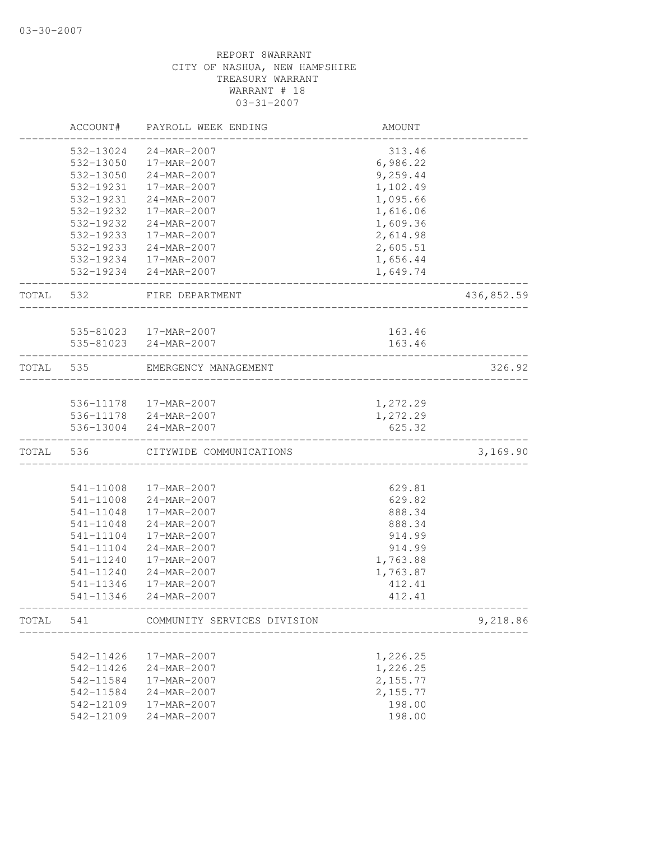|       | ACCOUNT#  | PAYROLL WEEK ENDING                             | AMOUNT   |            |
|-------|-----------|-------------------------------------------------|----------|------------|
|       | 532-13024 | 24-MAR-2007                                     | 313.46   |            |
|       | 532-13050 | 17-MAR-2007                                     | 6,986.22 |            |
|       | 532-13050 | 24-MAR-2007                                     | 9,259.44 |            |
|       | 532-19231 | 17-MAR-2007                                     | 1,102.49 |            |
|       | 532-19231 | $24 - MAR - 2007$                               | 1,095.66 |            |
|       | 532-19232 | 17-MAR-2007                                     | 1,616.06 |            |
|       | 532-19232 | 24-MAR-2007                                     | 1,609.36 |            |
|       | 532-19233 | 17-MAR-2007                                     | 2,614.98 |            |
|       |           | 532-19233 24-MAR-2007                           | 2,605.51 |            |
|       |           | 532-19234 17-MAR-2007                           | 1,656.44 |            |
|       |           | 532-19234 24-MAR-2007                           | 1,649.74 |            |
| TOTAL | 532       | FIRE DEPARTMENT<br>________________             |          | 436,852.59 |
|       |           |                                                 | 163.46   |            |
|       |           | 535-81023  17-MAR-2007<br>535-81023 24-MAR-2007 | 163.46   |            |
|       |           |                                                 |          |            |
| TOTAL | 535       | EMERGENCY MANAGEMENT                            |          | 326.92     |
|       |           | 536-11178  17-MAR-2007                          | 1,272.29 |            |
|       |           | 536-11178 24-MAR-2007                           | 1,272.29 |            |
|       | 536-13004 | 24-MAR-2007                                     | 625.32   |            |
| TOTAL | 536       | CITYWIDE COMMUNICATIONS                         |          | 3,169.90   |
|       |           |                                                 |          |            |
|       | 541-11008 | 17-MAR-2007                                     | 629.81   |            |
|       | 541-11008 | 24-MAR-2007                                     | 629.82   |            |
|       | 541-11048 | 17-MAR-2007                                     | 888.34   |            |
|       | 541-11048 | 24-MAR-2007                                     | 888.34   |            |
|       | 541-11104 | 17-MAR-2007                                     | 914.99   |            |
|       | 541-11104 | 24-MAR-2007                                     | 914.99   |            |
|       | 541-11240 | 17-MAR-2007                                     | 1,763.88 |            |
|       | 541-11240 | $24 - MAR - 2007$                               | 1,763.87 |            |
|       | 541-11346 | 17-MAR-2007                                     | 412.41   |            |
|       | 541-11346 | 24-MAR-2007                                     | 412.41   |            |
| TOTAL | 541       | COMMUNITY SERVICES DIVISION                     |          | 9,218.86   |
|       |           |                                                 |          |            |
|       | 542-11426 | 17-MAR-2007                                     | 1,226.25 |            |
|       | 542-11426 | 24-MAR-2007                                     | 1,226.25 |            |
|       | 542-11584 | 17-MAR-2007                                     | 2,155.77 |            |
|       | 542-11584 | 24-MAR-2007                                     | 2,155.77 |            |
|       | 542-12109 | 17-MAR-2007                                     | 198.00   |            |
|       | 542-12109 | 24-MAR-2007                                     | 198.00   |            |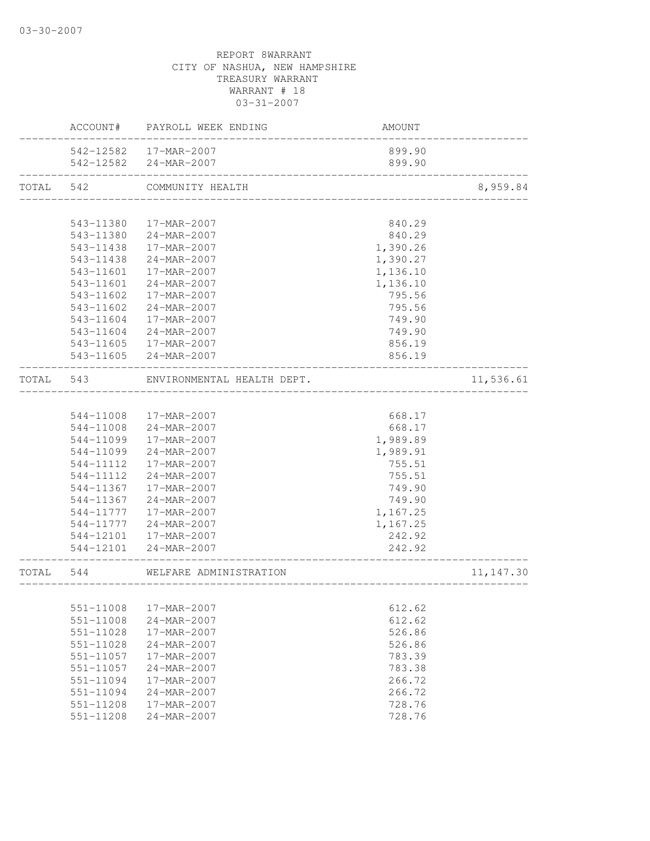|       | ACCOUNT#  | PAYROLL WEEK ENDING        | AMOUNT   |            |
|-------|-----------|----------------------------|----------|------------|
|       | 542-12582 | 17-MAR-2007                | 899.90   |            |
|       | 542-12582 | 24-MAR-2007                | 899.90   |            |
| TOTAL | 542       | COMMUNITY HEALTH           |          | 8,959.84   |
|       |           |                            |          |            |
|       | 543-11380 | 17-MAR-2007                | 840.29   |            |
|       | 543-11380 | 24-MAR-2007                | 840.29   |            |
|       | 543-11438 | 17-MAR-2007                | 1,390.26 |            |
|       | 543-11438 | 24-MAR-2007                | 1,390.27 |            |
|       | 543-11601 | 17-MAR-2007                | 1,136.10 |            |
|       | 543-11601 | 24-MAR-2007                | 1,136.10 |            |
|       | 543-11602 | 17-MAR-2007                | 795.56   |            |
|       | 543-11602 | 24-MAR-2007                | 795.56   |            |
|       | 543-11604 | 17-MAR-2007                | 749.90   |            |
|       | 543-11604 | 24-MAR-2007                | 749.90   |            |
|       | 543-11605 | 17-MAR-2007                | 856.19   |            |
|       | 543-11605 | 24-MAR-2007                | 856.19   |            |
| TOTAL | 543       | ENVIRONMENTAL HEALTH DEPT. |          | 11,536.61  |
|       |           |                            |          |            |
|       | 544-11008 | 17-MAR-2007                | 668.17   |            |
|       | 544-11008 | 24-MAR-2007                | 668.17   |            |
|       | 544-11099 | 17-MAR-2007                | 1,989.89 |            |
|       | 544-11099 | 24-MAR-2007                | 1,989.91 |            |
|       | 544-11112 | 17-MAR-2007                | 755.51   |            |
|       | 544-11112 | 24-MAR-2007                | 755.51   |            |
|       | 544-11367 | 17-MAR-2007                | 749.90   |            |
|       | 544-11367 | 24-MAR-2007                | 749.90   |            |
|       | 544-11777 | 17-MAR-2007                | 1,167.25 |            |
|       | 544-11777 | 24-MAR-2007                | 1,167.25 |            |
|       | 544-12101 | 17-MAR-2007                | 242.92   |            |
|       | 544-12101 | 24-MAR-2007                | 242.92   |            |
| TOTAL | 544       | WELFARE ADMINISTRATION     |          | 11, 147.30 |
|       |           |                            |          |            |
|       | 551-11008 | 17-MAR-2007                | 612.62   |            |
|       | 551-11008 | 24-MAR-2007                | 612.62   |            |
|       | 551-11028 | 17-MAR-2007                | 526.86   |            |
|       | 551-11028 | 24-MAR-2007                | 526.86   |            |
|       | 551-11057 | 17-MAR-2007                | 783.39   |            |
|       | 551-11057 | 24-MAR-2007                | 783.38   |            |
|       | 551-11094 | 17-MAR-2007                | 266.72   |            |
|       | 551-11094 | 24-MAR-2007                | 266.72   |            |
|       | 551-11208 | 17-MAR-2007                | 728.76   |            |
|       | 551-11208 | 24-MAR-2007                | 728.76   |            |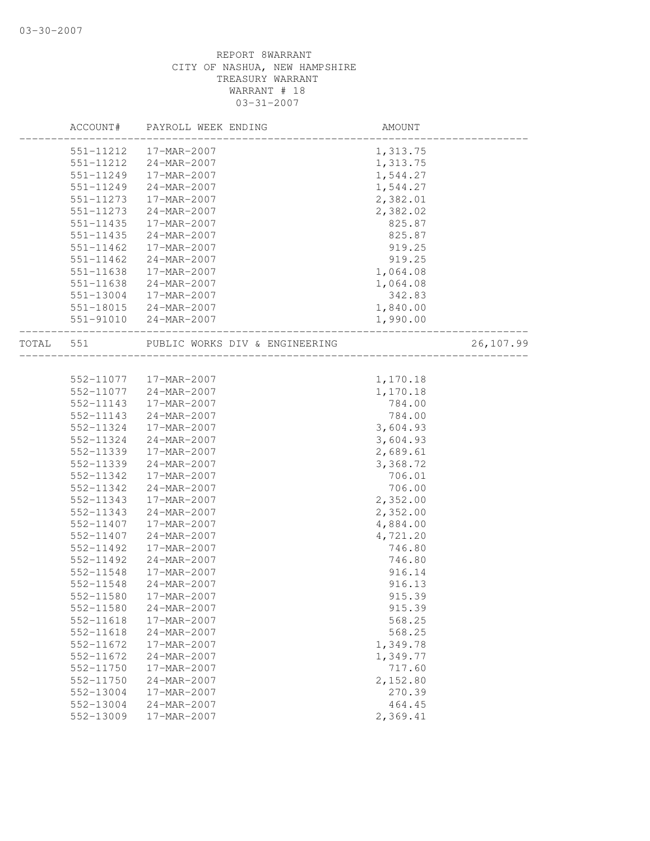|       | ACCOUNT#      | PAYROLL WEEK ENDING            | AMOUNT   |           |
|-------|---------------|--------------------------------|----------|-----------|
|       |               | 551-11212   17-MAR-2007        | 1,313.75 |           |
|       | 551-11212     | 24-MAR-2007                    | 1,313.75 |           |
|       | 551-11249     | 17-MAR-2007                    | 1,544.27 |           |
|       | 551-11249     | 24-MAR-2007                    | 1,544.27 |           |
|       | 551-11273     | 17-MAR-2007                    | 2,382.01 |           |
|       | 551-11273     | 24-MAR-2007                    | 2,382.02 |           |
|       | 551-11435     | 17-MAR-2007                    | 825.87   |           |
|       | 551-11435     | 24-MAR-2007                    | 825.87   |           |
|       | $551 - 11462$ | 17-MAR-2007                    | 919.25   |           |
|       | 551-11462     | 24-MAR-2007                    | 919.25   |           |
|       | 551-11638     | 17-MAR-2007                    | 1,064.08 |           |
|       | 551-11638     | 24-MAR-2007                    | 1,064.08 |           |
|       | 551-13004     | 17-MAR-2007                    | 342.83   |           |
|       | 551-18015     | 24-MAR-2007                    | 1,840.00 |           |
|       | 551-91010     | 24-MAR-2007                    | 1,990.00 |           |
| TOTAL | 551           | PUBLIC WORKS DIV & ENGINEERING |          | 26,107.99 |
|       |               |                                |          |           |
|       | 552-11077     | 17-MAR-2007                    | 1,170.18 |           |
|       | 552-11077     | 24-MAR-2007                    | 1,170.18 |           |
|       | 552-11143     | 17-MAR-2007                    | 784.00   |           |
|       | 552-11143     | 24-MAR-2007                    | 784.00   |           |
|       | 552-11324     | 17-MAR-2007                    | 3,604.93 |           |
|       | 552-11324     | 24-MAR-2007                    | 3,604.93 |           |
|       | 552-11339     | 17-MAR-2007                    | 2,689.61 |           |
|       | 552-11339     | 24-MAR-2007                    | 3,368.72 |           |
|       | 552-11342     | 17-MAR-2007                    | 706.01   |           |
|       | 552-11342     | 24-MAR-2007                    | 706.00   |           |
|       | 552-11343     | 17-MAR-2007                    | 2,352.00 |           |
|       | 552-11343     | 24-MAR-2007                    | 2,352.00 |           |
|       | 552-11407     | 17-MAR-2007                    | 4,884.00 |           |
|       | 552-11407     | 24-MAR-2007                    | 4,721.20 |           |
|       | 552-11492     | 17-MAR-2007                    | 746.80   |           |
|       | 552-11492     | $24 - MAR - 2007$              | 746.80   |           |
|       | 552-11548     | 17-MAR-2007                    | 916.14   |           |
|       | 552-11548     | 24-MAR-2007                    | 916.13   |           |
|       | 552-11580     | 17-MAR-2007                    | 915.39   |           |
|       | 552-11580     | 24-MAR-2007                    | 915.39   |           |
|       | 552-11618     | 17-MAR-2007                    | 568.25   |           |
|       | 552-11618     | 24-MAR-2007                    | 568.25   |           |
|       | 552-11672     | 17-MAR-2007                    | 1,349.78 |           |
|       | 552-11672     | 24-MAR-2007                    | 1,349.77 |           |
|       | 552-11750     | 17-MAR-2007                    | 717.60   |           |
|       | 552-11750     | 24-MAR-2007                    | 2,152.80 |           |
|       | 552-13004     | 17-MAR-2007                    | 270.39   |           |
|       | 552-13004     | 24-MAR-2007                    | 464.45   |           |
|       | 552-13009     | 17-MAR-2007                    | 2,369.41 |           |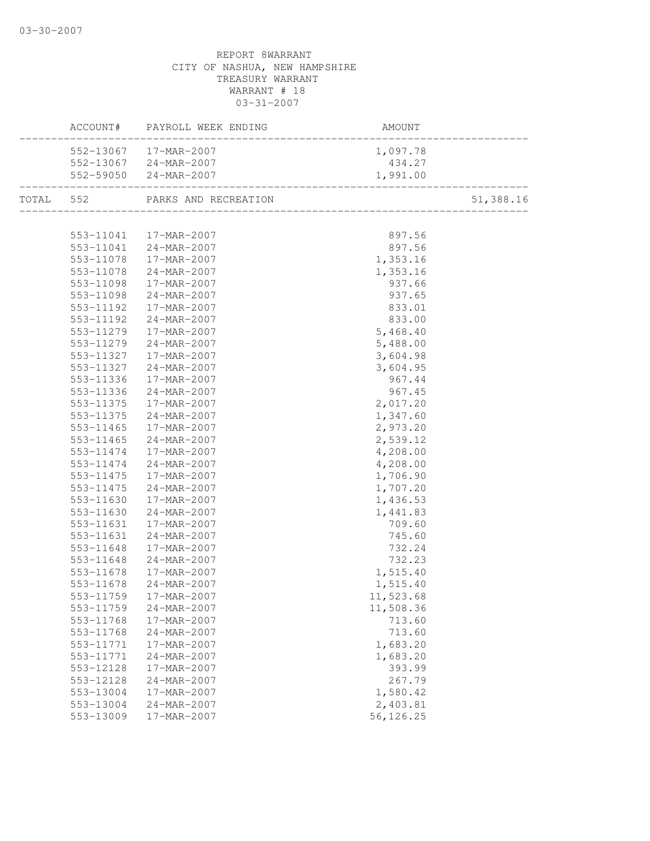|           | ACCOUNT# PAYROLL WEEK ENDING                   | AMOUNT<br>--------------------------- |           |
|-----------|------------------------------------------------|---------------------------------------|-----------|
|           | 552-13067 17-MAR-2007                          | 1,097.78                              |           |
|           | 552-13067 24-MAR-2007                          | 434.27                                |           |
|           | 552-59050 24-MAR-2007                          | 1,991.00                              |           |
|           | TOTAL 552 PARKS AND RECREATION                 |                                       | 51,388.16 |
|           |                                                |                                       |           |
|           | 553-11041 17-MAR-2007<br>553-11041 24-MAR-2007 | 897.56                                |           |
|           |                                                | 897.56                                |           |
| 553-11078 | $17 - MAR - 2007$                              | 1,353.16                              |           |
| 553-11078 | $24 - MAR - 2007$                              | 1,353.16                              |           |
| 553-11098 | 17-MAR-2007                                    | 937.66                                |           |
| 553-11098 | 24-MAR-2007                                    | 937.65                                |           |
| 553-11192 | 17-MAR-2007                                    | 833.01                                |           |
| 553-11192 | 24-MAR-2007                                    | 833.00                                |           |
| 553-11279 | 17-MAR-2007                                    | 5,468.40                              |           |
| 553-11279 | 24-MAR-2007                                    | 5,488.00                              |           |
| 553-11327 | 17-MAR-2007                                    | 3,604.98                              |           |
| 553-11327 | $24 - MAR - 2007$                              | 3,604.95                              |           |
| 553-11336 | 17-MAR-2007                                    | 967.44                                |           |
| 553-11336 | 24-MAR-2007                                    | 967.45                                |           |
| 553-11375 | 17-MAR-2007                                    | 2,017.20                              |           |
| 553-11375 | 24-MAR-2007                                    | 1,347.60                              |           |
| 553-11465 | 17-MAR-2007                                    | 2,973.20                              |           |
| 553-11465 | 24-MAR-2007                                    | 2,539.12                              |           |
| 553-11474 | 17-MAR-2007                                    | 4,208.00                              |           |
| 553-11474 | 24-MAR-2007                                    | 4,208.00                              |           |
| 553-11475 | 17-MAR-2007                                    | 1,706.90                              |           |
| 553-11475 | 24-MAR-2007                                    | 1,707.20                              |           |
| 553-11630 | 17-MAR-2007                                    | 1,436.53                              |           |
| 553-11630 | 24-MAR-2007                                    | 1,441.83                              |           |
| 553-11631 | 17-MAR-2007                                    | 709.60                                |           |
| 553-11631 | 24-MAR-2007                                    | 745.60                                |           |
| 553-11648 | 17-MAR-2007                                    | 732.24                                |           |
| 553-11648 | 24-MAR-2007                                    | 732.23                                |           |
| 553-11678 | 17-MAR-2007                                    | 1,515.40                              |           |
| 553-11678 | $24 - MAR - 2007$                              | 1,515.40                              |           |
|           | 553-11759 17-MAR-2007                          | 11,523.68                             |           |
| 553-11759 | 24-MAR-2007                                    | 11,508.36                             |           |
| 553-11768 | 17-MAR-2007                                    | 713.60                                |           |
| 553-11768 | 24-MAR-2007                                    | 713.60                                |           |
| 553-11771 | 17-MAR-2007                                    | 1,683.20                              |           |
| 553-11771 | 24-MAR-2007                                    | 1,683.20                              |           |
| 553-12128 | 17-MAR-2007                                    | 393.99                                |           |
| 553-12128 | 24-MAR-2007                                    | 267.79                                |           |
| 553-13004 | 17-MAR-2007                                    | 1,580.42                              |           |
| 553-13004 | 24-MAR-2007                                    | 2,403.81                              |           |
| 553-13009 | 17-MAR-2007                                    | 56,126.25                             |           |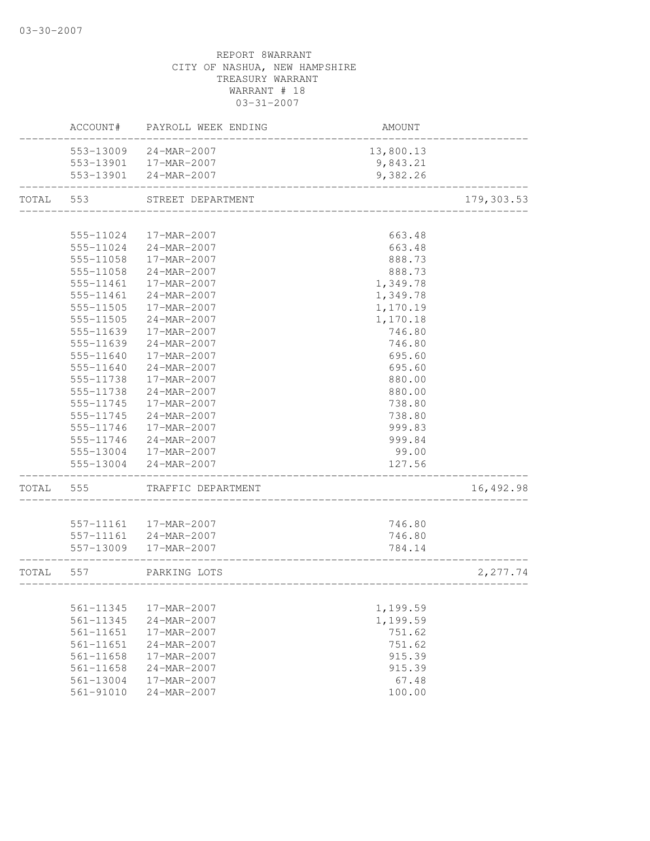|           | ACCOUNT#      | PAYROLL WEEK ENDING    | AMOUNT                              |            |
|-----------|---------------|------------------------|-------------------------------------|------------|
|           | 553-13009     | 24-MAR-2007            | 13,800.13                           |            |
|           |               | 553-13901  17-MAR-2007 | 9,843.21                            |            |
|           |               | 553-13901 24-MAR-2007  | 9,382.26                            |            |
| TOTAL     | 553           | STREET DEPARTMENT      | ___________________________________ | 179,303.53 |
|           |               |                        |                                     |            |
|           | 555-11024     | 17-MAR-2007            | 663.48                              |            |
|           | 555-11024     | 24-MAR-2007            | 663.48                              |            |
|           | 555-11058     | 17-MAR-2007            | 888.73                              |            |
|           | 555-11058     | $24 - MAR - 2007$      | 888.73                              |            |
|           | 555-11461     | 17-MAR-2007            | 1,349.78                            |            |
|           | 555-11461     | 24-MAR-2007            | 1,349.78                            |            |
|           | 555-11505     | 17-MAR-2007            | 1,170.19                            |            |
|           | 555-11505     | 24-MAR-2007            | 1,170.18                            |            |
|           | 555-11639     | 17-MAR-2007            | 746.80                              |            |
|           | 555-11639     | 24-MAR-2007            | 746.80                              |            |
|           | 555-11640     | 17-MAR-2007            | 695.60                              |            |
|           | 555-11640     | 24-MAR-2007            | 695.60                              |            |
|           | 555-11738     | 17-MAR-2007            | 880.00                              |            |
|           | 555-11738     | 24-MAR-2007            | 880.00                              |            |
|           | 555-11745     | 17-MAR-2007            | 738.80                              |            |
|           | 555-11745     | 24-MAR-2007            | 738.80                              |            |
|           | 555-11746     | 17-MAR-2007            | 999.83                              |            |
|           | 555-11746     | 24-MAR-2007            | 999.84                              |            |
|           |               | 555-13004 17-MAR-2007  | 99.00                               |            |
|           | 555-13004     | 24-MAR-2007            | 127.56                              |            |
| TOTAL     | 555           | TRAFFIC DEPARTMENT     |                                     | 16,492.98  |
|           |               |                        |                                     |            |
|           |               | 557-11161  17-MAR-2007 | 746.80                              |            |
|           |               | 557-11161 24-MAR-2007  | 746.80                              |            |
|           |               | 557-13009 17-MAR-2007  | 784.14                              |            |
| TOTAL 557 |               | PARKING LOTS           |                                     | 2,277.74   |
|           |               |                        |                                     |            |
|           | 561-11345     | 17-MAR-2007            | 1,199.59                            |            |
|           | 561-11345     | 24-MAR-2007            | 1,199.59                            |            |
|           | 561-11651     | 17-MAR-2007            | 751.62                              |            |
|           | 561-11651     | $24 - MAR - 2007$      | 751.62                              |            |
|           | $561 - 11658$ | 17-MAR-2007            | 915.39                              |            |
|           | 561-11658     | 24-MAR-2007            | 915.39                              |            |
|           | 561-13004     | 17-MAR-2007            | 67.48                               |            |
|           | $561 - 91010$ | 24-MAR-2007            | 100.00                              |            |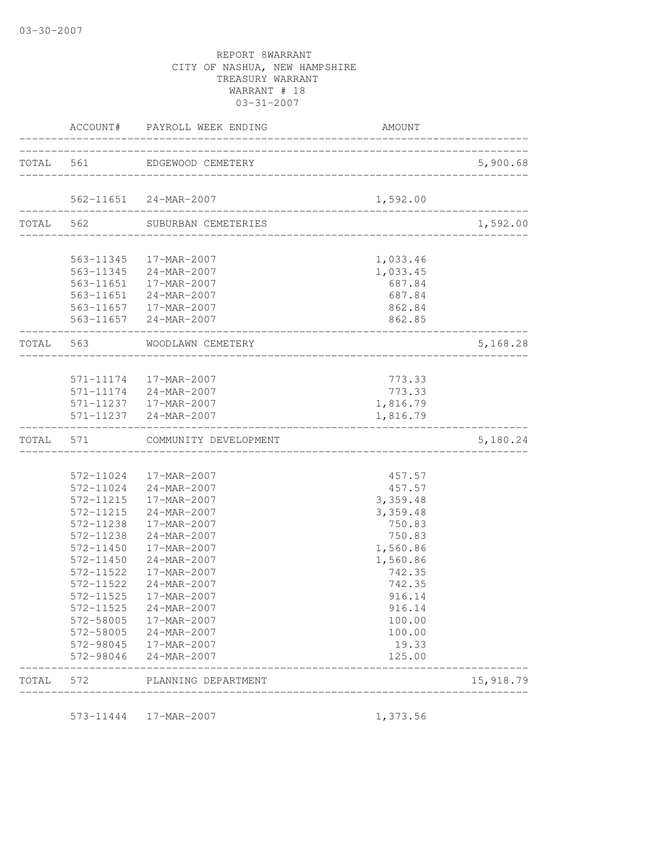| 572-11238<br>572-11238<br>572-11450<br>572-11450<br>572-11522<br>572-11522<br>572-11525<br>572-11525<br>572-58005<br>572-98045<br>572-98046 | 572-11024 24-MAR-2007<br>572-11215  17-MAR-2007<br>572-11215 24-MAR-2007<br>17-MAR-2007<br>24-MAR-2007<br>17-MAR-2007<br>24-MAR-2007<br>17-MAR-2007<br>24-MAR-2007<br>17-MAR-2007<br>24-MAR-2007<br>572-58005 17-MAR-2007<br>24-MAR-2007<br>17-MAR-2007<br>24-MAR-2007 | 457.57<br>3,359.48<br>3,359.48<br>750.83<br>750.83<br>1,560.86<br>1,560.86<br>742.35<br>742.35<br>916.14<br>916.14<br>100.00<br>100.00<br>19.33<br>125.00                                                                                                                                                                                                                                                                                                  |                                                                                               |
|---------------------------------------------------------------------------------------------------------------------------------------------|------------------------------------------------------------------------------------------------------------------------------------------------------------------------------------------------------------------------------------------------------------------------|------------------------------------------------------------------------------------------------------------------------------------------------------------------------------------------------------------------------------------------------------------------------------------------------------------------------------------------------------------------------------------------------------------------------------------------------------------|-----------------------------------------------------------------------------------------------|
|                                                                                                                                             |                                                                                                                                                                                                                                                                        |                                                                                                                                                                                                                                                                                                                                                                                                                                                            |                                                                                               |
|                                                                                                                                             |                                                                                                                                                                                                                                                                        |                                                                                                                                                                                                                                                                                                                                                                                                                                                            |                                                                                               |
|                                                                                                                                             |                                                                                                                                                                                                                                                                        |                                                                                                                                                                                                                                                                                                                                                                                                                                                            |                                                                                               |
|                                                                                                                                             |                                                                                                                                                                                                                                                                        |                                                                                                                                                                                                                                                                                                                                                                                                                                                            |                                                                                               |
|                                                                                                                                             |                                                                                                                                                                                                                                                                        |                                                                                                                                                                                                                                                                                                                                                                                                                                                            |                                                                                               |
|                                                                                                                                             |                                                                                                                                                                                                                                                                        |                                                                                                                                                                                                                                                                                                                                                                                                                                                            |                                                                                               |
|                                                                                                                                             |                                                                                                                                                                                                                                                                        |                                                                                                                                                                                                                                                                                                                                                                                                                                                            |                                                                                               |
|                                                                                                                                             |                                                                                                                                                                                                                                                                        |                                                                                                                                                                                                                                                                                                                                                                                                                                                            |                                                                                               |
|                                                                                                                                             |                                                                                                                                                                                                                                                                        |                                                                                                                                                                                                                                                                                                                                                                                                                                                            |                                                                                               |
|                                                                                                                                             |                                                                                                                                                                                                                                                                        |                                                                                                                                                                                                                                                                                                                                                                                                                                                            |                                                                                               |
|                                                                                                                                             |                                                                                                                                                                                                                                                                        |                                                                                                                                                                                                                                                                                                                                                                                                                                                            |                                                                                               |
|                                                                                                                                             |                                                                                                                                                                                                                                                                        |                                                                                                                                                                                                                                                                                                                                                                                                                                                            |                                                                                               |
|                                                                                                                                             |                                                                                                                                                                                                                                                                        |                                                                                                                                                                                                                                                                                                                                                                                                                                                            |                                                                                               |
|                                                                                                                                             |                                                                                                                                                                                                                                                                        |                                                                                                                                                                                                                                                                                                                                                                                                                                                            |                                                                                               |
|                                                                                                                                             |                                                                                                                                                                                                                                                                        |                                                                                                                                                                                                                                                                                                                                                                                                                                                            |                                                                                               |
|                                                                                                                                             |                                                                                                                                                                                                                                                                        |                                                                                                                                                                                                                                                                                                                                                                                                                                                            |                                                                                               |
| TOTAL 571                                                                                                                                   |                                                                                                                                                                                                                                                                        |                                                                                                                                                                                                                                                                                                                                                                                                                                                            | 5,180.24                                                                                      |
|                                                                                                                                             |                                                                                                                                                                                                                                                                        | 1,816.79                                                                                                                                                                                                                                                                                                                                                                                                                                                   |                                                                                               |
|                                                                                                                                             |                                                                                                                                                                                                                                                                        |                                                                                                                                                                                                                                                                                                                                                                                                                                                            |                                                                                               |
|                                                                                                                                             |                                                                                                                                                                                                                                                                        | 773.33                                                                                                                                                                                                                                                                                                                                                                                                                                                     |                                                                                               |
|                                                                                                                                             |                                                                                                                                                                                                                                                                        |                                                                                                                                                                                                                                                                                                                                                                                                                                                            |                                                                                               |
|                                                                                                                                             |                                                                                                                                                                                                                                                                        |                                                                                                                                                                                                                                                                                                                                                                                                                                                            | 5,168.28                                                                                      |
|                                                                                                                                             |                                                                                                                                                                                                                                                                        | 862.85                                                                                                                                                                                                                                                                                                                                                                                                                                                     |                                                                                               |
|                                                                                                                                             |                                                                                                                                                                                                                                                                        |                                                                                                                                                                                                                                                                                                                                                                                                                                                            |                                                                                               |
|                                                                                                                                             |                                                                                                                                                                                                                                                                        |                                                                                                                                                                                                                                                                                                                                                                                                                                                            |                                                                                               |
|                                                                                                                                             |                                                                                                                                                                                                                                                                        |                                                                                                                                                                                                                                                                                                                                                                                                                                                            |                                                                                               |
|                                                                                                                                             |                                                                                                                                                                                                                                                                        | 1,033.46                                                                                                                                                                                                                                                                                                                                                                                                                                                   |                                                                                               |
|                                                                                                                                             |                                                                                                                                                                                                                                                                        |                                                                                                                                                                                                                                                                                                                                                                                                                                                            |                                                                                               |
| TOTAL 562                                                                                                                                   |                                                                                                                                                                                                                                                                        |                                                                                                                                                                                                                                                                                                                                                                                                                                                            | 1,592.00                                                                                      |
|                                                                                                                                             |                                                                                                                                                                                                                                                                        | 1,592.00                                                                                                                                                                                                                                                                                                                                                                                                                                                   |                                                                                               |
|                                                                                                                                             |                                                                                                                                                                                                                                                                        |                                                                                                                                                                                                                                                                                                                                                                                                                                                            | 5,900.68                                                                                      |
|                                                                                                                                             |                                                                                                                                                                                                                                                                        | AMOUNT                                                                                                                                                                                                                                                                                                                                                                                                                                                     |                                                                                               |
|                                                                                                                                             |                                                                                                                                                                                                                                                                        | ACCOUNT# PAYROLL WEEK ENDING<br>TOTAL 561 EDGEWOOD CEMETERY<br>562-11651 24-MAR-2007<br>SUBURBAN CEMETERIES<br>563-11345 17-MAR-2007<br>563-11345 24-MAR-2007<br>563-11651  17-MAR-2007<br>563-11651 24-MAR-2007<br>563-11657  17-MAR-2007<br>563-11657 24-MAR-2007<br>TOTAL 563 WOODLAWN CEMETERY<br>571-11174  17-MAR-2007<br>571-11174 24-MAR-2007<br>571-11237  17-MAR-2007<br>571-11237 24-MAR-2007<br>COMMUNITY DEVELOPMENT<br>572-11024 17-MAR-2007 | 1,033.45<br>687.84<br>687.84<br>862.84<br>___________________<br>773.33<br>1,816.79<br>457.57 |

573-11444 17-MAR-2007 1,373.56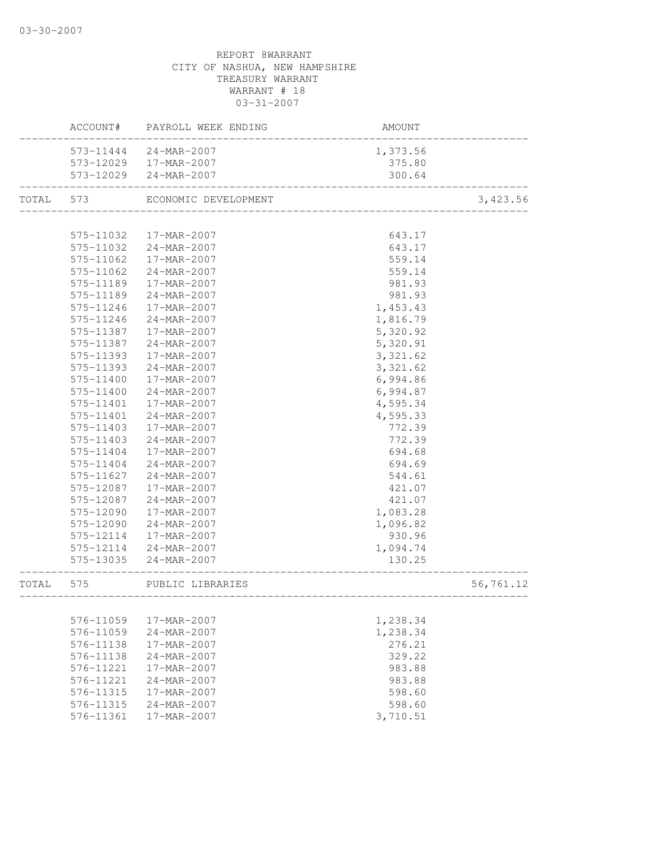|           |           | ACCOUNT# PAYROLL WEEK ENDING         | AMOUNT   |           |
|-----------|-----------|--------------------------------------|----------|-----------|
|           |           | 573-11444 24-MAR-2007                | 1,373.56 |           |
|           |           | 573-12029  17-MAR-2007               | 375.80   |           |
|           |           | 573-12029 24-MAR-2007                | 300.64   |           |
| TOTAL 573 |           | ECONOMIC DEVELOPMENT                 |          | 3,423.56  |
|           |           |                                      |          |           |
|           | 575-11032 | 17-MAR-2007                          | 643.17   |           |
|           | 575-11032 | 24-MAR-2007                          | 643.17   |           |
|           | 575-11062 | 17-MAR-2007                          | 559.14   |           |
|           | 575-11062 | 24-MAR-2007                          | 559.14   |           |
|           | 575-11189 | 17-MAR-2007                          | 981.93   |           |
|           | 575-11189 | 24-MAR-2007                          | 981.93   |           |
|           | 575-11246 | 17-MAR-2007                          | 1,453.43 |           |
|           | 575-11246 | 24-MAR-2007                          | 1,816.79 |           |
|           | 575-11387 | 17-MAR-2007                          | 5,320.92 |           |
|           | 575-11387 | 24-MAR-2007                          | 5,320.91 |           |
|           | 575-11393 | 17-MAR-2007                          | 3,321.62 |           |
|           | 575-11393 | 24-MAR-2007                          | 3,321.62 |           |
|           | 575-11400 | 17-MAR-2007                          | 6,994.86 |           |
|           | 575-11400 | 24-MAR-2007                          | 6,994.87 |           |
|           | 575-11401 | 17-MAR-2007                          | 4,595.34 |           |
|           | 575-11401 | 24-MAR-2007                          | 4,595.33 |           |
|           | 575-11403 | 17-MAR-2007                          | 772.39   |           |
|           | 575-11403 | 24-MAR-2007                          | 772.39   |           |
|           | 575-11404 | 17-MAR-2007                          | 694.68   |           |
|           | 575-11404 | 24-MAR-2007                          | 694.69   |           |
|           | 575-11627 | 24-MAR-2007                          | 544.61   |           |
|           | 575-12087 | 17-MAR-2007                          | 421.07   |           |
|           | 575-12087 | 24-MAR-2007                          | 421.07   |           |
|           | 575-12090 | 17-MAR-2007                          | 1,083.28 |           |
|           | 575-12090 | 24-MAR-2007                          | 1,096.82 |           |
|           | 575-12114 | 17-MAR-2007                          | 930.96   |           |
|           | 575-12114 | 24-MAR-2007                          | 1,094.74 |           |
|           | 575-13035 | $24 - MAR - 2007$                    | 130.25   |           |
| TOTAL     | 575       | PUBLIC LIBRARIES<br>---------------- |          | 56,761.12 |
|           |           |                                      |          |           |
|           | 576-11059 | 17-MAR-2007                          | 1,238.34 |           |
|           | 576-11059 | 24-MAR-2007                          | 1,238.34 |           |
|           | 576-11138 | 17-MAR-2007                          | 276.21   |           |
|           | 576-11138 | 24-MAR-2007                          | 329.22   |           |
|           | 576-11221 | 17-MAR-2007                          | 983.88   |           |
|           | 576-11221 | 24-MAR-2007                          | 983.88   |           |
|           | 576-11315 | 17-MAR-2007                          | 598.60   |           |
|           | 576-11315 | 24-MAR-2007                          | 598.60   |           |
|           | 576-11361 | 17-MAR-2007                          | 3,710.51 |           |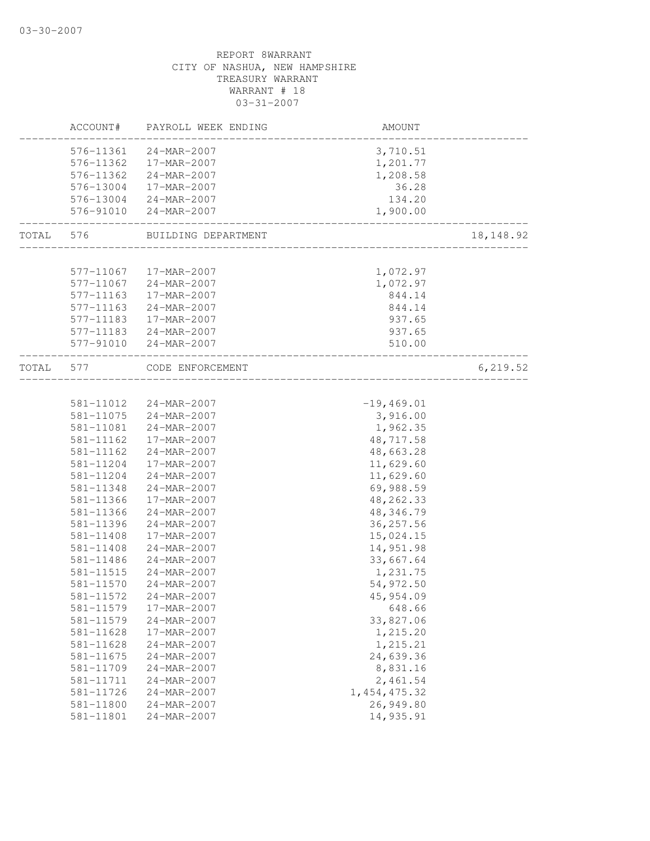|           | ACCOUNT#               | PAYROLL WEEK ENDING                    | AMOUNT                    |             |
|-----------|------------------------|----------------------------------------|---------------------------|-------------|
|           |                        | 576-11361 24-MAR-2007                  | 3,710.51                  |             |
|           | 576-11362              | 17-MAR-2007                            | 1,201.77                  |             |
|           | 576-11362              | 24-MAR-2007                            | 1,208.58                  |             |
|           | 576-13004              | 17-MAR-2007                            | 36.28                     |             |
|           |                        | 576-13004 24-MAR-2007                  | 134.20                    |             |
|           | 576-91010              | 24-MAR-2007                            | 1,900.00<br>__________    |             |
| TOTAL 576 |                        | BUILDING DEPARTMENT                    | _________________________ | 18, 148. 92 |
|           |                        |                                        |                           |             |
|           |                        | 577-11067  17-MAR-2007                 | 1,072.97                  |             |
|           | 577-11067              | 24-MAR-2007                            | 1,072.97                  |             |
|           | 577-11163              | 17-MAR-2007                            | 844.14                    |             |
|           | 577-11163              | 24-MAR-2007                            | 844.14                    |             |
|           | 577-11183              | 17-MAR-2007                            | 937.65                    |             |
|           | 577-11183<br>577-91010 | $24 - MAR - 2007$<br>$24 - MAR - 2007$ | 937.65<br>510.00          |             |
| TOTAL     | 577                    | CODE ENFORCEMENT                       |                           | 6,219.52    |
|           |                        |                                        |                           |             |
|           |                        | 581-11012 24-MAR-2007                  | $-19,469.01$              |             |
|           | 581-11075              | $24 - MAR - 2007$                      | 3,916.00                  |             |
|           | 581-11081              | 24-MAR-2007                            | 1,962.35                  |             |
|           | 581-11162              | 17-MAR-2007                            | 48,717.58                 |             |
|           | 581-11162              | 24-MAR-2007                            | 48,663.28                 |             |
|           | 581-11204              | 17-MAR-2007                            | 11,629.60                 |             |
|           | 581-11204              | 24-MAR-2007                            | 11,629.60                 |             |
|           | 581-11348              | 24-MAR-2007                            | 69,988.59                 |             |
|           | 581-11366              | 17-MAR-2007                            | 48, 262.33                |             |
|           | 581-11366              | 24-MAR-2007                            | 48, 346.79                |             |
|           | 581-11396<br>581-11408 | 24-MAR-2007<br>17-MAR-2007             | 36, 257.56<br>15,024.15   |             |
|           | 581-11408              | 24-MAR-2007                            | 14,951.98                 |             |
|           | 581-11486              | 24-MAR-2007                            | 33,667.64                 |             |
|           | 581-11515              | 24-MAR-2007                            | 1,231.75                  |             |
|           | 581-11570              | 24-MAR-2007                            | 54,972.50                 |             |
|           | 581-11572              | 24-MAR-2007                            | 45,954.09                 |             |
|           | 581-11579              | 17-MAR-2007                            | 648.66                    |             |
|           | 581-11579              | 24-MAR-2007                            | 33,827.06                 |             |
|           | 581-11628              | 17-MAR-2007                            | 1,215.20                  |             |
|           | 581-11628              | 24-MAR-2007                            | 1,215.21                  |             |
|           | 581-11675              | 24-MAR-2007                            | 24,639.36                 |             |
|           | 581-11709              | 24-MAR-2007                            | 8,831.16                  |             |
|           | 581-11711              | 24-MAR-2007                            | 2,461.54                  |             |
|           | 581-11726              | 24-MAR-2007                            | 1, 454, 475.32            |             |
|           | 581-11800              | 24-MAR-2007                            | 26,949.80                 |             |
|           | 581-11801              | 24-MAR-2007                            | 14,935.91                 |             |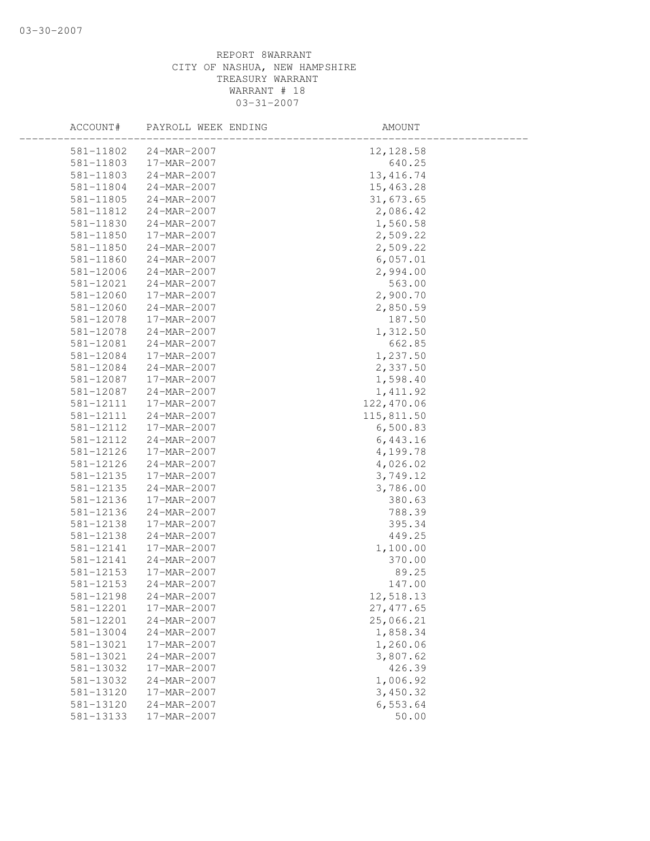| 581-11802<br>24-MAR-2007<br>12, 128.58     |  |
|--------------------------------------------|--|
| 581-11803<br>640.25<br>17-MAR-2007         |  |
| 581-11803<br>24-MAR-2007<br>13, 416.74     |  |
| 581-11804<br>24-MAR-2007<br>15,463.28      |  |
| 581-11805<br>31,673.65<br>24-MAR-2007      |  |
| 2,086.42<br>581-11812<br>24-MAR-2007       |  |
| 1,560.58<br>581-11830<br>24-MAR-2007       |  |
| 2,509.22<br>581-11850<br>17-MAR-2007       |  |
| 2,509.22<br>581-11850<br>24-MAR-2007       |  |
| 581-11860<br>$24 - MAR - 2007$<br>6,057.01 |  |
| 581-12006<br>24-MAR-2007<br>2,994.00       |  |
| 563.00<br>581-12021<br>24-MAR-2007         |  |
| 581-12060<br>17-MAR-2007<br>2,900.70       |  |
| 581-12060<br>2,850.59<br>24-MAR-2007       |  |
| 187.50<br>581-12078<br>17-MAR-2007         |  |
| 1,312.50<br>581-12078<br>24-MAR-2007       |  |
| 581-12081<br>662.85<br>24-MAR-2007         |  |
| 1,237.50<br>581-12084<br>17-MAR-2007       |  |
| 2,337.50<br>581-12084<br>$24 - MAR - 2007$ |  |
| 581-12087<br>17-MAR-2007<br>1,598.40       |  |
| 581-12087<br>24-MAR-2007<br>1,411.92       |  |
| 122,470.06<br>581-12111<br>17-MAR-2007     |  |
| 581-12111<br>115,811.50<br>24-MAR-2007     |  |
| 581-12112<br>6,500.83<br>17-MAR-2007       |  |
| 581-12112<br>24-MAR-2007<br>6,443.16       |  |
| 581-12126<br>4,199.78<br>17-MAR-2007       |  |
| 4,026.02<br>581-12126<br>24-MAR-2007       |  |
| 581-12135<br>3,749.12<br>17-MAR-2007       |  |
| 581-12135<br>24-MAR-2007<br>3,786.00       |  |
| 581-12136<br>17-MAR-2007<br>380.63         |  |
| 581-12136<br>24-MAR-2007<br>788.39         |  |
| 581-12138<br>395.34<br>17-MAR-2007         |  |
| 581-12138<br>24-MAR-2007<br>449.25         |  |
| 581-12141<br>17-MAR-2007<br>1,100.00       |  |
| 581-12141<br>24-MAR-2007<br>370.00         |  |
| 89.25<br>581-12153<br>17-MAR-2007          |  |
| 581-12153<br>24-MAR-2007<br>147.00         |  |
| 581-12198<br>24-MAR-2007<br>12,518.13      |  |
| 581-12201<br>17-MAR-2007<br>27, 477.65     |  |
| 581-12201<br>24-MAR-2007<br>25,066.21      |  |
| 1,858.34<br>581-13004<br>24-MAR-2007       |  |
| 1,260.06<br>581-13021<br>17-MAR-2007       |  |
| 3,807.62<br>581-13021<br>24-MAR-2007       |  |
| 426.39<br>581-13032<br>17-MAR-2007         |  |
| $24 - MAR - 2007$<br>1,006.92<br>581-13032 |  |
| 581-13120<br>3,450.32<br>17-MAR-2007       |  |
| 6,553.64<br>581-13120<br>24-MAR-2007       |  |
| 50.00<br>581-13133<br>17-MAR-2007          |  |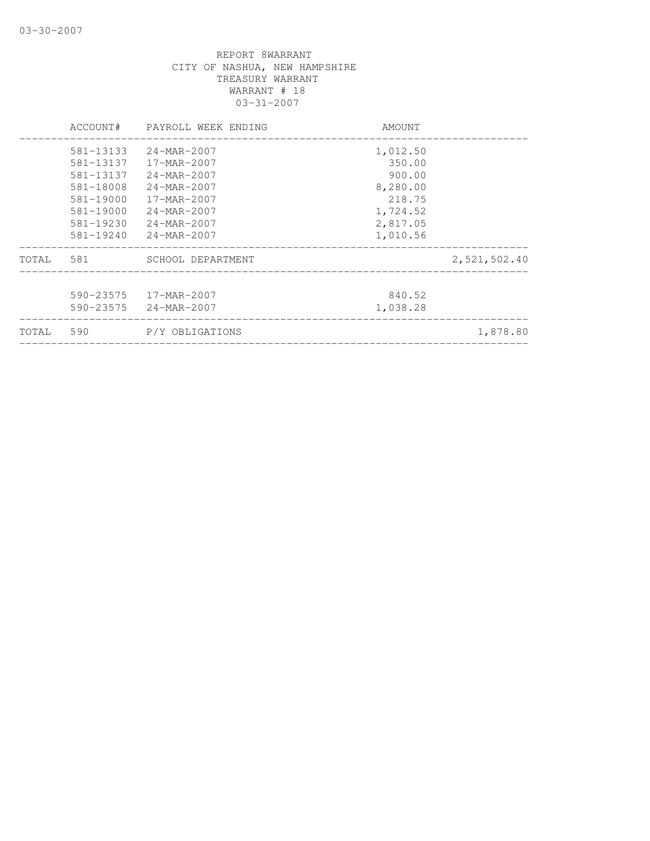|       | ACCOUNT#  | PAYROLL WEEK ENDING      | AMOUNT   |              |
|-------|-----------|--------------------------|----------|--------------|
|       | 581-13133 | $24 - MAR - 2007$        | 1,012.50 |              |
|       | 581-13137 | $17 - \text{MAR} - 2007$ | 350.00   |              |
|       | 581-13137 | 24-MAR-2007              | 900.00   |              |
|       | 581-18008 | 24-MAR-2007              | 8,280.00 |              |
|       | 581-19000 | 17-MAR-2007              | 218.75   |              |
|       | 581-19000 | 24-MAR-2007              | 1,724.52 |              |
|       | 581-19230 | 24-MAR-2007              | 2,817.05 |              |
|       | 581-19240 | 24-MAR-2007              | 1,010.56 |              |
| TOTAL | 581       | SCHOOL DEPARTMENT        |          | 2,521,502.40 |
|       |           |                          |          |              |
|       | 590-23575 | 17-MAR-2007              | 840.52   |              |
|       | 590-23575 | 24-MAR-2007              | 1,038.28 |              |
| TOTAL | 590       | P/Y OBLIGATIONS          |          | 1,878.80     |
|       |           |                          |          |              |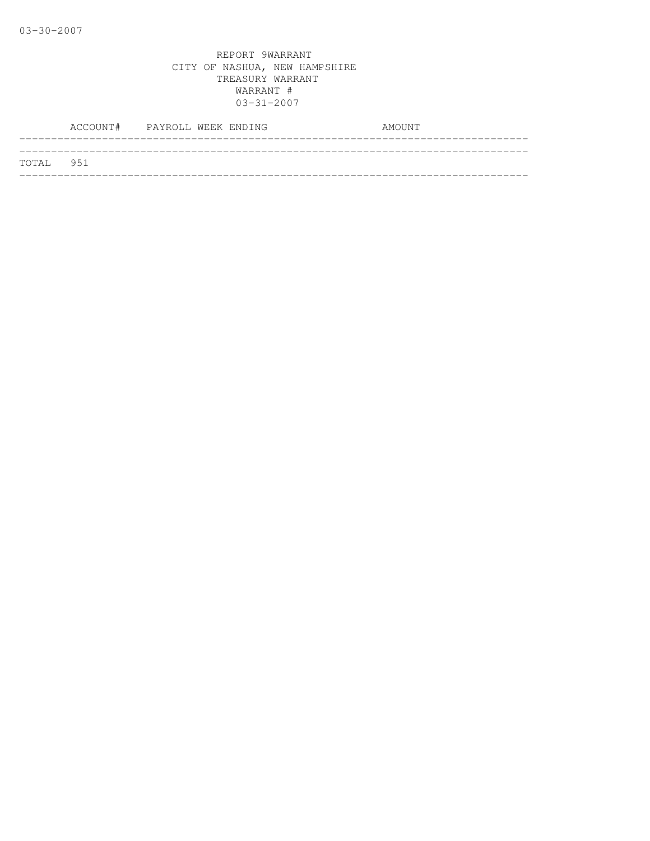|           | ACCOUNT# PAYROLL WEEK ENDING |  |  | AMOUNT |  |
|-----------|------------------------------|--|--|--------|--|
|           |                              |  |  |        |  |
| TOTAL 951 |                              |  |  |        |  |
|           |                              |  |  |        |  |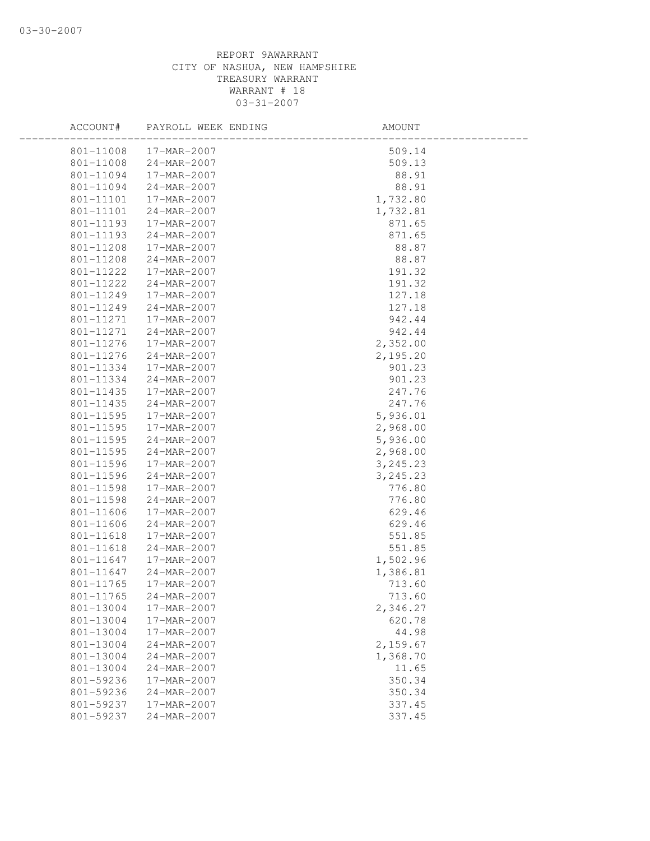| ACCOUNT#  | PAYROLL WEEK ENDING | AMOUNT    |
|-----------|---------------------|-----------|
| 801-11008 | 17-MAR-2007         | 509.14    |
| 801-11008 | 24-MAR-2007         | 509.13    |
| 801-11094 | 17-MAR-2007         | 88.91     |
| 801-11094 | 24-MAR-2007         | 88.91     |
| 801-11101 | 17-MAR-2007         | 1,732.80  |
| 801-11101 | 24-MAR-2007         | 1,732.81  |
| 801-11193 | 17-MAR-2007         | 871.65    |
| 801-11193 | 24-MAR-2007         | 871.65    |
| 801-11208 | 17-MAR-2007         | 88.87     |
| 801-11208 | 24-MAR-2007         | 88.87     |
| 801-11222 | 17-MAR-2007         | 191.32    |
| 801-11222 | 24-MAR-2007         | 191.32    |
| 801-11249 | 17-MAR-2007         | 127.18    |
| 801-11249 | 24-MAR-2007         | 127.18    |
| 801-11271 | 17-MAR-2007         | 942.44    |
| 801-11271 | $24 - MAR - 2007$   | 942.44    |
| 801-11276 | 17-MAR-2007         | 2,352.00  |
| 801-11276 | 24-MAR-2007         | 2,195.20  |
| 801-11334 | 17-MAR-2007         | 901.23    |
| 801-11334 | $24 - MAR - 2007$   | 901.23    |
| 801-11435 | 17-MAR-2007         | 247.76    |
| 801-11435 | 24-MAR-2007         | 247.76    |
| 801-11595 | 17-MAR-2007         | 5,936.01  |
| 801-11595 | 17-MAR-2007         | 2,968.00  |
| 801-11595 | 24-MAR-2007         | 5,936.00  |
| 801-11595 | 24-MAR-2007         | 2,968.00  |
| 801-11596 | 17-MAR-2007         | 3, 245.23 |
| 801-11596 | 24-MAR-2007         | 3, 245.23 |
| 801-11598 | 17-MAR-2007         | 776.80    |
| 801-11598 | 24-MAR-2007         | 776.80    |
| 801-11606 | 17-MAR-2007         | 629.46    |
| 801-11606 | $24 - MAR - 2007$   | 629.46    |
| 801-11618 | 17-MAR-2007         | 551.85    |
| 801-11618 | $24 - MAR - 2007$   | 551.85    |
| 801-11647 | 17-MAR-2007         | 1,502.96  |
| 801-11647 | 24-MAR-2007         | 1,386.81  |
| 801-11765 | 17-MAR-2007         | 713.60    |
| 801-11765 | 24-MAR-2007         | 713.60    |
| 801-13004 | 17-MAR-2007         | 2,346.27  |
| 801-13004 | 17-MAR-2007         | 620.78    |
| 801-13004 | 17-MAR-2007         | 44.98     |
| 801-13004 | 24-MAR-2007         | 2,159.67  |
| 801-13004 | 24-MAR-2007         | 1,368.70  |
| 801-13004 | 24-MAR-2007         | 11.65     |
| 801-59236 | 17-MAR-2007         | 350.34    |
| 801-59236 | $24 - MAR - 2007$   | 350.34    |
| 801-59237 | 17-MAR-2007         | 337.45    |
| 801-59237 | 24-MAR-2007         | 337.45    |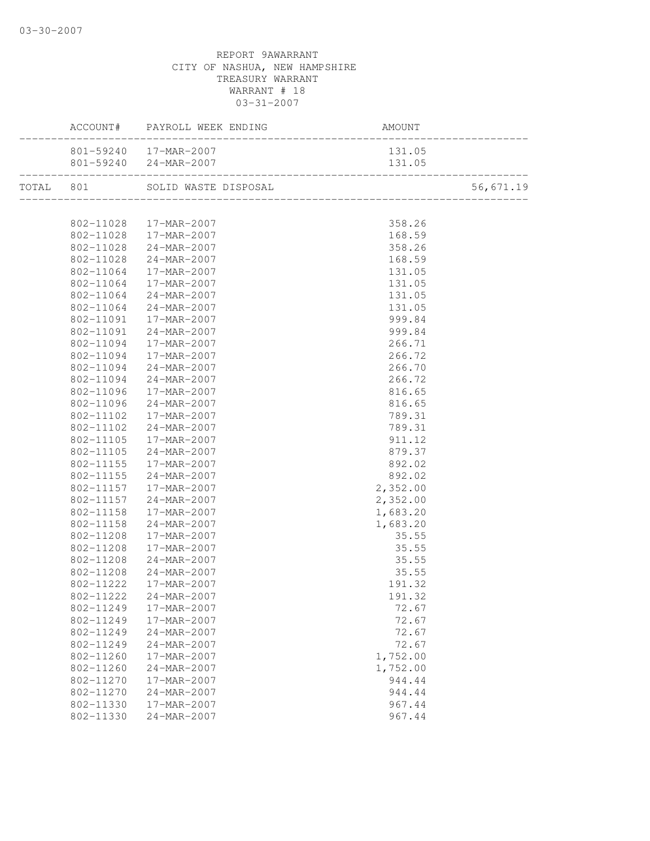|           | 801-59240  17-MAR-2007               | 131.05           |           |
|-----------|--------------------------------------|------------------|-----------|
|           |                                      |                  |           |
|           |                                      |                  | 56,671.19 |
|           |                                      |                  |           |
|           | 802-11028 17-MAR-2007                | 358.26           |           |
| 802-11028 | 802-11028 17-MAR-2007                | 168.59           |           |
|           | 24-MAR-2007<br>802-11028 24-MAR-2007 | 358.26           |           |
| 802-11064 | 17-MAR-2007                          | 168.59<br>131.05 |           |
| 802-11064 | 17-MAR-2007                          | 131.05           |           |
| 802-11064 | 24-MAR-2007                          | 131.05           |           |
| 802-11064 | 24-MAR-2007                          | 131.05           |           |
| 802-11091 | 17-MAR-2007                          | 999.84           |           |
| 802-11091 | 24-MAR-2007                          | 999.84           |           |
| 802-11094 | 17-MAR-2007                          | 266.71           |           |
| 802-11094 | 17-MAR-2007                          | 266.72           |           |
| 802-11094 | 24-MAR-2007                          | 266.70           |           |
| 802-11094 | $24 - MAR - 2007$                    | 266.72           |           |
| 802-11096 | 17-MAR-2007                          | 816.65           |           |
| 802-11096 | 24-MAR-2007                          | 816.65           |           |
| 802-11102 | 17-MAR-2007                          | 789.31           |           |
| 802-11102 | 24-MAR-2007                          | 789.31           |           |
| 802-11105 | 17-MAR-2007                          | 911.12           |           |
| 802-11105 | 24-MAR-2007                          | 879.37           |           |
| 802-11155 | 17-MAR-2007                          | 892.02           |           |
| 802-11155 | $24 - MAR - 2007$                    | 892.02           |           |
|           | 802-11157  17-MAR-2007               | 2,352.00         |           |
| 802-11157 | 24-MAR-2007                          | 2,352.00         |           |
| 802-11158 | 17-MAR-2007                          | 1,683.20         |           |
| 802-11158 | 24-MAR-2007                          | 1,683.20         |           |
| 802-11208 | 17-MAR-2007                          | 35.55            |           |
| 802-11208 | 17-MAR-2007                          | 35.55            |           |
| 802-11208 | 24-MAR-2007                          | 35.55            |           |
| 802-11208 | $24 - MAR - 2007$                    | 35.55            |           |
| 802-11222 | 17-MAR-2007                          | 191.32           |           |
|           | 802-11222 24-MAR-2007                | 191.32           |           |
| 802-11249 | 17-MAR-2007                          | 72.67            |           |
| 802-11249 | 17-MAR-2007                          | 72.67            |           |
| 802-11249 | 24-MAR-2007                          | 72.67            |           |
| 802-11249 | 24-MAR-2007                          | 72.67            |           |
| 802-11260 | 17-MAR-2007                          | 1,752.00         |           |
| 802-11260 | 24-MAR-2007                          | 1,752.00         |           |
| 802-11270 | 17-MAR-2007                          | 944.44           |           |
| 802-11270 | 24-MAR-2007                          | 944.44           |           |
| 802-11330 | 17-MAR-2007                          | 967.44           |           |
| 802-11330 | 24-MAR-2007                          | 967.44           |           |